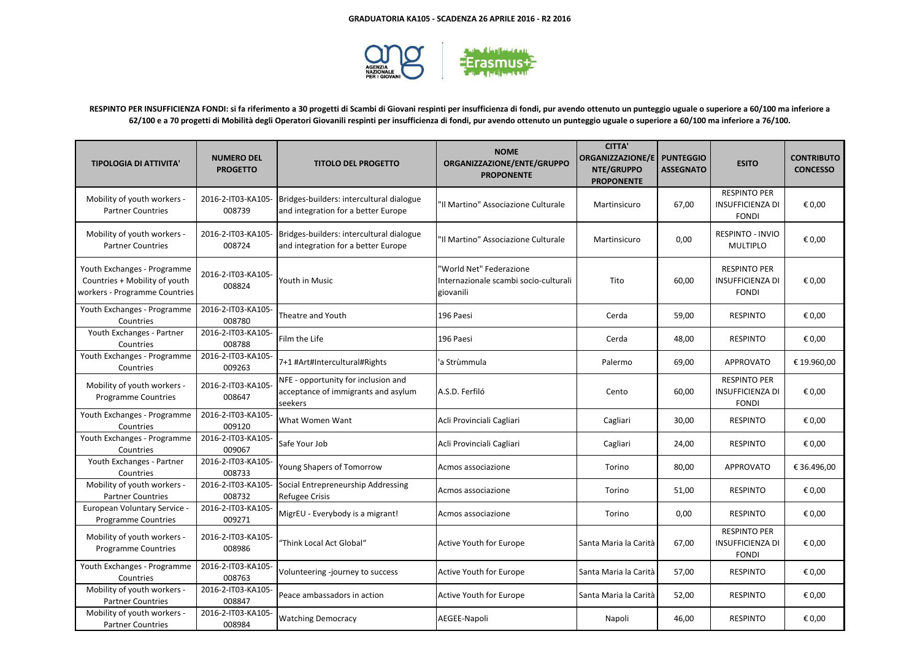

**RESPINTO PER INSUFFICIENZA FONDI: si fa riferimento a 30 progetti di Scambi di Giovani respinti per insufficienza di fondi, pur avendo ottenuto un punteggio uguale o superiore a 60/100 ma inferiore a 62/100 e a 70 progetti di Mobilità degli Operatori Giovanili respinti per insufficienza di fondi, pur avendo ottenuto un punteggio uguale o superiore a 60/100 ma inferiore a 76/100.**

| <b>TIPOLOGIA DI ATTIVITA'</b>                                                                 | <b>NUMERO DEL</b><br><b>PROGETTO</b> | <b>TITOLO DEL PROGETTO</b>                                                            | <b>NOME</b><br>ORGANIZZAZIONE/ENTE/GRUPPO<br><b>PROPONENTE</b>                | <b>CITTA'</b><br><b>ORGANIZZAZIONE/E</b><br>NTE/GRUPPO<br><b>PROPONENTE</b> | <b>PUNTEGGIO</b><br><b>ASSEGNATO</b> | <b>ESITO</b>                                                   | <b>CONTRIBUTO</b><br><b>CONCESSO</b> |
|-----------------------------------------------------------------------------------------------|--------------------------------------|---------------------------------------------------------------------------------------|-------------------------------------------------------------------------------|-----------------------------------------------------------------------------|--------------------------------------|----------------------------------------------------------------|--------------------------------------|
| Mobility of youth workers -<br><b>Partner Countries</b>                                       | 2016-2-IT03-KA105-<br>008739         | Bridges-builders: intercultural dialogue<br>and integration for a better Europe       | 'Il Martino" Associazione Culturale                                           | Martinsicuro                                                                | 67,00                                | <b>RESPINTO PER</b><br><b>INSUFFICIENZA DI</b><br><b>FONDI</b> | € 0.00                               |
| Mobility of youth workers -<br><b>Partner Countries</b>                                       | 2016-2-IT03-KA105-<br>008724         | Bridges-builders: intercultural dialogue<br>and integration for a better Europe       | 'Il Martino" Associazione Culturale                                           | Martinsicuro                                                                | 0,00                                 | <b>RESPINTO - INVIO</b><br><b>MULTIPLO</b>                     | € 0,00                               |
| Youth Exchanges - Programme<br>Countries + Mobility of youth<br>workers - Programme Countries | 2016-2-IT03-KA105-<br>008824         | Youth in Music                                                                        | 'World Net" Federazione<br>Internazionale scambi socio-culturali<br>giovanili | Tito                                                                        | 60,00                                | <b>RESPINTO PER</b><br><b>INSUFFICIENZA DI</b><br><b>FONDI</b> | € 0.00                               |
| Youth Exchanges - Programme<br>Countries                                                      | 2016-2-IT03-KA105-<br>008780         | Theatre and Youth                                                                     | 196 Paesi                                                                     | Cerda                                                                       | 59,00                                | <b>RESPINTO</b>                                                | € 0,00                               |
| Youth Exchanges - Partner<br>Countries                                                        | 2016-2-IT03-KA105-<br>008788         | Film the Life                                                                         | 196 Paesi                                                                     | Cerda                                                                       | 48,00                                | <b>RESPINTO</b>                                                | € 0,00                               |
| Youth Exchanges - Programme<br>Countries                                                      | 2016-2-IT03-KA105-<br>009263         | 7+1 #Art#Intercultural#Rights                                                         | 'a Strùmmula                                                                  | Palermo                                                                     | 69,00                                | <b>APPROVATO</b>                                               | € 19.960,00                          |
| Mobility of youth workers -<br><b>Programme Countries</b>                                     | 2016-2-IT03-KA105-<br>008647         | NFE - opportunity for inclusion and<br>acceptance of immigrants and asylum<br>seekers | A.S.D. Ferfiló                                                                | Cento                                                                       | 60,00                                | <b>RESPINTO PER</b><br><b>INSUFFICIENZA DI</b><br><b>FONDI</b> | € 0,00                               |
| Youth Exchanges - Programme<br>Countries                                                      | 2016-2-IT03-KA105-<br>009120         | What Women Want                                                                       | Acli Provinciali Cagliari                                                     | Cagliari                                                                    | 30,00                                | <b>RESPINTO</b>                                                | € 0,00                               |
| Youth Exchanges - Programme<br>Countries                                                      | 2016-2-IT03-KA105-<br>009067         | Safe Your Job                                                                         | Acli Provinciali Cagliari                                                     | Cagliari                                                                    | 24,00                                | <b>RESPINTO</b>                                                | € 0,00                               |
| Youth Exchanges - Partner<br>Countries                                                        | 2016-2-IT03-KA105-<br>008733         | Young Shapers of Tomorrow                                                             | Acmos associazione                                                            | Torino                                                                      | 80,00                                | <b>APPROVATO</b>                                               | € 36.496,00                          |
| Mobility of youth workers -<br><b>Partner Countries</b>                                       | 2016-2-IT03-KA105-<br>008732         | Social Entrepreneurship Addressing<br><b>Refugee Crisis</b>                           | Acmos associazione                                                            | Torino                                                                      | 51,00                                | <b>RESPINTO</b>                                                | € 0,00                               |
| European Voluntary Service -<br><b>Programme Countries</b>                                    | 2016-2-IT03-KA105-<br>009271         | MigrEU - Everybody is a migrant!                                                      | Acmos associazione                                                            | Torino                                                                      | 0,00                                 | <b>RESPINTO</b>                                                | € 0,00                               |
| Mobility of youth workers -<br><b>Programme Countries</b>                                     | 2016-2-IT03-KA105-<br>008986         | 'Think Local Act Global"                                                              | Active Youth for Europe                                                       | Santa Maria la Carità                                                       | 67,00                                | <b>RESPINTO PER</b><br><b>INSUFFICIENZA DI</b><br><b>FONDI</b> | € 0,00                               |
| Youth Exchanges - Programme<br>Countries                                                      | 2016-2-IT03-KA105-<br>008763         | Volunteering -journey to success                                                      | Active Youth for Europe                                                       | Santa Maria la Carità                                                       | 57,00                                | <b>RESPINTO</b>                                                | € 0,00                               |
| Mobility of youth workers -<br><b>Partner Countries</b>                                       | 2016-2-IT03-KA105-<br>008847         | Peace ambassadors in action                                                           | Active Youth for Europe                                                       | Santa Maria la Carità                                                       | 52,00                                | <b>RESPINTO</b>                                                | € 0,00                               |
| Mobility of youth workers -<br><b>Partner Countries</b>                                       | 2016-2-IT03-KA105-<br>008984         | <b>Watching Democracy</b>                                                             | AEGEE-Napoli                                                                  | Napoli                                                                      | 46,00                                | <b>RESPINTO</b>                                                | € 0,00                               |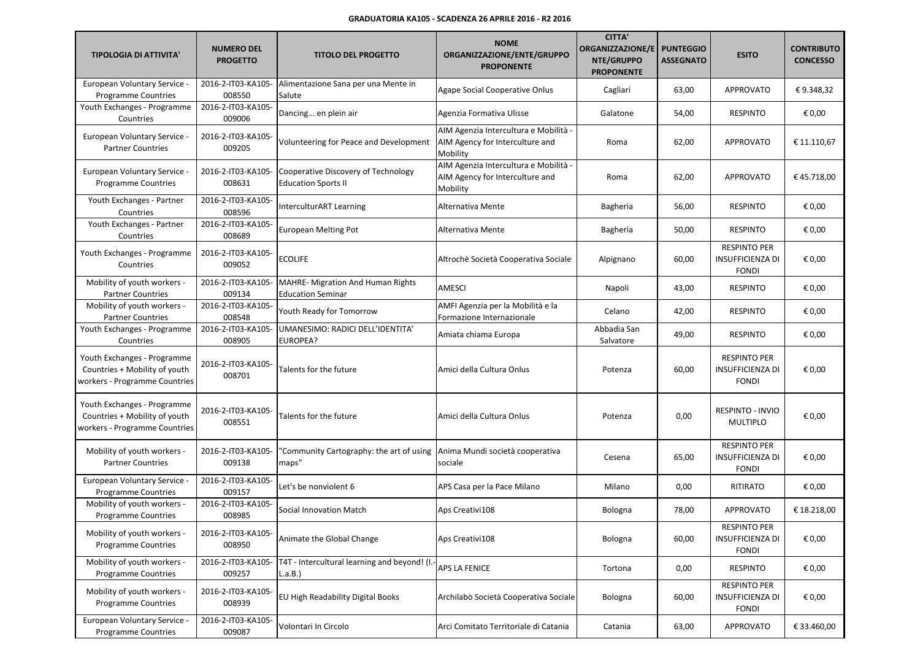| <b>TIPOLOGIA DI ATTIVITA'</b>                                                                 | <b>NUMERO DEL</b><br><b>PROGETTO</b> | <b>TITOLO DEL PROGETTO</b>                                        | <b>NOME</b><br>ORGANIZZAZIONE/ENTE/GRUPPO<br><b>PROPONENTE</b>                       | <b>CITTA'</b><br><b>ORGANIZZAZIONE/E</b><br>NTE/GRUPPO<br><b>PROPONENTE</b> | <b>PUNTEGGIO</b><br><b>ASSEGNATO</b> | <b>ESITO</b>                                                   | <b>CONTRIBUTO</b><br><b>CONCESSO</b> |
|-----------------------------------------------------------------------------------------------|--------------------------------------|-------------------------------------------------------------------|--------------------------------------------------------------------------------------|-----------------------------------------------------------------------------|--------------------------------------|----------------------------------------------------------------|--------------------------------------|
| European Voluntary Service -<br><b>Programme Countries</b>                                    | 2016-2-IT03-KA105-<br>008550         | Alimentazione Sana per una Mente in<br>Salute                     | Agape Social Cooperative Onlus                                                       | Cagliari                                                                    | 63,00                                | <b>APPROVATO</b>                                               | €9.348,32                            |
| Youth Exchanges - Programme<br>Countries                                                      | 2016-2-IT03-KA105-<br>009006         | Dancing en plein air                                              | Agenzia Formativa Ulisse                                                             | Galatone                                                                    | 54,00                                | <b>RESPINTO</b>                                                | € 0,00                               |
| European Voluntary Service -<br><b>Partner Countries</b>                                      | 2016-2-IT03-KA105-<br>009205         | Volunteering for Peace and Development                            | AIM Agenzia Intercultura e Mobilità -<br>AIM Agency for Interculture and<br>Mobility | Roma                                                                        | 62,00                                | <b>APPROVATO</b>                                               | € 11.110,67                          |
| European Voluntary Service -<br><b>Programme Countries</b>                                    | 2016-2-IT03-KA105-<br>008631         | Cooperative Discovery of Technology<br><b>Education Sports II</b> | AIM Agenzia Intercultura e Mobilità -<br>AIM Agency for Interculture and<br>Mobility | Roma                                                                        | 62,00                                | <b>APPROVATO</b>                                               | €45.718,00                           |
| Youth Exchanges - Partner<br>Countries                                                        | 2016-2-IT03-KA105-<br>008596         | InterculturART Learning                                           | Alternativa Mente                                                                    | Bagheria                                                                    | 56,00                                | <b>RESPINTO</b>                                                | € 0,00                               |
| Youth Exchanges - Partner<br>Countries                                                        | 2016-2-IT03-KA105-<br>008689         | <b>European Melting Pot</b>                                       | Alternativa Mente                                                                    | Bagheria                                                                    | 50,00                                | <b>RESPINTO</b>                                                | € 0,00                               |
| Youth Exchanges - Programme<br>Countries                                                      | 2016-2-IT03-KA105-<br>009052         | <b>ECOLIFE</b>                                                    | Altrochè Società Cooperativa Sociale                                                 | Alpignano                                                                   | 60,00                                | <b>RESPINTO PER</b><br><b>INSUFFICIENZA DI</b><br><b>FONDI</b> | € 0,00                               |
| Mobility of youth workers -<br><b>Partner Countries</b>                                       | 2016-2-IT03-KA105-<br>009134         | MAHRE- Migration And Human Rights<br><b>Education Seminar</b>     | AMESCI                                                                               | Napoli                                                                      | 43,00                                | <b>RESPINTO</b>                                                | € 0,00                               |
| Mobility of youth workers -<br><b>Partner Countries</b>                                       | 2016-2-IT03-KA105-<br>008548         | Youth Ready for Tomorrow                                          | AMFI Agenzia per la Mobilità e la<br>Formazione Internazionale                       | Celano                                                                      | 42,00                                | <b>RESPINTO</b>                                                | € 0,00                               |
| Youth Exchanges - Programme<br>Countries                                                      | 2016-2-IT03-KA105-<br>008905         | UMANESIMO: RADICI DELL'IDENTITA'<br>EUROPEA?                      | Amiata chiama Europa                                                                 | Abbadia San<br>Salvatore                                                    | 49,00                                | <b>RESPINTO</b>                                                | € 0,00                               |
| Youth Exchanges - Programme<br>Countries + Mobility of youth<br>workers - Programme Countries | 2016-2-IT03-KA105-<br>008701         | Talents for the future                                            | Amici della Cultura Onlus                                                            | Potenza                                                                     | 60,00                                | <b>RESPINTO PER</b><br><b>INSUFFICIENZA DI</b><br><b>FONDI</b> | € 0,00                               |
| Youth Exchanges - Programme<br>Countries + Mobility of youth<br>workers - Programme Countries | 2016-2-IT03-KA105-<br>008551         | Talents for the future                                            | Amici della Cultura Onlus                                                            | Potenza                                                                     | 0,00                                 | <b>RESPINTO - INVIO</b><br><b>MULTIPLO</b>                     | € 0,00                               |
| Mobility of youth workers -<br><b>Partner Countries</b>                                       | 2016-2-IT03-KA105-<br>009138         | "Community Cartography: the art of using<br>maps"                 | Anima Mundi società cooperativa<br>sociale                                           | Cesena                                                                      | 65,00                                | <b>RESPINTO PER</b><br><b>INSUFFICIENZA DI</b><br><b>FONDI</b> | € 0,00                               |
| European Voluntary Service -<br><b>Programme Countries</b>                                    | 2016-2-IT03-KA105-<br>009157         | Let's be nonviolent 6                                             | APS Casa per la Pace Milano                                                          | Milano                                                                      | 0,00                                 | <b>RITIRATO</b>                                                | € 0,00                               |
| Mobility of youth workers -<br>Programme Countries                                            | 2016-2-IT03-KA105-<br>008985         | <b>Social Innovation Match</b>                                    | Aps Creativi108                                                                      | Bologna                                                                     | 78,00                                | <b>APPROVATO</b>                                               | € 18.218,00                          |
| Mobility of youth workers -<br><b>Programme Countries</b>                                     | 2016-2-IT03-KA105-<br>008950         | Animate the Global Change                                         | Aps Creativi108                                                                      | Bologna                                                                     | 60,00                                | <b>RESPINTO PER</b><br><b>INSUFFICIENZA DI</b><br><b>FONDI</b> | € 0,00                               |
| Mobility of youth workers -<br><b>Programme Countries</b>                                     | 2016-2-IT03-KA105-<br>009257         | T4T - Intercultural learning and beyond! (I.-<br>L.a.B.)          | APS LA FENICE                                                                        | Tortona                                                                     | 0,00                                 | <b>RESPINTO</b>                                                | € 0,00                               |
| Mobility of youth workers -<br><b>Programme Countries</b>                                     | 2016-2-IT03-KA105-<br>008939         | EU High Readability Digital Books                                 | Archilabò Società Cooperativa Sociale                                                | Bologna                                                                     | 60,00                                | <b>RESPINTO PER</b><br><b>INSUFFICIENZA DI</b><br><b>FONDI</b> | € 0,00                               |
| European Voluntary Service -<br><b>Programme Countries</b>                                    | 2016-2-IT03-KA105-<br>009087         | Volontari In Circolo                                              | Arci Comitato Territoriale di Catania                                                | Catania                                                                     | 63,00                                | APPROVATO                                                      | € 33.460,00                          |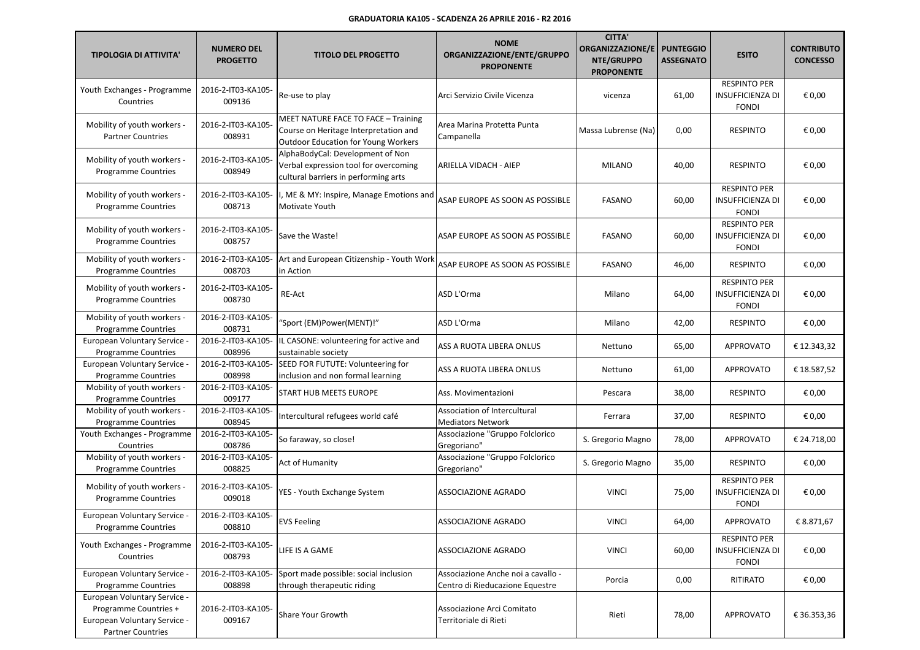| <b>TIPOLOGIA DI ATTIVITA'</b>                                                                                     | <b>NUMERO DEL</b><br><b>PROGETTO</b> | <b>TITOLO DEL PROGETTO</b>                                                                                          | <b>NOME</b><br>ORGANIZZAZIONE/ENTE/GRUPPO<br><b>PROPONENTE</b>        | <b>CITTA'</b><br><b>ORGANIZZAZIONE/E</b><br>NTE/GRUPPO<br><b>PROPONENTE</b> | <b>PUNTEGGIO</b><br><b>ASSEGNATO</b> | <b>ESITO</b>                                                   | <b>CONTRIBUTO</b><br><b>CONCESSO</b> |
|-------------------------------------------------------------------------------------------------------------------|--------------------------------------|---------------------------------------------------------------------------------------------------------------------|-----------------------------------------------------------------------|-----------------------------------------------------------------------------|--------------------------------------|----------------------------------------------------------------|--------------------------------------|
| Youth Exchanges - Programme<br>Countries                                                                          | 2016-2-IT03-KA105-<br>009136         | Re-use to play                                                                                                      | Arci Servizio Civile Vicenza                                          | vicenza                                                                     | 61,00                                | <b>RESPINTO PER</b><br><b>INSUFFICIENZA DI</b><br><b>FONDI</b> | € 0,00                               |
| Mobility of youth workers -<br><b>Partner Countries</b>                                                           | 2016-2-IT03-KA105-<br>008931         | MEET NATURE FACE TO FACE - Training<br>Course on Heritage Interpretation and<br>Outdoor Education for Young Workers | Area Marina Protetta Punta<br>Campanella                              | Massa Lubrense (Na)                                                         | 0,00                                 | <b>RESPINTO</b>                                                | € 0,00                               |
| Mobility of youth workers -<br><b>Programme Countries</b>                                                         | 2016-2-IT03-KA105-<br>008949         | AlphaBodyCal: Development of Non<br>Verbal expression tool for overcoming<br>cultural barriers in performing arts   | ARIELLA VIDACH - AIEP                                                 | <b>MILANO</b>                                                               | 40,00                                | <b>RESPINTO</b>                                                | € 0,00                               |
| Mobility of youth workers -<br><b>Programme Countries</b>                                                         | 2016-2-IT03-KA105-<br>008713         | I, ME & MY: Inspire, Manage Emotions and<br>Motivate Youth                                                          | ASAP EUROPE AS SOON AS POSSIBLE                                       | <b>FASANO</b>                                                               | 60,00                                | <b>RESPINTO PER</b><br><b>INSUFFICIENZA DI</b><br><b>FONDI</b> | € 0,00                               |
| Mobility of youth workers -<br><b>Programme Countries</b>                                                         | 2016-2-IT03-KA105-<br>008757         | Save the Waste!                                                                                                     | ASAP EUROPE AS SOON AS POSSIBLE                                       | <b>FASANO</b>                                                               | 60,00                                | <b>RESPINTO PER</b><br>INSUFFICIENZA DI<br><b>FONDI</b>        | € 0,00                               |
| Mobility of youth workers -<br><b>Programme Countries</b>                                                         | 2016-2-IT03-KA105-<br>008703         | Art and European Citizenship - Youth Work<br>in Action                                                              | ASAP EUROPE AS SOON AS POSSIBLE                                       | <b>FASANO</b>                                                               | 46,00                                | <b>RESPINTO</b>                                                | € 0,00                               |
| Mobility of youth workers -<br><b>Programme Countries</b>                                                         | 2016-2-IT03-KA105-<br>008730         | RE-Act                                                                                                              | ASD L'Orma                                                            | Milano                                                                      | 64,00                                | <b>RESPINTO PER</b><br>INSUFFICIENZA DI<br><b>FONDI</b>        | € 0,00                               |
| Mobility of youth workers -<br><b>Programme Countries</b>                                                         | 2016-2-IT03-KA105-<br>008731         | "Sport (EM)Power(MENT)!                                                                                             | ASD L'Orma                                                            | Milano                                                                      | 42,00                                | <b>RESPINTO</b>                                                | € 0,00                               |
| European Voluntary Service -<br><b>Programme Countries</b>                                                        | 2016-2-IT03-KA105-<br>008996         | IL CASONE: volunteering for active and<br>sustainable society                                                       | ASS A RUOTA LIBERA ONLUS                                              | Nettuno                                                                     | 65,00                                | APPROVATO                                                      | € 12.343,32                          |
| European Voluntary Service -<br><b>Programme Countries</b>                                                        | 2016-2-IT03-KA105-<br>008998         | SEED FOR FUTUTE: Volunteering for<br>inclusion and non formal learning                                              | ASS A RUOTA LIBERA ONLUS                                              | Nettuno                                                                     | 61,00                                | APPROVATO                                                      | € 18.587,52                          |
| Mobility of youth workers -<br><b>Programme Countries</b>                                                         | 2016-2-IT03-KA105-<br>009177         | START HUB MEETS EUROPE                                                                                              | Ass. Movimentazioni                                                   | Pescara                                                                     | 38,00                                | <b>RESPINTO</b>                                                | € 0,00                               |
| Mobility of youth workers -<br><b>Programme Countries</b>                                                         | 2016-2-IT03-KA105-<br>008945         | Intercultural refugees world café                                                                                   | Association of Intercultural<br>Mediators Network                     | Ferrara                                                                     | 37,00                                | <b>RESPINTO</b>                                                | € 0,00                               |
| Youth Exchanges - Programme<br>Countries                                                                          | 2016-2-IT03-KA105-<br>008786         | So faraway, so close!                                                                                               | Associazione "Gruppo Folclorico<br>Gregoriano"                        | S. Gregorio Magno                                                           | 78,00                                | APPROVATO                                                      | € 24.718,00                          |
| Mobility of youth workers -<br><b>Programme Countries</b>                                                         | 2016-2-IT03-KA105-<br>008825         | Act of Humanity                                                                                                     | Associazione "Gruppo Folclorico<br>Gregoriano"                        | S. Gregorio Magno                                                           | 35,00                                | <b>RESPINTO</b>                                                | € 0,00                               |
| Mobility of youth workers -<br><b>Programme Countries</b>                                                         | 2016-2-IT03-KA105-<br>009018         | YES - Youth Exchange System                                                                                         | ASSOCIAZIONE AGRADO                                                   | <b>VINCI</b>                                                                | 75,00                                | <b>RESPINTO PER</b><br><b>INSUFFICIENZA DI</b><br><b>FONDI</b> | € 0,00                               |
| European Voluntary Service -<br><b>Programme Countries</b>                                                        | 2016-2-IT03-KA105-<br>008810         | <b>EVS Feeling</b>                                                                                                  | ASSOCIAZIONE AGRADO                                                   | <b>VINCI</b>                                                                | 64,00                                | APPROVATO                                                      | € 8.871,67                           |
| Youth Exchanges - Programme<br>Countries                                                                          | 2016-2-IT03-KA105-<br>008793         | LIFE IS A GAME                                                                                                      | ASSOCIAZIONE AGRADO                                                   | <b>VINCI</b>                                                                | 60,00                                | <b>RESPINTO PER</b><br>INSUFFICIENZA DI<br><b>FONDI</b>        | € 0,00                               |
| European Voluntary Service -<br><b>Programme Countries</b>                                                        | 2016-2-IT03-KA105-<br>008898         | Sport made possible: social inclusion<br>through therapeutic riding                                                 | Associazione Anche noi a cavallo -<br>Centro di Rieducazione Equestre | Porcia                                                                      | 0,00                                 | <b>RITIRATO</b>                                                | € 0,00                               |
| European Voluntary Service -<br>Programme Countries +<br>European Voluntary Service -<br><b>Partner Countries</b> | 2016-2-IT03-KA105-<br>009167         | Share Your Growth                                                                                                   | Associazione Arci Comitato<br>Territoriale di Rieti                   | Rieti                                                                       | 78,00                                | APPROVATO                                                      | € 36.353,36                          |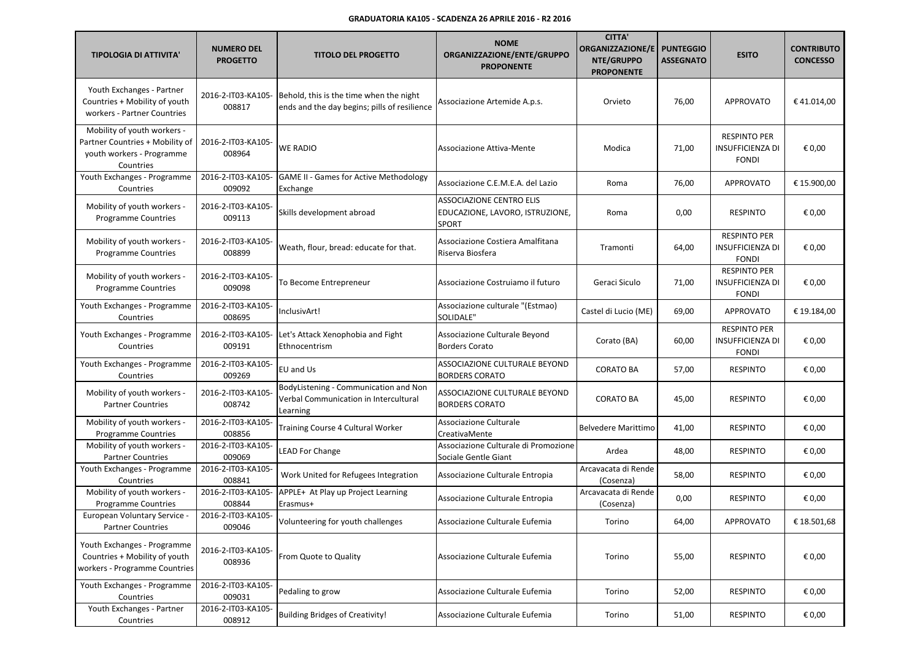| <b>TIPOLOGIA DI ATTIVITA'</b>                                                                            | <b>NUMERO DEL</b><br><b>PROGETTO</b> | <b>TITOLO DEL PROGETTO</b>                                                                 | <b>NOME</b><br>ORGANIZZAZIONE/ENTE/GRUPPO<br><b>PROPONENTE</b>              | <b>CITTA'</b><br><b>ORGANIZZAZIONE/E</b><br>NTE/GRUPPO<br><b>PROPONENTE</b> | <b>PUNTEGGIO</b><br><b>ASSEGNATO</b> | <b>ESITO</b>                                                   | <b>CONTRIBUTO</b><br><b>CONCESSO</b> |
|----------------------------------------------------------------------------------------------------------|--------------------------------------|--------------------------------------------------------------------------------------------|-----------------------------------------------------------------------------|-----------------------------------------------------------------------------|--------------------------------------|----------------------------------------------------------------|--------------------------------------|
| Youth Exchanges - Partner<br>Countries + Mobility of youth<br>workers - Partner Countries                | 2016-2-IT03-KA105-<br>008817         | Behold, this is the time when the night<br>ends and the day begins; pills of resilience    | Associazione Artemide A.p.s.                                                | Orvieto                                                                     | 76,00                                | <b>APPROVATO</b>                                               | €41.014,00                           |
| Mobility of youth workers -<br>Partner Countries + Mobility of<br>youth workers - Programme<br>Countries | 2016-2-IT03-KA105-<br>008964         | <b>WE RADIO</b>                                                                            | Associazione Attiva-Mente                                                   | Modica                                                                      | 71,00                                | <b>RESPINTO PER</b><br><b>INSUFFICIENZA DI</b><br><b>FONDI</b> | € 0,00                               |
| Youth Exchanges - Programme<br>Countries                                                                 | 2016-2-IT03-KA105-<br>009092         | <b>GAME II - Games for Active Methodology</b><br>Exchange                                  | Associazione C.E.M.E.A. del Lazio                                           | Roma                                                                        | 76,00                                | <b>APPROVATO</b>                                               | € 15.900,00                          |
| Mobility of youth workers -<br><b>Programme Countries</b>                                                | 2016-2-IT03-KA105-<br>009113         | Skills development abroad                                                                  | <b>ASSOCIAZIONE CENTRO ELIS</b><br>EDUCAZIONE, LAVORO, ISTRUZIONE,<br>SPORT | Roma                                                                        | 0,00                                 | <b>RESPINTO</b>                                                | € 0,00                               |
| Mobility of youth workers -<br><b>Programme Countries</b>                                                | 2016-2-IT03-KA105-<br>008899         | Weath, flour, bread: educate for that.                                                     | Associazione Costiera Amalfitana<br>Riserva Biosfera                        | Tramonti                                                                    | 64,00                                | <b>RESPINTO PER</b><br><b>INSUFFICIENZA DI</b><br><b>FONDI</b> | € 0,00                               |
| Mobility of youth workers -<br><b>Programme Countries</b>                                                | 2016-2-IT03-KA105-<br>009098         | To Become Entrepreneur                                                                     | Associazione Costruiamo il futuro                                           | Geraci Siculo                                                               | 71,00                                | <b>RESPINTO PER</b><br>INSUFFICIENZA DI<br><b>FONDI</b>        | € 0,00                               |
| Youth Exchanges - Programme<br>Countries                                                                 | 2016-2-IT03-KA105-<br>008695         | InclusivArt!                                                                               | Associazione culturale "(Estmao)<br><b>SOLIDALE"</b>                        | Castel di Lucio (ME)                                                        | 69,00                                | <b>APPROVATO</b>                                               | € 19.184,00                          |
| Youth Exchanges - Programme<br>Countries                                                                 | 2016-2-IT03-KA105-<br>009191         | Let's Attack Xenophobia and Fight<br>Ethnocentrism                                         | Associazione Culturale Beyond<br><b>Borders Corato</b>                      | Corato (BA)                                                                 | 60,00                                | <b>RESPINTO PER</b><br>INSUFFICIENZA DI<br><b>FONDI</b>        | € 0,00                               |
| Youth Exchanges - Programme<br>Countries                                                                 | 2016-2-IT03-KA105-<br>009269         | EU and Us                                                                                  | ASSOCIAZIONE CULTURALE BEYOND<br><b>BORDERS CORATO</b>                      | <b>CORATO BA</b>                                                            | 57,00                                | <b>RESPINTO</b>                                                | € 0,00                               |
| Mobility of youth workers -<br><b>Partner Countries</b>                                                  | 2016-2-IT03-KA105-<br>008742         | BodyListening - Communication and Non<br>Verbal Communication in Intercultural<br>Learning | ASSOCIAZIONE CULTURALE BEYOND<br><b>BORDERS CORATO</b>                      | <b>CORATO BA</b>                                                            | 45,00                                | <b>RESPINTO</b>                                                | € 0,00                               |
| Mobility of youth workers -<br><b>Programme Countries</b>                                                | 2016-2-IT03-KA105-<br>008856         | Training Course 4 Cultural Worker                                                          | Associazione Culturale<br>CreativaMente                                     | <b>Belvedere Marittimo</b>                                                  | 41,00                                | <b>RESPINTO</b>                                                | € 0,00                               |
| Mobility of youth workers -<br><b>Partner Countries</b>                                                  | 2016-2-IT03-KA105-<br>009069         | <b>LEAD For Change</b>                                                                     | Associazione Culturale di Promozione<br>Sociale Gentle Giant                | Ardea                                                                       | 48,00                                | <b>RESPINTO</b>                                                | € 0,00                               |
| Youth Exchanges - Programme<br>Countries                                                                 | 2016-2-IT03-KA105-<br>008841         | Work United for Refugees Integration                                                       | Associazione Culturale Entropia                                             | Arcavacata di Rende<br>(Cosenza)                                            | 58,00                                | <b>RESPINTO</b>                                                | € 0,00                               |
| Mobility of youth workers -<br><b>Programme Countries</b>                                                | 2016-2-IT03-KA105-<br>008844         | APPLE+ At Play up Project Learning<br>Erasmus+                                             | Associazione Culturale Entropia                                             | Arcavacata di Rende<br>(Cosenza)                                            | 0,00                                 | <b>RESPINTO</b>                                                | € 0,00                               |
| European Voluntary Service -<br><b>Partner Countries</b>                                                 | 2016-2-IT03-KA105-<br>009046         | Volunteering for youth challenges                                                          | Associazione Culturale Eufemia                                              | Torino                                                                      | 64,00                                | APPROVATO                                                      | € 18.501,68                          |
| Youth Exchanges - Programme<br>Countries + Mobility of youth<br>workers - Programme Countries            | 2016-2-IT03-KA105-<br>008936         | From Quote to Quality                                                                      | Associazione Culturale Eufemia                                              | Torino                                                                      | 55,00                                | <b>RESPINTO</b>                                                | € 0,00                               |
| Youth Exchanges - Programme<br>Countries                                                                 | 2016-2-IT03-KA105-<br>009031         | Pedaling to grow                                                                           | Associazione Culturale Eufemia                                              | Torino                                                                      | 52,00                                | <b>RESPINTO</b>                                                | € 0,00                               |
| Youth Exchanges - Partner<br>Countries                                                                   | 2016-2-IT03-KA105-<br>008912         | <b>Building Bridges of Creativity!</b>                                                     | Associazione Culturale Eufemia                                              | Torino                                                                      | 51,00                                | <b>RESPINTO</b>                                                | € 0,00                               |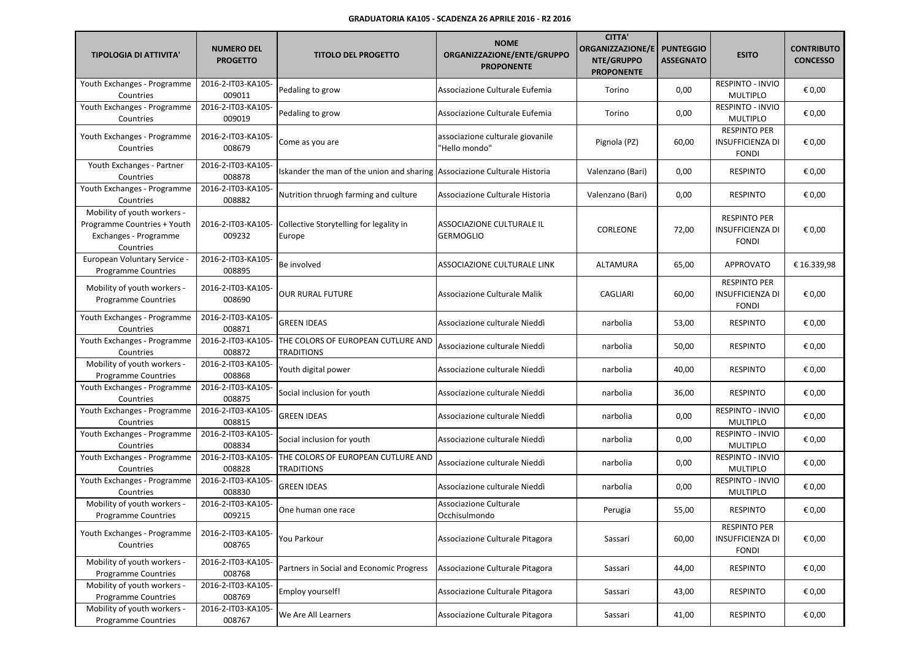| <b>TIPOLOGIA DI ATTIVITA'</b>                                                                    | <b>NUMERO DEL</b><br><b>PROGETTO</b> | <b>TITOLO DEL PROGETTO</b>                                                | <b>NOME</b><br>ORGANIZZAZIONE/ENTE/GRUPPO<br><b>PROPONENTE</b> | <b>CITTA'</b><br><b>ORGANIZZAZIONE/E</b><br>NTE/GRUPPO<br><b>PROPONENTE</b> | <b>PUNTEGGIO</b><br><b>ASSEGNATO</b> | <b>ESITO</b>                                                   | <b>CONTRIBUTO</b><br><b>CONCESSO</b> |
|--------------------------------------------------------------------------------------------------|--------------------------------------|---------------------------------------------------------------------------|----------------------------------------------------------------|-----------------------------------------------------------------------------|--------------------------------------|----------------------------------------------------------------|--------------------------------------|
| Youth Exchanges - Programme<br>Countries                                                         | 2016-2-IT03-KA105-<br>009011         | Pedaling to grow                                                          | Associazione Culturale Eufemia                                 | Torino                                                                      | 0,00                                 | RESPINTO - INVIO<br><b>MULTIPLO</b>                            | € 0,00                               |
| Youth Exchanges - Programme<br>Countries                                                         | 2016-2-IT03-KA105-<br>009019         | Pedaling to grow                                                          | Associazione Culturale Eufemia                                 | Torino                                                                      | 0,00                                 | RESPINTO - INVIO<br><b>MULTIPLO</b>                            | € 0,00                               |
| Youth Exchanges - Programme<br>Countries                                                         | 2016-2-IT03-KA105-<br>008679         | Come as you are                                                           | associazione culturale giovanile<br>"Hello mondo"              | Pignola (PZ)                                                                | 60,00                                | <b>RESPINTO PER</b><br><b>INSUFFICIENZA DI</b><br><b>FONDI</b> | € 0,00                               |
| Youth Exchanges - Partner<br>Countries                                                           | 2016-2-IT03-KA105-<br>008878         | Iskander the man of the union and sharing Associazione Culturale Historia |                                                                | Valenzano (Bari)                                                            | 0,00                                 | <b>RESPINTO</b>                                                | € 0,00                               |
| Youth Exchanges - Programme<br>Countries                                                         | 2016-2-IT03-KA105-<br>008882         | Nutrition thruogh farming and culture                                     | Associazione Culturale Historia                                | Valenzano (Bari)                                                            | 0,00                                 | <b>RESPINTO</b>                                                | € 0,00                               |
| Mobility of youth workers -<br>Programme Countries + Youth<br>Exchanges - Programme<br>Countries | 2016-2-IT03-KA105-<br>009232         | Collective Storytelling for legality in<br>Europe                         | ASSOCIAZIONE CULTURALE IL<br><b>GERMOGLIO</b>                  | CORLEONE                                                                    | 72,00                                | <b>RESPINTO PER</b><br>INSUFFICIENZA DI<br><b>FONDI</b>        | € 0,00                               |
| European Voluntary Service -<br><b>Programme Countries</b>                                       | 2016-2-IT03-KA105-<br>008895         | Be involved                                                               | ASSOCIAZIONE CULTURALE LINK                                    | <b>ALTAMURA</b>                                                             | 65,00                                | <b>APPROVATO</b>                                               | € 16.339.98                          |
| Mobility of youth workers -<br>Programme Countries                                               | 2016-2-IT03-KA105-<br>008690         | <b>OUR RURAL FUTURE</b>                                                   | Associazione Culturale Malik                                   | CAGLIARI                                                                    | 60,00                                | <b>RESPINTO PER</b><br><b>INSUFFICIENZA DI</b><br><b>FONDI</b> | € 0,00                               |
| Youth Exchanges - Programme<br>Countries                                                         | 2016-2-IT03-KA105-<br>008871         | <b>GREEN IDEAS</b>                                                        | Associazione culturale Nieddì                                  | narbolia                                                                    | 53,00                                | <b>RESPINTO</b>                                                | € 0,00                               |
| Youth Exchanges - Programme<br>Countries                                                         | 2016-2-IT03-KA105-<br>008872         | THE COLORS OF EUROPEAN CUTLURE AND<br><b>TRADITIONS</b>                   | Associazione culturale Nieddì                                  | narbolia                                                                    | 50,00                                | <b>RESPINTO</b>                                                | € 0,00                               |
| Mobility of youth workers -<br><b>Programme Countries</b>                                        | 2016-2-IT03-KA105-<br>008868         | Youth digital power                                                       | Associazione culturale Nieddì                                  | narbolia                                                                    | 40,00                                | <b>RESPINTO</b>                                                | € 0,00                               |
| Youth Exchanges - Programme<br>Countries                                                         | 2016-2-IT03-KA105-<br>008875         | Social inclusion for youth                                                | Associazione culturale Nieddì                                  | narbolia                                                                    | 36,00                                | <b>RESPINTO</b>                                                | € 0,00                               |
| Youth Exchanges - Programme<br>Countries                                                         | 2016-2-IT03-KA105-<br>008815         | <b>GREEN IDEAS</b>                                                        | Associazione culturale Nieddì                                  | narbolia                                                                    | 0,00                                 | RESPINTO - INVIO<br><b>MULTIPLO</b>                            | € 0,00                               |
| Youth Exchanges - Programme<br>Countries                                                         | 2016-2-IT03-KA105-<br>008834         | Social inclusion for youth                                                | Associazione culturale Nieddì                                  | narbolia                                                                    | 0,00                                 | RESPINTO - INVIO<br><b>MULTIPLO</b>                            | € 0,00                               |
| Youth Exchanges - Programme<br>Countries                                                         | 2016-2-IT03-KA105-<br>008828         | THE COLORS OF EUROPEAN CUTLURE AND<br><b>TRADITIONS</b>                   | Associazione culturale Nieddì                                  | narbolia                                                                    | 0,00                                 | RESPINTO - INVIO<br><b>MULTIPLO</b>                            | € 0,00                               |
| Youth Exchanges - Programme<br>Countries                                                         | 2016-2-IT03-KA105-<br>008830         | <b>GREEN IDEAS</b>                                                        | Associazione culturale Nieddì                                  | narbolia                                                                    | 0,00                                 | RESPINTO - INVIO<br><b>MULTIPLO</b>                            | € 0,00                               |
| Mobility of youth workers -<br>Programme Countries                                               | 2016-2-IT03-KA105-<br>009215         | One human one race                                                        | Associazione Culturale<br>Occhisulmondo                        | Perugia                                                                     | 55,00                                | <b>RESPINTO</b>                                                | € 0,00                               |
| Youth Exchanges - Programme<br>Countries                                                         | 2016-2-IT03-KA105-<br>008765         | You Parkour                                                               | Associazione Culturale Pitagora                                | Sassari                                                                     | 60,00                                | <b>RESPINTO PER</b><br><b>INSUFFICIENZA DI</b><br><b>FONDI</b> | € 0,00                               |
| Mobility of youth workers -<br><b>Programme Countries</b>                                        | 2016-2-IT03-KA105-<br>008768         | Partners in Social and Economic Progress                                  | Associazione Culturale Pitagora                                | Sassari                                                                     | 44,00                                | <b>RESPINTO</b>                                                | € 0,00                               |
| Mobility of youth workers -<br><b>Programme Countries</b>                                        | 2016-2-IT03-KA105-<br>008769         | Employ yourself!                                                          | Associazione Culturale Pitagora                                | Sassari                                                                     | 43,00                                | <b>RESPINTO</b>                                                | € 0,00                               |
| Mobility of youth workers -<br>Programme Countries                                               | 2016-2-IT03-KA105-<br>008767         | We Are All Learners                                                       | Associazione Culturale Pitagora                                | Sassari                                                                     | 41,00                                | <b>RESPINTO</b>                                                | € 0,00                               |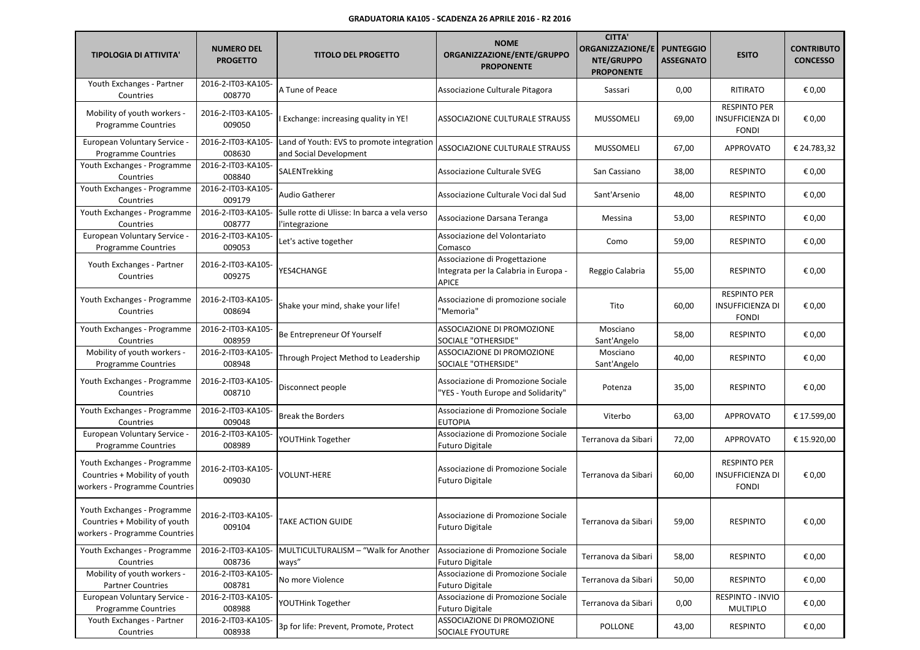| <b>TIPOLOGIA DI ATTIVITA'</b>                                                                 | <b>NUMERO DEL</b><br><b>PROGETTO</b> | <b>TITOLO DEL PROGETTO</b>                                          | <b>NOME</b><br>ORGANIZZAZIONE/ENTE/GRUPPO<br><b>PROPONENTE</b>                         | <b>CITTA'</b><br><b>ORGANIZZAZIONE/E</b><br>NTE/GRUPPO<br><b>PROPONENTE</b> | <b>PUNTEGGIO</b><br><b>ASSEGNATO</b> | <b>ESITO</b>                                                   | <b>CONTRIBUTO</b><br><b>CONCESSO</b> |
|-----------------------------------------------------------------------------------------------|--------------------------------------|---------------------------------------------------------------------|----------------------------------------------------------------------------------------|-----------------------------------------------------------------------------|--------------------------------------|----------------------------------------------------------------|--------------------------------------|
| Youth Exchanges - Partner<br>Countries                                                        | 2016-2-IT03-KA105-<br>008770         | A Tune of Peace                                                     | Associazione Culturale Pitagora                                                        | Sassari                                                                     | 0,00                                 | <b>RITIRATO</b>                                                | € 0,00                               |
| Mobility of youth workers -<br><b>Programme Countries</b>                                     | 2016-2-IT03-KA105-<br>009050         | Exchange: increasing quality in YE!                                 | ASSOCIAZIONE CULTURALE STRAUSS                                                         | MUSSOMELI                                                                   | 69,00                                | <b>RESPINTO PER</b><br>INSUFFICIENZA DI<br><b>FONDI</b>        | € 0,00                               |
| European Voluntary Service -<br><b>Programme Countries</b>                                    | 2016-2-IT03-KA105-<br>008630         | Land of Youth: EVS to promote integration<br>and Social Development | ASSOCIAZIONE CULTURALE STRAUSS                                                         | <b>MUSSOMELI</b>                                                            | 67,00                                | <b>APPROVATO</b>                                               | € 24.783,32                          |
| Youth Exchanges - Programme<br>Countries                                                      | 2016-2-IT03-KA105-<br>008840         | SALENTrekking                                                       | Associazione Culturale SVEG                                                            | San Cassiano                                                                | 38,00                                | <b>RESPINTO</b>                                                | € 0,00                               |
| Youth Exchanges - Programme<br>Countries                                                      | 2016-2-IT03-KA105-<br>009179         | Audio Gatherer                                                      | Associazione Culturale Voci dal Sud                                                    | Sant'Arsenio                                                                | 48,00                                | <b>RESPINTO</b>                                                | € 0,00                               |
| Youth Exchanges - Programme<br>Countries                                                      | 2016-2-IT03-KA105-<br>008777         | Sulle rotte di Ulisse: In barca a vela verso<br>l'integrazione      | Associazione Darsana Teranga                                                           | Messina                                                                     | 53,00                                | <b>RESPINTO</b>                                                | € 0,00                               |
| European Voluntary Service -<br><b>Programme Countries</b>                                    | 2016-2-IT03-KA105-<br>009053         | Let's active together                                               | Associazione del Volontariato<br>Comasco                                               | Como                                                                        | 59,00                                | <b>RESPINTO</b>                                                | € 0,00                               |
| Youth Exchanges - Partner<br>Countries                                                        | 2016-2-IT03-KA105-<br>009275         | YES4CHANGE                                                          | Associazione di Progettazione<br>Integrata per la Calabria in Europa -<br><b>APICE</b> | Reggio Calabria                                                             | 55,00                                | <b>RESPINTO</b>                                                | € 0,00                               |
| Youth Exchanges - Programme<br>Countries                                                      | 2016-2-IT03-KA105-<br>008694         | Shake your mind, shake your life!                                   | Associazione di promozione sociale<br>"Memorìa"                                        | Tito                                                                        | 60,00                                | <b>RESPINTO PER</b><br><b>INSUFFICIENZA DI</b><br><b>FONDI</b> | € 0,00                               |
| Youth Exchanges - Programme<br>Countries                                                      | 2016-2-IT03-KA105-<br>008959         | Be Entrepreneur Of Yourself                                         | ASSOCIAZIONE DI PROMOZIONE<br>SOCIALE "OTHERSIDE"                                      | Mosciano<br>Sant'Angelo                                                     | 58,00                                | <b>RESPINTO</b>                                                | € 0,00                               |
| Mobility of youth workers -<br><b>Programme Countries</b>                                     | 2016-2-IT03-KA105-<br>008948         | Through Project Method to Leadership                                | ASSOCIAZIONE DI PROMOZIONE<br>SOCIALE "OTHERSIDE"                                      | Mosciano<br>Sant'Angelo                                                     | 40,00                                | <b>RESPINTO</b>                                                | € 0,00                               |
| Youth Exchanges - Programme<br>Countries                                                      | 2016-2-IT03-KA105-<br>008710         | Disconnect people                                                   | Associazione di Promozione Sociale<br>'YES - Youth Europe and Solidarity"              | Potenza                                                                     | 35,00                                | <b>RESPINTO</b>                                                | € 0,00                               |
| Youth Exchanges - Programme<br>Countries                                                      | 2016-2-IT03-KA105-<br>009048         | <b>Break the Borders</b>                                            | Associazione di Promozione Sociale<br><b>EUTOPIA</b>                                   | Viterbo                                                                     | 63,00                                | <b>APPROVATO</b>                                               | € 17.599,00                          |
| European Voluntary Service -<br><b>Programme Countries</b>                                    | 2016-2-IT03-KA105-<br>008989         | YOUTHink Together                                                   | Associazione di Promozione Sociale<br>Futuro Digitale                                  | Terranova da Sibari                                                         | 72,00                                | <b>APPROVATO</b>                                               | € 15.920,00                          |
| Youth Exchanges - Programme<br>Countries + Mobility of youth<br>workers - Programme Countries | 2016-2-IT03-KA105-<br>009030         | <b>VOLUNT-HERE</b>                                                  | Associazione di Promozione Sociale<br><b>Futuro Digitale</b>                           | Terranova da Sibari                                                         | 60,00                                | <b>RESPINTO PER</b><br>INSUFFICIENZA DI<br><b>FONDI</b>        | € 0,00                               |
| Youth Exchanges - Programme<br>Countries + Mobility of youth<br>workers - Programme Countries | 2016-2-IT03-KA105-<br>009104         | TAKE ACTION GUIDE                                                   | Associazione di Promozione Sociale<br><b>Futuro Digitale</b>                           | Terranova da Sibari                                                         | 59,00                                | RESPINTO                                                       | € 0,00                               |
| Youth Exchanges - Programme<br>Countries                                                      | 2016-2-IT03-KA105-<br>008736         | MULTICULTURALISM - "Walk for Another<br>ways"                       | Associazione di Promozione Sociale<br><b>Futuro Digitale</b>                           | Terranova da Sibari                                                         | 58,00                                | <b>RESPINTO</b>                                                | € 0,00                               |
| Mobility of youth workers -<br><b>Partner Countries</b>                                       | 2016-2-IT03-KA105-<br>008781         | No more Violence                                                    | Associazione di Promozione Sociale<br><b>Futuro Digitale</b>                           | Terranova da Sibari                                                         | 50,00                                | <b>RESPINTO</b>                                                | € 0,00                               |
| European Voluntary Service -<br><b>Programme Countries</b>                                    | 2016-2-IT03-KA105-<br>008988         | YOUTHink Together                                                   | Associazione di Promozione Sociale<br>Futuro Digitale                                  | Terranova da Sibari                                                         | 0,00                                 | RESPINTO - INVIO<br>MULTIPLO                                   | € 0,00                               |
| Youth Exchanges - Partner<br>Countries                                                        | 2016-2-IT03-KA105-<br>008938         | 3p for life: Prevent, Promote, Protect                              | ASSOCIAZIONE DI PROMOZIONE<br><b>SOCIALE FYOUTURE</b>                                  | POLLONE                                                                     | 43,00                                | <b>RESPINTO</b>                                                | € 0,00                               |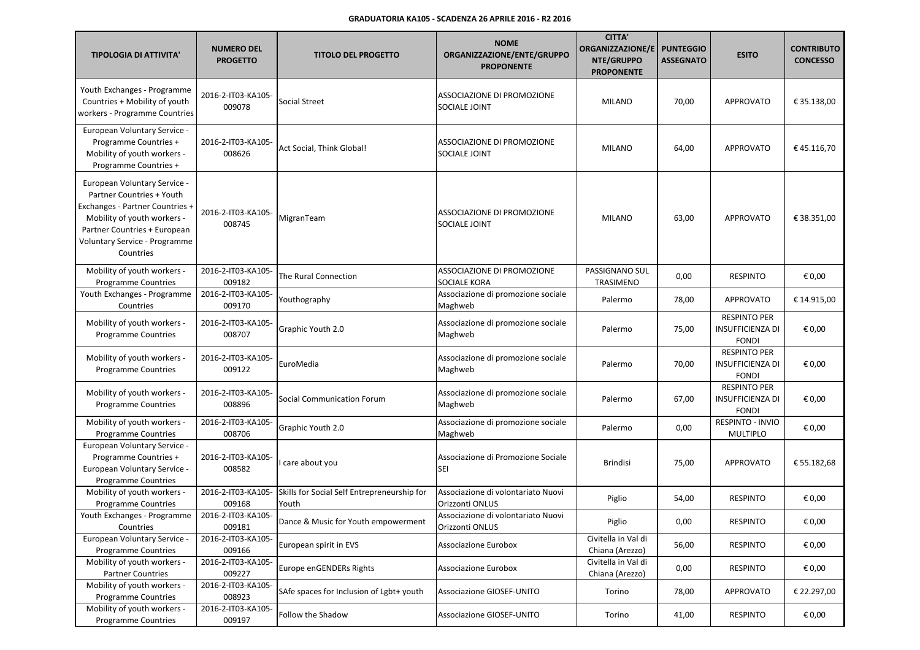| <b>TIPOLOGIA DI ATTIVITA'</b>                                                                                                                                                                             | <b>NUMERO DEL</b><br><b>PROGETTO</b> | <b>TITOLO DEL PROGETTO</b>                           | <b>NOME</b><br>ORGANIZZAZIONE/ENTE/GRUPPO<br><b>PROPONENTE</b> | <b>CITTA'</b><br>ORGANIZZAZIONE/E<br>NTE/GRUPPO<br><b>PROPONENTE</b> | <b>PUNTEGGIO</b><br><b>ASSEGNATO</b> | <b>ESITO</b>                                                   | <b>CONTRIBUTO</b><br><b>CONCESSO</b> |
|-----------------------------------------------------------------------------------------------------------------------------------------------------------------------------------------------------------|--------------------------------------|------------------------------------------------------|----------------------------------------------------------------|----------------------------------------------------------------------|--------------------------------------|----------------------------------------------------------------|--------------------------------------|
| Youth Exchanges - Programme<br>Countries + Mobility of youth<br>workers - Programme Countries                                                                                                             | 2016-2-IT03-KA105-<br>009078         | Social Street                                        | ASSOCIAZIONE DI PROMOZIONE<br>SOCIALE JOINT                    | <b>MILANO</b>                                                        | 70,00                                | <b>APPROVATO</b>                                               | € 35.138,00                          |
| European Voluntary Service -<br>Programme Countries +<br>Mobility of youth workers -<br>Programme Countries +                                                                                             | 2016-2-IT03-KA105-<br>008626         | Act Social, Think Global!                            | ASSOCIAZIONE DI PROMOZIONE<br>SOCIALE JOINT                    | <b>MILANO</b>                                                        | 64,00                                | <b>APPROVATO</b>                                               | €45.116,70                           |
| European Voluntary Service -<br>Partner Countries + Youth<br>Exchanges - Partner Countries +<br>Mobility of youth workers -<br>Partner Countries + European<br>Voluntary Service - Programme<br>Countries | 2016-2-IT03-KA105-<br>008745         | MigranTeam                                           | ASSOCIAZIONE DI PROMOZIONE<br>SOCIALE JOINT                    | <b>MILANO</b>                                                        | 63,00                                | <b>APPROVATO</b>                                               | € 38.351,00                          |
| Mobility of youth workers -<br><b>Programme Countries</b>                                                                                                                                                 | 2016-2-IT03-KA105-<br>009182         | The Rural Connection                                 | ASSOCIAZIONE DI PROMOZIONE<br>SOCIALE KORA                     | PASSIGNANO SUL<br>TRASIMENO                                          | 0,00                                 | <b>RESPINTO</b>                                                | € 0,00                               |
| Youth Exchanges - Programme<br>Countries                                                                                                                                                                  | 2016-2-IT03-KA105-<br>009170         | Youthography                                         | Associazione di promozione sociale<br>Maghweb                  | Palermo                                                              | 78,00                                | <b>APPROVATO</b>                                               | € 14.915,00                          |
| Mobility of youth workers -<br><b>Programme Countries</b>                                                                                                                                                 | 2016-2-IT03-KA105-<br>008707         | Graphic Youth 2.0                                    | Associazione di promozione sociale<br>Maghweb                  | Palermo                                                              | 75,00                                | <b>RESPINTO PER</b><br><b>INSUFFICIENZA DI</b><br><b>FONDI</b> | € 0,00                               |
| Mobility of youth workers -<br><b>Programme Countries</b>                                                                                                                                                 | 2016-2-IT03-KA105-<br>009122         | EuroMedia                                            | Associazione di promozione sociale<br>Maghweb                  | Palermo                                                              | 70,00                                | <b>RESPINTO PER</b><br><b>INSUFFICIENZA DI</b><br><b>FONDI</b> | € 0,00                               |
| Mobility of youth workers -<br>Programme Countries                                                                                                                                                        | 2016-2-IT03-KA105-<br>008896         | <b>Social Communication Forum</b>                    | Associazione di promozione sociale<br>Maghweb                  | Palermo                                                              | 67,00                                | <b>RESPINTO PER</b><br><b>INSUFFICIENZA DI</b><br><b>FONDI</b> | € 0,00                               |
| Mobility of youth workers -<br><b>Programme Countries</b>                                                                                                                                                 | 2016-2-IT03-KA105-<br>008706         | Graphic Youth 2.0                                    | Associazione di promozione sociale<br>Maghweb                  | Palermo                                                              | 0,00                                 | RESPINTO - INVIO<br><b>MULTIPLO</b>                            | € 0,00                               |
| European Voluntary Service -<br>Programme Countries +<br>European Voluntary Service -<br><b>Programme Countries</b>                                                                                       | 2016-2-IT03-KA105-<br>008582         | I care about you                                     | Associazione di Promozione Sociale<br><b>SEI</b>               | <b>Brindisi</b>                                                      | 75,00                                | <b>APPROVATO</b>                                               | € 55.182,68                          |
| Mobility of youth workers -<br><b>Programme Countries</b>                                                                                                                                                 | 2016-2-IT03-KA105-<br>009168         | Skills for Social Self Entrepreneurship for<br>Youth | Associazione di volontariato Nuovi<br>Orizzonti ONLUS          | Piglio                                                               | 54,00                                | <b>RESPINTO</b>                                                | € 0,00                               |
| Youth Exchanges - Programme<br>Countries                                                                                                                                                                  | 2016-2-IT03-KA105-<br>009181         | Dance & Music for Youth empowerment                  | Associazione di volontariato Nuovi<br>Orizzonti ONLUS          | Piglio                                                               | 0,00                                 | RESPINTO                                                       | € 0,00                               |
| European Voluntary Service -<br><b>Programme Countries</b>                                                                                                                                                | 2016-2-IT03-KA105-<br>009166         | European spirit in EVS                               | Associazione Eurobox                                           | Civitella in Val di<br>Chiana (Arezzo)                               | 56,00                                | <b>RESPINTO</b>                                                | € 0,00                               |
| Mobility of youth workers -<br><b>Partner Countries</b>                                                                                                                                                   | 2016-2-IT03-KA105-<br>009227         | Europe enGENDERs Rights                              | Associazione Eurobox                                           | Civitella in Val di<br>Chiana (Arezzo)                               | 0,00                                 | <b>RESPINTO</b>                                                | € 0,00                               |
| Mobility of youth workers -<br><b>Programme Countries</b>                                                                                                                                                 | 2016-2-IT03-KA105-<br>008923         | SAfe spaces for Inclusion of Lgbt+ youth             | Associazione GIOSEF-UNITO                                      | Torino                                                               | 78,00                                | APPROVATO                                                      | € 22.297,00                          |
| Mobility of youth workers -<br><b>Programme Countries</b>                                                                                                                                                 | 2016-2-IT03-KA105-<br>009197         | Follow the Shadow                                    | Associazione GIOSEF-UNITO                                      | Torino                                                               | 41,00                                | <b>RESPINTO</b>                                                | € 0,00                               |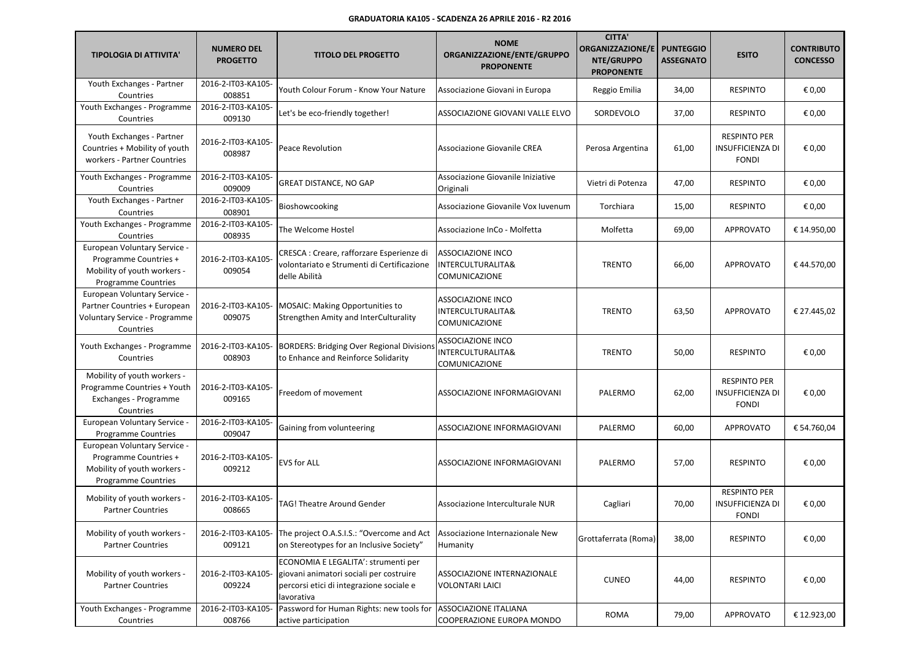| <b>TIPOLOGIA DI ATTIVITA'</b>                                                                                      | <b>NUMERO DEL</b><br><b>PROGETTO</b> | <b>TITOLO DEL PROGETTO</b>                                                                                                               | <b>NOME</b><br>ORGANIZZAZIONE/ENTE/GRUPPO<br><b>PROPONENTE</b>            | <b>CITTA'</b><br><b>ORGANIZZAZIONE/E</b><br>NTE/GRUPPO<br><b>PROPONENTE</b> | <b>PUNTEGGIO</b><br><b>ASSEGNATO</b> | <b>ESITO</b>                                                   | <b>CONTRIBUTO</b><br><b>CONCESSO</b> |
|--------------------------------------------------------------------------------------------------------------------|--------------------------------------|------------------------------------------------------------------------------------------------------------------------------------------|---------------------------------------------------------------------------|-----------------------------------------------------------------------------|--------------------------------------|----------------------------------------------------------------|--------------------------------------|
| Youth Exchanges - Partner<br>Countries                                                                             | 2016-2-IT03-KA105-<br>008851         | Youth Colour Forum - Know Your Nature                                                                                                    | Associazione Giovani in Europa                                            | Reggio Emilia                                                               | 34,00                                | <b>RESPINTO</b>                                                | € 0,00                               |
| Youth Exchanges - Programme<br>Countries                                                                           | 2016-2-IT03-KA105-<br>009130         | Let's be eco-friendly together!                                                                                                          | ASSOCIAZIONE GIOVANI VALLE ELVO                                           | SORDEVOLO                                                                   | 37,00                                | <b>RESPINTO</b>                                                | € 0,00                               |
| Youth Exchanges - Partner<br>Countries + Mobility of youth<br>workers - Partner Countries                          | 2016-2-IT03-KA105-<br>008987         | Peace Revolution                                                                                                                         | Associazione Giovanile CREA                                               | Perosa Argentina                                                            | 61,00                                | <b>RESPINTO PER</b><br><b>INSUFFICIENZA DI</b><br><b>FONDI</b> | € 0,00                               |
| Youth Exchanges - Programme<br>Countries                                                                           | 2016-2-IT03-KA105-<br>009009         | <b>GREAT DISTANCE, NO GAP</b>                                                                                                            | Associazione Giovanile Iniziative<br>Originali                            | Vietri di Potenza                                                           | 47,00                                | <b>RESPINTO</b>                                                | € 0,00                               |
| Youth Exchanges - Partner<br>Countries                                                                             | 2016-2-IT03-KA105-<br>008901         | Bioshowcooking                                                                                                                           | Associazione Giovanile Vox Iuvenum                                        | Torchiara                                                                   | 15,00                                | <b>RESPINTO</b>                                                | € 0,00                               |
| Youth Exchanges - Programme<br>Countries                                                                           | 2016-2-IT03-KA105-<br>008935         | The Welcome Hostel                                                                                                                       | Associazione InCo - Molfetta                                              | Molfetta                                                                    | 69,00                                | <b>APPROVATO</b>                                               | € 14.950,00                          |
| European Voluntary Service -<br>Programme Countries +<br>Mobility of youth workers -<br><b>Programme Countries</b> | 2016-2-IT03-KA105-<br>009054         | CRESCA : Creare, rafforzare Esperienze di<br>volontariato e Strumenti di Certificazione<br>delle Abilità                                 | ASSOCIAZIONE INCO<br>INTERCULTURALITA&<br>COMUNICAZIONE                   | <b>TRENTO</b>                                                               | 66,00                                | <b>APPROVATO</b>                                               | €44.570,00                           |
| European Voluntary Service -<br>Partner Countries + European<br>Voluntary Service - Programme<br>Countries         | 2016-2-IT03-KA105-<br>009075         | MOSAIC: Making Opportunities to<br>Strengthen Amity and InterCulturality                                                                 | ASSOCIAZIONE INCO<br>INTERCULTURALITA&<br><b>COMUNICAZIONE</b>            | <b>TRENTO</b>                                                               | 63,50                                | <b>APPROVATO</b>                                               | € 27.445.02                          |
| Youth Exchanges - Programme<br>Countries                                                                           | 2016-2-IT03-KA105-<br>008903         | <b>BORDERS: Bridging Over Regional Divisions</b><br>to Enhance and Reinforce Solidarity                                                  | <b>ASSOCIAZIONE INCO</b><br><b>INTERCULTURALITA&amp;</b><br>COMUNICAZIONE | <b>TRENTO</b>                                                               | 50,00                                | <b>RESPINTO</b>                                                | € 0,00                               |
| Mobility of youth workers -<br>Programme Countries + Youth<br>Exchanges - Programme<br>Countries                   | 2016-2-IT03-KA105-<br>009165         | Freedom of movement                                                                                                                      | ASSOCIAZIONE INFORMAGIOVANI                                               | PALERMO                                                                     | 62,00                                | <b>RESPINTO PER</b><br><b>INSUFFICIENZA DI</b><br><b>FONDI</b> | € 0,00                               |
| European Voluntary Service -<br><b>Programme Countries</b>                                                         | 2016-2-IT03-KA105-<br>009047         | Gaining from volunteering                                                                                                                | ASSOCIAZIONE INFORMAGIOVANI                                               | PALERMO                                                                     | 60,00                                | <b>APPROVATO</b>                                               | € 54.760,04                          |
| European Voluntary Service -<br>Programme Countries +<br>Mobility of youth workers -<br><b>Programme Countries</b> | 2016-2-IT03-KA105-<br>009212         | <b>EVS for ALL</b>                                                                                                                       | ASSOCIAZIONE INFORMAGIOVANI                                               | PALERMO                                                                     | 57,00                                | <b>RESPINTO</b>                                                | € 0,00                               |
| Mobility of youth workers -<br><b>Partner Countries</b>                                                            | 2016-2-IT03-KA105-<br>008665         | TAG! Theatre Around Gender                                                                                                               | Associazione Interculturale NUR                                           | Cagliari                                                                    | 70,00                                | <b>RESPINTO PER</b><br>INSUFFICIENZA DI<br><b>FONDI</b>        | € 0,00                               |
| Mobility of youth workers -<br><b>Partner Countries</b>                                                            | 2016-2-IT03-KA105-<br>009121         | The project O.A.S.I.S.: "Overcome and Act<br>on Stereotypes for an Inclusive Society"                                                    | Associazione Internazionale New<br>Humanity                               | Grottaferrata (Roma)                                                        | 38,00                                | <b>RESPINTO</b>                                                | € 0,00                               |
| Mobility of youth workers -<br><b>Partner Countries</b>                                                            | 2016-2-IT03-KA105-<br>009224         | ECONOMIA E LEGALITA': strumenti per<br>giovani animatori sociali per costruire<br>percorsi etici di integrazione sociale e<br>lavorativa | ASSOCIAZIONE INTERNAZIONALE<br><b>VOLONTARI LAICI</b>                     | <b>CUNEO</b>                                                                | 44,00                                | <b>RESPINTO</b>                                                | € 0,00                               |
| Youth Exchanges - Programme<br>Countries                                                                           | 2016-2-IT03-KA105-<br>008766         | Password for Human Rights: new tools for<br>active participation                                                                         | <b>ASSOCIAZIONE ITALIANA</b><br>COOPERAZIONE EUROPA MONDO                 | <b>ROMA</b>                                                                 | 79,00                                | APPROVATO                                                      | € 12.923,00                          |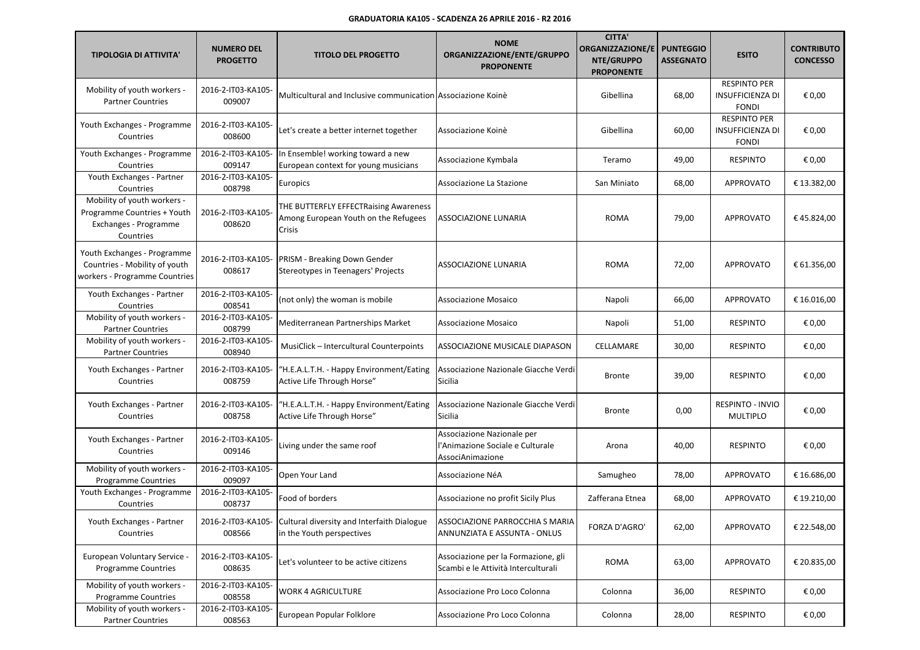| <b>TIPOLOGIA DI ATTIVITA'</b>                                                                    | <b>NUMERO DEL</b><br><b>PROGETTO</b> | <b>TITOLO DEL PROGETTO</b>                                                                 | <b>NOME</b><br>ORGANIZZAZIONE/ENTE/GRUPPO<br><b>PROPONENTE</b>                     | <b>CITTA'</b><br>ORGANIZZAZIONE/E<br>NTE/GRUPPO<br><b>PROPONENTE</b> | <b>PUNTEGGIO</b><br><b>ASSEGNATO</b> | <b>ESITO</b>                                                   | <b>CONTRIBUTO</b><br><b>CONCESSO</b> |
|--------------------------------------------------------------------------------------------------|--------------------------------------|--------------------------------------------------------------------------------------------|------------------------------------------------------------------------------------|----------------------------------------------------------------------|--------------------------------------|----------------------------------------------------------------|--------------------------------------|
| Mobility of youth workers -<br><b>Partner Countries</b>                                          | 2016-2-IT03-KA105-<br>009007         | Multicultural and Inclusive communication Associazione Koinè                               |                                                                                    | Gibellina                                                            | 68,00                                | <b>RESPINTO PER</b><br><b>INSUFFICIENZA DI</b><br><b>FONDI</b> | € 0,00                               |
| Youth Exchanges - Programme<br>Countries                                                         | 2016-2-IT03-KA105-<br>008600         | Let's create a better internet together                                                    | Associazione Koinè                                                                 | Gibellina                                                            | 60,00                                | <b>RESPINTO PER</b><br><b>INSUFFICIENZA DI</b><br><b>FONDI</b> | € 0,00                               |
| Youth Exchanges - Programme<br>Countries                                                         | 2016-2-IT03-KA105-<br>009147         | In Ensemble! working toward a new<br>European context for young musicians                  | Associazione Kymbala                                                               | Teramo                                                               | 49,00                                | <b>RESPINTO</b>                                                | € 0,00                               |
| Youth Exchanges - Partner<br>Countries                                                           | 2016-2-IT03-KA105-<br>008798         | Europics                                                                                   | Associazione La Stazione                                                           | San Miniato                                                          | 68,00                                | <b>APPROVATO</b>                                               | € 13.382,00                          |
| Mobility of youth workers -<br>Programme Countries + Youth<br>Exchanges - Programme<br>Countries | 2016-2-IT03-KA105-<br>008620         | THE BUTTERFLY EFFECTRaising Awareness<br>Among European Youth on the Refugees<br>Crisis    | ASSOCIAZIONE LUNARIA                                                               | <b>ROMA</b>                                                          | 79,00                                | <b>APPROVATO</b>                                               | €45.824,00                           |
| Youth Exchanges - Programme<br>Countries - Mobility of youth<br>workers - Programme Countries    | 2016-2-IT03-KA105-<br>008617         | PRISM - Breaking Down Gender<br>Stereotypes in Teenagers' Projects                         | <b>ASSOCIAZIONE LUNARIA</b>                                                        | <b>ROMA</b>                                                          | 72,00                                | <b>APPROVATO</b>                                               | € 61.356,00                          |
| Youth Exchanges - Partner<br>Countries                                                           | 2016-2-IT03-KA105-<br>008541         | (not only) the woman is mobile                                                             | Associazione Mosaico                                                               | Napoli                                                               | 66,00                                | <b>APPROVATO</b>                                               | € 16.016,00                          |
| Mobility of youth workers -<br><b>Partner Countries</b>                                          | 2016-2-IT03-KA105-<br>008799         | Mediterranean Partnerships Market                                                          | Associazione Mosaico                                                               | Napoli                                                               | 51,00                                | <b>RESPINTO</b>                                                | € 0,00                               |
| Mobility of youth workers -<br><b>Partner Countries</b>                                          | 2016-2-IT03-KA105-<br>008940         | MusiClick - Intercultural Counterpoints                                                    | ASSOCIAZIONE MUSICALE DIAPASON                                                     | CELLAMARE                                                            | 30,00                                | <b>RESPINTO</b>                                                | € 0,00                               |
| Youth Exchanges - Partner<br>Countries                                                           | 2016-2-IT03-KA105-<br>008759         | "H.E.A.L.T.H. - Happy Environment/Eating<br>Active Life Through Horse"                     | Associazione Nazionale Giacche Verdi<br>Sicilia                                    | <b>Bronte</b>                                                        | 39,00                                | <b>RESPINTO</b>                                                | € 0,00                               |
| Youth Exchanges - Partner<br>Countries                                                           | 2016-2-IT03-KA105-<br>008758         | "H.E.A.L.T.H. - Happy Environment/Eating<br>Active Life Through Horse"                     | Associazione Nazionale Giacche Verdi<br>Sicilia                                    | <b>Bronte</b>                                                        | 0,00                                 | RESPINTO - INVIO<br>MULTIPLO                                   | € 0,00                               |
| Youth Exchanges - Partner<br>Countries                                                           | 2016-2-IT03-KA105-<br>009146         | Living under the same roof                                                                 | Associazione Nazionale per<br>l'Animazione Sociale e Culturale<br>AssociAnimazione | Arona                                                                | 40,00                                | <b>RESPINTO</b>                                                | € 0,00                               |
| Mobility of youth workers -<br><b>Programme Countries</b>                                        | 2016-2-IT03-KA105-<br>009097         | Open Your Land                                                                             | Associazione NéA                                                                   | Samugheo                                                             | 78,00                                | <b>APPROVATO</b>                                               | € 16.686,00                          |
| Youth Exchanges - Programme<br>Countries                                                         | 2016-2-IT03-KA105-<br>008737         | Food of borders                                                                            | Associazione no profit Sicily Plus                                                 | Zafferana Etnea                                                      | 68,00                                | <b>APPROVATO</b>                                               | € 19.210,00                          |
| Youth Exchanges - Partner<br>Countries                                                           | 008566                               | 2016-2-IT03-KA105- Cultural diversity and Interfaith Dialogue<br>in the Youth perspectives | ASSOCIAZIONE PARROCCHIA S MARIA<br>ANNUNZIATA E ASSUNTA - ONLUS                    | <b>FORZA D'AGRO'</b>                                                 | 62,00                                | APPROVATO                                                      | € 22.548,00                          |
| European Voluntary Service -<br><b>Programme Countries</b>                                       | 2016-2-IT03-KA105-<br>008635         | Let's volunteer to be active citizens                                                      | Associazione per la Formazione, gli<br>Scambi e le Attività Interculturali         | <b>ROMA</b>                                                          | 63,00                                | APPROVATO                                                      | € 20.835,00                          |
| Mobility of youth workers -<br><b>Programme Countries</b>                                        | 2016-2-IT03-KA105-<br>008558         | <b>WORK 4 AGRICULTURE</b>                                                                  | Associazione Pro Loco Colonna                                                      | Colonna                                                              | 36,00                                | RESPINTO                                                       | € 0,00                               |
| Mobility of youth workers -<br><b>Partner Countries</b>                                          | 2016-2-IT03-KA105-<br>008563         | European Popular Folklore                                                                  | Associazione Pro Loco Colonna                                                      | Colonna                                                              | 28,00                                | <b>RESPINTO</b>                                                | € 0,00                               |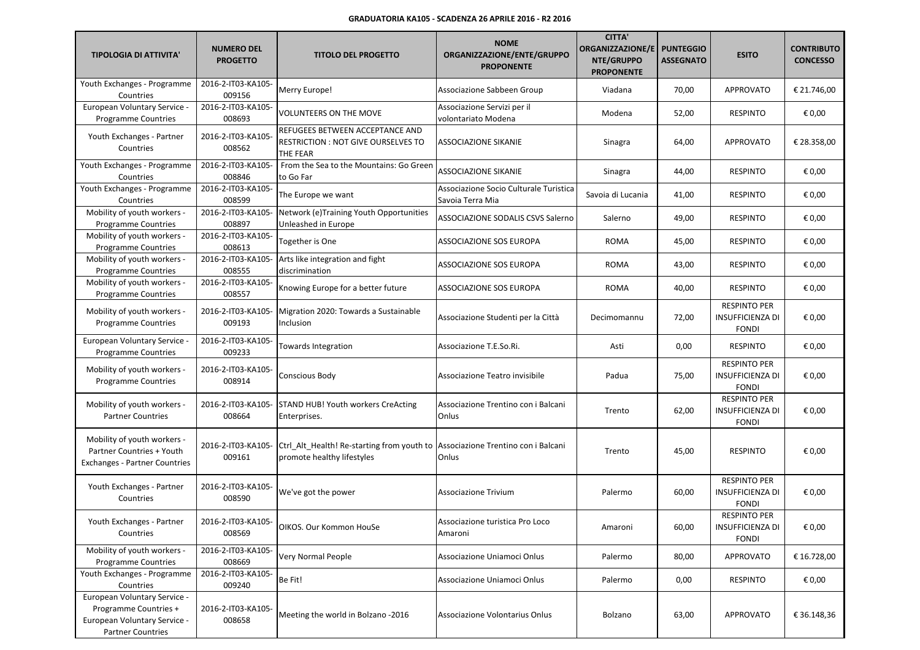| <b>TIPOLOGIA DI ATTIVITA'</b>                                                                                     | <b>NUMERO DEL</b><br><b>PROGETTO</b> | <b>TITOLO DEL PROGETTO</b>                                                               | <b>NOME</b><br>ORGANIZZAZIONE/ENTE/GRUPPO<br><b>PROPONENTE</b> | <b>CITTA'</b><br>ORGANIZZAZIONE/E<br>NTE/GRUPPO<br><b>PROPONENTE</b> | <b>PUNTEGGIO</b><br><b>ASSEGNATO</b> | <b>ESITO</b>                                                   | <b>CONTRIBUTO</b><br><b>CONCESSO</b> |
|-------------------------------------------------------------------------------------------------------------------|--------------------------------------|------------------------------------------------------------------------------------------|----------------------------------------------------------------|----------------------------------------------------------------------|--------------------------------------|----------------------------------------------------------------|--------------------------------------|
| Youth Exchanges - Programme<br>Countries                                                                          | 2016-2-IT03-KA105-<br>009156         | Merry Europe!                                                                            | Associazione Sabbeen Group                                     | Viadana                                                              | 70,00                                | <b>APPROVATO</b>                                               | € 21.746,00                          |
| European Voluntary Service -<br><b>Programme Countries</b>                                                        | 2016-2-IT03-KA105-<br>008693         | <b>VOLUNTEERS ON THE MOVE</b>                                                            | Associazione Servizi per il<br>volontariato Modena             | Modena                                                               | 52,00                                | <b>RESPINTO</b>                                                | € 0,00                               |
| Youth Exchanges - Partner<br>Countries                                                                            | 2016-2-IT03-KA105-<br>008562         | REFUGEES BETWEEN ACCEPTANCE AND<br><b>RESTRICTION: NOT GIVE OURSELVES TO</b><br>THE FEAR | <b>ASSOCIAZIONE SIKANIE</b>                                    | Sinagra                                                              | 64,00                                | <b>APPROVATO</b>                                               | € 28.358,00                          |
| Youth Exchanges - Programme<br>Countries                                                                          | 2016-2-IT03-KA105-<br>008846         | From the Sea to the Mountains: Go Green<br>to Go Far                                     | ASSOCIAZIONE SIKANIE                                           | Sinagra                                                              | 44,00                                | <b>RESPINTO</b>                                                | € 0,00                               |
| Youth Exchanges - Programme<br>Countries                                                                          | 2016-2-IT03-KA105-<br>008599         | The Europe we want                                                                       | Associazione Socio Culturale Turistica<br>Savoia Terra Mia     | Savoia di Lucania                                                    | 41,00                                | <b>RESPINTO</b>                                                | € 0,00                               |
| Mobility of youth workers -<br><b>Programme Countries</b>                                                         | 2016-2-IT03-KA105-<br>008897         | Network (e)Training Youth Opportunities<br>Unleashed in Europe                           | <b>ASSOCIAZIONE SODALIS CSVS Salerno</b>                       | Salerno                                                              | 49,00                                | <b>RESPINTO</b>                                                | € 0,00                               |
| Mobility of youth workers -<br><b>Programme Countries</b>                                                         | 2016-2-IT03-KA105-<br>008613         | Together is One                                                                          | ASSOCIAZIONE SOS EUROPA                                        | <b>ROMA</b>                                                          | 45,00                                | <b>RESPINTO</b>                                                | € 0,00                               |
| Mobility of youth workers -<br><b>Programme Countries</b>                                                         | 2016-2-IT03-KA105-<br>008555         | Arts like integration and fight<br>discrimination                                        | ASSOCIAZIONE SOS EUROPA                                        | <b>ROMA</b>                                                          | 43,00                                | <b>RESPINTO</b>                                                | € 0,00                               |
| Mobility of youth workers -<br>Programme Countries                                                                | 2016-2-IT03-KA105-<br>008557         | Knowing Europe for a better future                                                       | ASSOCIAZIONE SOS EUROPA                                        | <b>ROMA</b>                                                          | 40,00                                | <b>RESPINTO</b>                                                | € 0,00                               |
| Mobility of youth workers -<br><b>Programme Countries</b>                                                         | 2016-2-IT03-KA105-<br>009193         | Migration 2020: Towards a Sustainable<br>Inclusion                                       | Associazione Studenti per la Città                             | Decimomannu                                                          | 72,00                                | <b>RESPINTO PER</b><br><b>INSUFFICIENZA DI</b><br><b>FONDI</b> | € 0,00                               |
| European Voluntary Service<br><b>Programme Countries</b>                                                          | 2016-2-IT03-KA105-<br>009233         | Towards Integration                                                                      | Associazione T.E.So.Ri.                                        | Asti                                                                 | 0,00                                 | <b>RESPINTO</b>                                                | € 0,00                               |
| Mobility of youth workers -<br><b>Programme Countries</b>                                                         | 2016-2-IT03-KA105-<br>008914         | Conscious Body                                                                           | Associazione Teatro invisibile                                 | Padua                                                                | 75,00                                | <b>RESPINTO PER</b><br>INSUFFICIENZA DI<br><b>FONDI</b>        | € 0,00                               |
| Mobility of youth workers -<br><b>Partner Countries</b>                                                           | 2016-2-IT03-KA105-<br>008664         | <b>STAND HUB! Youth workers CreActing</b><br>Enterprises.                                | Associazione Trentino con i Balcani<br>Onlus                   | Trento                                                               | 62,00                                | <b>RESPINTO PER</b><br><b>INSUFFICIENZA DI</b><br><b>FONDI</b> | € 0,00                               |
| Mobility of youth workers -<br>Partner Countries + Youth<br><b>Exchanges - Partner Countries</b>                  | 2016-2-IT03-KA105-<br>009161         | Ctrl_Alt_Health! Re-starting from youth to<br>promote healthy lifestyles                 | Associazione Trentino con i Balcani<br>Onlus                   | Trento                                                               | 45,00                                | <b>RESPINTO</b>                                                | € 0,00                               |
| Youth Exchanges - Partner<br>Countries                                                                            | 2016-2-IT03-KA105-<br>008590         | We've got the power                                                                      | <b>Associazione Trivium</b>                                    | Palermo                                                              | 60,00                                | <b>RESPINTO PER</b><br>INSUFFICIENZA DI<br><b>FONDI</b>        | € 0,00                               |
| Youth Exchanges - Partner<br>Countries                                                                            | 2016-2-IT03-KA105-<br>008569         | OIKOS. Our Kommon HouSe                                                                  | Associazione turistica Pro Loco<br>Amaroni                     | Amaroni                                                              | 60,00                                | <b>RESPINTO PER</b><br>INSUFFICIENZA DI<br><b>FONDI</b>        | € 0,00                               |
| Mobility of youth workers -<br><b>Programme Countries</b>                                                         | 2016-2-IT03-KA105-<br>008669         | Very Normal People                                                                       | Associazione Uniamoci Onlus                                    | Palermo                                                              | 80,00                                | APPROVATO                                                      | € 16.728,00                          |
| Youth Exchanges - Programme<br>Countries                                                                          | 2016-2-IT03-KA105-<br>009240         | Be Fit!                                                                                  | Associazione Uniamoci Onlus                                    | Palermo                                                              | 0,00                                 | <b>RESPINTO</b>                                                | € 0,00                               |
| European Voluntary Service -<br>Programme Countries +<br>European Voluntary Service -<br><b>Partner Countries</b> | 2016-2-IT03-KA105-<br>008658         | Meeting the world in Bolzano -2016                                                       | Associazione Volontarius Onlus                                 | Bolzano                                                              | 63,00                                | APPROVATO                                                      | € 36.148,36                          |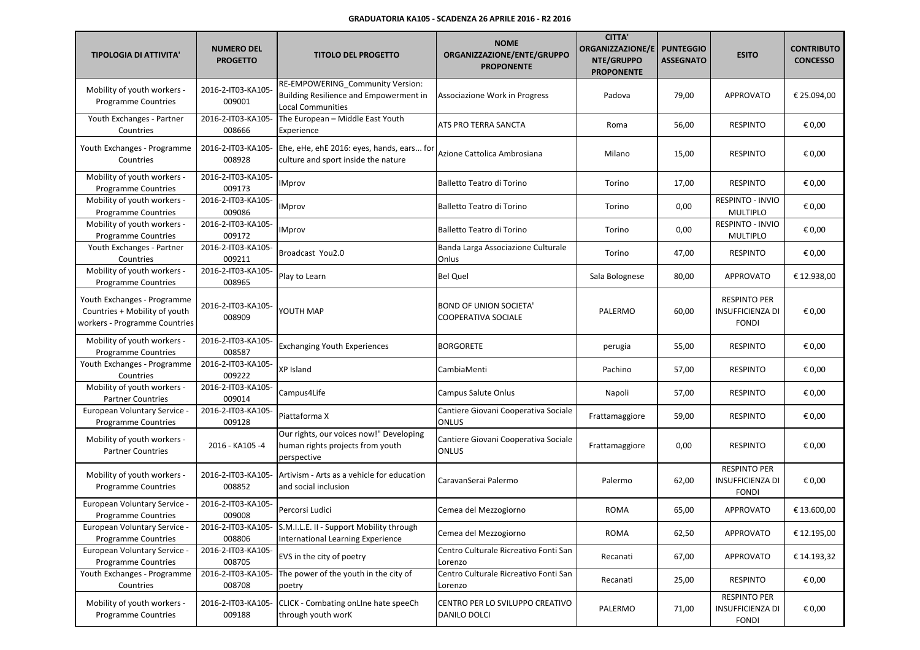| <b>TIPOLOGIA DI ATTIVITA'</b>                                                                 | <b>NUMERO DEL</b><br><b>PROGETTO</b> | <b>TITOLO DEL PROGETTO</b>                                                                             | <b>NOME</b><br>ORGANIZZAZIONE/ENTE/GRUPPO<br><b>PROPONENTE</b> | <b>CITTA'</b><br><b>ORGANIZZAZIONE/E</b><br>NTE/GRUPPO<br><b>PROPONENTE</b> | <b>PUNTEGGIO</b><br><b>ASSEGNATO</b> | <b>ESITO</b>                                                   | <b>CONTRIBUTO</b><br><b>CONCESSO</b> |
|-----------------------------------------------------------------------------------------------|--------------------------------------|--------------------------------------------------------------------------------------------------------|----------------------------------------------------------------|-----------------------------------------------------------------------------|--------------------------------------|----------------------------------------------------------------|--------------------------------------|
| Mobility of youth workers -<br><b>Programme Countries</b>                                     | 2016-2-IT03-KA105-<br>009001         | RE-EMPOWERING_Community Version:<br>Building Resilience and Empowerment in<br><b>Local Communities</b> | Associazione Work in Progress                                  | Padova                                                                      | 79,00                                | <b>APPROVATO</b>                                               | € 25.094,00                          |
| Youth Exchanges - Partner<br>Countries                                                        | 2016-2-IT03-KA105-<br>008666         | The European - Middle East Youth<br>Experience                                                         | ATS PRO TERRA SANCTA                                           | Roma                                                                        | 56,00                                | <b>RESPINTO</b>                                                | € 0,00                               |
| Youth Exchanges - Programme<br>Countries                                                      | 2016-2-IT03-KA105-<br>008928         | Ehe, eHe, ehE 2016: eyes, hands, ears for<br>culture and sport inside the nature                       | Azione Cattolica Ambrosiana                                    | Milano                                                                      | 15,00                                | <b>RESPINTO</b>                                                | € 0,00                               |
| Mobility of youth workers -<br><b>Programme Countries</b>                                     | 2016-2-IT03-KA105-<br>009173         | <b>IMprov</b>                                                                                          | Balletto Teatro di Torino                                      | Torino                                                                      | 17,00                                | <b>RESPINTO</b>                                                | € 0,00                               |
| Mobility of youth workers -<br><b>Programme Countries</b>                                     | 2016-2-IT03-KA105-<br>009086         | <b>IMprov</b>                                                                                          | Balletto Teatro di Torino                                      | Torino                                                                      | 0,00                                 | <b>RESPINTO - INVIO</b><br><b>MULTIPLO</b>                     | € 0,00                               |
| Mobility of youth workers -<br><b>Programme Countries</b>                                     | 2016-2-IT03-KA105-<br>009172         | <b>IMprov</b>                                                                                          | Balletto Teatro di Torino                                      | Torino                                                                      | 0,00                                 | RESPINTO - INVIO<br>MULTIPLO                                   | € 0,00                               |
| Youth Exchanges - Partner<br>Countries                                                        | 2016-2-IT03-KA105-<br>009211         | Broadcast You2.0                                                                                       | Banda Larga Associazione Culturale<br>Onlus                    | Torino                                                                      | 47,00                                | <b>RESPINTO</b>                                                | € 0,00                               |
| Mobility of youth workers -<br><b>Programme Countries</b>                                     | 2016-2-IT03-KA105-<br>008965         | Play to Learn                                                                                          | <b>Bel Quel</b>                                                | Sala Bolognese                                                              | 80,00                                | <b>APPROVATO</b>                                               | € 12.938,00                          |
| Youth Exchanges - Programme<br>Countries + Mobility of youth<br>workers - Programme Countries | 2016-2-IT03-KA105-<br>008909         | YOUTH MAP                                                                                              | <b>BOND OF UNION SOCIETA'</b><br>COOPERATIVA SOCIALE           | PALERMO                                                                     | 60,00                                | <b>RESPINTO PER</b><br><b>INSUFFICIENZA DI</b><br><b>FONDI</b> | € 0,00                               |
| Mobility of youth workers -<br><b>Programme Countries</b>                                     | 2016-2-IT03-KA105-<br>008587         | <b>Exchanging Youth Experiences</b>                                                                    | <b>BORGORETE</b>                                               | perugia                                                                     | 55,00                                | <b>RESPINTO</b>                                                | € 0,00                               |
| Youth Exchanges - Programme<br>Countries                                                      | 2016-2-IT03-KA105-<br>009222         | XP Island                                                                                              | CambiaMenti                                                    | Pachino                                                                     | 57,00                                | <b>RESPINTO</b>                                                | € 0,00                               |
| Mobility of youth workers -<br><b>Partner Countries</b>                                       | 2016-2-IT03-KA105-<br>009014         | Campus4Life                                                                                            | Campus Salute Onlus                                            | Napoli                                                                      | 57,00                                | <b>RESPINTO</b>                                                | € 0,00                               |
| European Voluntary Service -<br><b>Programme Countries</b>                                    | 2016-2-IT03-KA105-<br>009128         | Piattaforma X                                                                                          | Cantiere Giovani Cooperativa Sociale<br><b>ONLUS</b>           | Frattamaggiore                                                              | 59,00                                | <b>RESPINTO</b>                                                | € 0,00                               |
| Mobility of youth workers -<br><b>Partner Countries</b>                                       | 2016 - KA105 -4                      | Our rights, our voices now!" Developing<br>human rights projects from youth<br>perspective             | Cantiere Giovani Cooperativa Sociale<br>ONLUS                  | Frattamaggiore                                                              | 0,00                                 | <b>RESPINTO</b>                                                | € 0,00                               |
| Mobility of youth workers -<br><b>Programme Countries</b>                                     | 2016-2-IT03-KA105-<br>008852         | Artivism - Arts as a vehicle for education<br>and social inclusion                                     | CaravanSerai Palermo                                           | Palermo                                                                     | 62,00                                | <b>RESPINTO PER</b><br><b>INSUFFICIENZA DI</b><br><b>FONDI</b> | € 0,00                               |
| European Voluntary Service -<br><b>Programme Countries</b>                                    | 2016-2-IT03-KA105-<br>009008         | Percorsi Ludici                                                                                        | Cemea del Mezzogiorno                                          | <b>ROMA</b>                                                                 | 65,00                                | <b>APPROVATO</b>                                               | € 13.600,00                          |
| European Voluntary Service -<br><b>Programme Countries</b>                                    | 008806                               | 2016-2-IT03-KA105- S.M.I.L.E. II - Support Mobility through<br>International Learning Experience       | Cemea del Mezzogiorno                                          | <b>ROMA</b>                                                                 | 62,50                                | APPROVATO                                                      | € 12.195,00                          |
| European Voluntary Service -<br><b>Programme Countries</b>                                    | 2016-2-IT03-KA105-<br>008705         | EVS in the city of poetry                                                                              | Centro Culturale Ricreativo Fonti San<br>Lorenzo               | Recanati                                                                    | 67,00                                | APPROVATO                                                      | € 14.193,32                          |
| Youth Exchanges - Programme<br>Countries                                                      | 2016-2-IT03-KA105-<br>008708         | The power of the youth in the city of<br>poetry                                                        | Centro Culturale Ricreativo Fonti San<br>Lorenzo               | Recanati                                                                    | 25,00                                | <b>RESPINTO</b>                                                | € 0,00                               |
| Mobility of youth workers -<br><b>Programme Countries</b>                                     | 2016-2-IT03-KA105-<br>009188         | CLICK - Combating onLIne hate speeCh<br>through youth worK                                             | CENTRO PER LO SVILUPPO CREATIVO<br>DANILO DOLCI                | PALERMO                                                                     | 71,00                                | <b>RESPINTO PER</b><br><b>INSUFFICIENZA DI</b><br><b>FONDI</b> | € 0,00                               |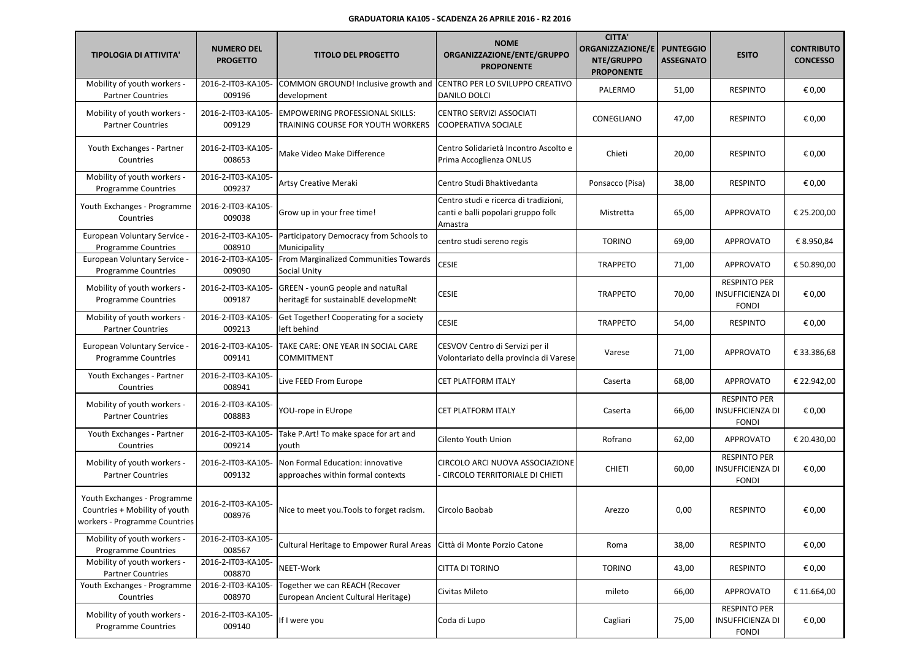| <b>TIPOLOGIA DI ATTIVITA'</b>                                                                 | <b>NUMERO DEL</b><br><b>PROGETTO</b> | <b>TITOLO DEL PROGETTO</b>                                                  | <b>NOME</b><br>ORGANIZZAZIONE/ENTE/GRUPPO<br><b>PROPONENTE</b>                         | <b>CITTA'</b><br><b>ORGANIZZAZIONE/E</b><br><b>NTE/GRUPPO</b><br><b>PROPONENTE</b> | <b>PUNTEGGIO</b><br><b>ASSEGNATO</b> | <b>ESITO</b>                                                   | <b>CONTRIBUTO</b><br><b>CONCESSO</b> |
|-----------------------------------------------------------------------------------------------|--------------------------------------|-----------------------------------------------------------------------------|----------------------------------------------------------------------------------------|------------------------------------------------------------------------------------|--------------------------------------|----------------------------------------------------------------|--------------------------------------|
| Mobility of youth workers -<br><b>Partner Countries</b>                                       | 2016-2-IT03-KA105-<br>009196         | COMMON GROUND! Inclusive growth and<br>development                          | CENTRO PER LO SVILUPPO CREATIVO<br>DANILO DOLCI                                        | PALERMO                                                                            | 51,00                                | <b>RESPINTO</b>                                                | € 0,00                               |
| Mobility of youth workers -<br><b>Partner Countries</b>                                       | 2016-2-IT03-KA105-<br>009129         | <b>EMPOWERING PROFESSIONAL SKILLS:</b><br>TRAINING COURSE FOR YOUTH WORKERS | <b>CENTRO SERVIZI ASSOCIATI</b><br>COOPERATIVA SOCIALE                                 | CONEGLIANO                                                                         | 47,00                                | <b>RESPINTO</b>                                                | € 0,00                               |
| Youth Exchanges - Partner<br>Countries                                                        | 2016-2-IT03-KA105-<br>008653         | Make Video Make Difference                                                  | Centro Solidarietà Incontro Ascolto e<br>Prima Accoglienza ONLUS                       | Chieti                                                                             | 20,00                                | <b>RESPINTO</b>                                                | € 0,00                               |
| Mobility of youth workers -<br>Programme Countries                                            | 2016-2-IT03-KA105-<br>009237         | Artsy Creative Meraki                                                       | Centro Studi Bhaktivedanta                                                             | Ponsacco (Pisa)                                                                    | 38,00                                | <b>RESPINTO</b>                                                | € 0,00                               |
| Youth Exchanges - Programme<br>Countries                                                      | 2016-2-IT03-KA105-<br>009038         | Grow up in your free time!                                                  | Centro studi e ricerca di tradizioni,<br>canti e balli popolari gruppo folk<br>Amastra | Mistretta                                                                          | 65,00                                | APPROVATO                                                      | € 25.200,00                          |
| European Voluntary Service -<br><b>Programme Countries</b>                                    | 2016-2-IT03-KA105-<br>008910         | Participatory Democracy from Schools to<br>Municipality                     | centro studi sereno regis                                                              | <b>TORINO</b>                                                                      | 69,00                                | <b>APPROVATO</b>                                               | € 8.950,84                           |
| European Voluntary Service -<br><b>Programme Countries</b>                                    | 2016-2-IT03-KA105-<br>009090         | From Marginalized Communities Towards<br>Social Unity                       | <b>CESIE</b>                                                                           | <b>TRAPPETO</b>                                                                    | 71,00                                | <b>APPROVATO</b>                                               | € 50.890,00                          |
| Mobility of youth workers -<br><b>Programme Countries</b>                                     | 2016-2-IT03-KA105-<br>009187         | GREEN - younG people and natuRal<br>heritagE for sustainablE developmeNt    | <b>CESIE</b>                                                                           | <b>TRAPPETO</b>                                                                    | 70,00                                | <b>RESPINTO PER</b><br><b>INSUFFICIENZA DI</b><br><b>FONDI</b> | € 0,00                               |
| Mobility of youth workers -<br><b>Partner Countries</b>                                       | 2016-2-IT03-KA105-<br>009213         | Get Together! Cooperating for a society<br>left behind                      | <b>CESIE</b>                                                                           | <b>TRAPPETO</b>                                                                    | 54,00                                | <b>RESPINTO</b>                                                | € 0,00                               |
| European Voluntary Service<br><b>Programme Countries</b>                                      | 2016-2-IT03-KA105-<br>009141         | TAKE CARE: ONE YEAR IN SOCIAL CARE<br><b>COMMITMENT</b>                     | CESVOV Centro di Servizi per il<br>Volontariato della provincia di Varese              | Varese                                                                             | 71,00                                | <b>APPROVATO</b>                                               | € 33.386,68                          |
| Youth Exchanges - Partner<br>Countries                                                        | 2016-2-IT03-KA105-<br>008941         | Live FEED From Europe                                                       | CET PLATFORM ITALY                                                                     | Caserta                                                                            | 68,00                                | <b>APPROVATO</b>                                               | € 22.942,00                          |
| Mobility of youth workers -<br><b>Partner Countries</b>                                       | 2016-2-IT03-KA105-<br>008883         | YOU-rope in EUrope                                                          | <b>CET PLATFORM ITALY</b>                                                              | Caserta                                                                            | 66,00                                | <b>RESPINTO PER</b><br><b>INSUFFICIENZA DI</b><br><b>FONDI</b> | € 0,00                               |
| Youth Exchanges - Partner<br>Countries                                                        | 2016-2-IT03-KA105-<br>009214         | Take P.Art! To make space for art and<br>youth                              | Cilento Youth Union                                                                    | Rofrano                                                                            | 62,00                                | <b>APPROVATO</b>                                               | € 20.430,00                          |
| Mobility of youth workers -<br><b>Partner Countries</b>                                       | 2016-2-IT03-KA105-<br>009132         | Non Formal Education: innovative<br>approaches within formal contexts       | CIRCOLO ARCI NUOVA ASSOCIAZIONE<br><b>CIRCOLO TERRITORIALE DI CHIETI</b>               | <b>CHIETI</b>                                                                      | 60,00                                | <b>RESPINTO PER</b><br><b>INSUFFICIENZA DI</b><br><b>FONDI</b> | € 0,00                               |
| Youth Exchanges - Programme<br>Countries + Mobility of youth<br>workers - Programme Countries | 2016-2-IT03-KA105-<br>008976         | Nice to meet you. Tools to forget racism.                                   | Circolo Baobab                                                                         | Arezzo                                                                             | 0,00                                 | <b>RESPINTO</b>                                                | € 0,00                               |
| Mobility of youth workers -<br><b>Programme Countries</b>                                     | 2016-2-IT03-KA105-<br>008567         | Cultural Heritage to Empower Rural Areas                                    | Città di Monte Porzio Catone                                                           | Roma                                                                               | 38,00                                | <b>RESPINTO</b>                                                | € 0,00                               |
| Mobility of youth workers -<br><b>Partner Countries</b>                                       | 2016-2-IT03-KA105-<br>008870         | NEET-Work                                                                   | CITTA DI TORINO                                                                        | <b>TORINO</b>                                                                      | 43,00                                | <b>RESPINTO</b>                                                | € 0,00                               |
| Youth Exchanges - Programme<br>Countries                                                      | 2016-2-IT03-KA105-<br>008970         | Together we can REACH (Recover<br>European Ancient Cultural Heritage)       | Civitas Mileto                                                                         | mileto                                                                             | 66,00                                | <b>APPROVATO</b>                                               | € 11.664,00                          |
| Mobility of youth workers -<br><b>Programme Countries</b>                                     | 2016-2-IT03-KA105-<br>009140         | If I were you                                                               | Coda di Lupo                                                                           | Cagliari                                                                           | 75,00                                | <b>RESPINTO PER</b><br><b>INSUFFICIENZA DI</b><br><b>FONDI</b> | € 0,00                               |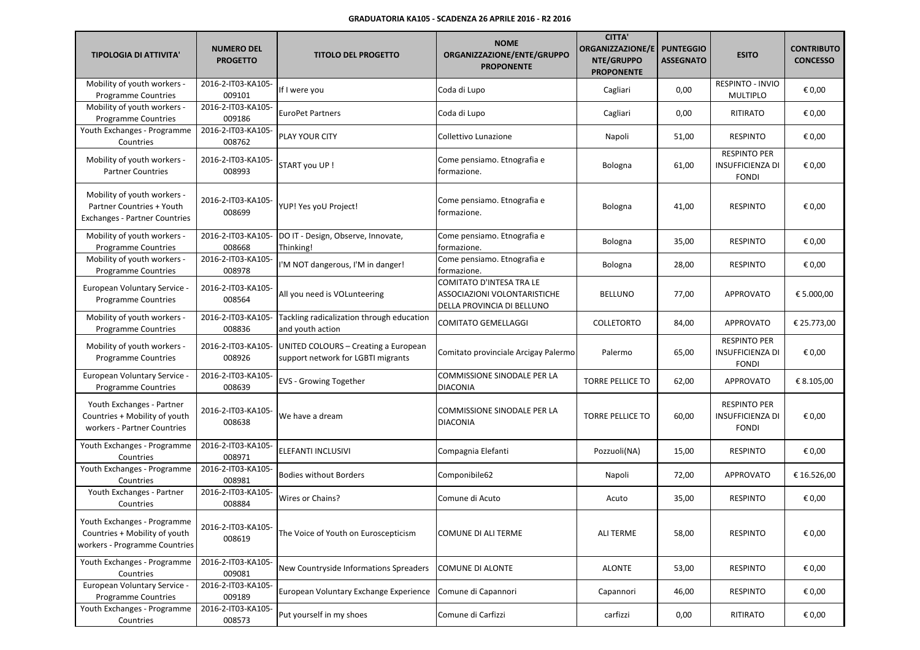| <b>TIPOLOGIA DI ATTIVITA'</b>                                                                    | <b>NUMERO DEL</b><br><b>PROGETTO</b> | <b>TITOLO DEL PROGETTO</b>                                                 | <b>NOME</b><br>ORGANIZZAZIONE/ENTE/GRUPPO<br><b>PROPONENTE</b>                         | <b>CITTA'</b><br>ORGANIZZAZIONE/E<br>NTE/GRUPPO<br><b>PROPONENTE</b> | <b>PUNTEGGIO</b><br><b>ASSEGNATO</b> | <b>ESITO</b>                                                   | <b>CONTRIBUTO</b><br><b>CONCESSO</b> |
|--------------------------------------------------------------------------------------------------|--------------------------------------|----------------------------------------------------------------------------|----------------------------------------------------------------------------------------|----------------------------------------------------------------------|--------------------------------------|----------------------------------------------------------------|--------------------------------------|
| Mobility of youth workers -<br><b>Programme Countries</b>                                        | 2016-2-IT03-KA105-<br>009101         | If I were you                                                              | Coda di Lupo                                                                           | Cagliari                                                             | 0,00                                 | RESPINTO - INVIO<br><b>MULTIPLO</b>                            | € 0,00                               |
| Mobility of youth workers -<br><b>Programme Countries</b>                                        | 2016-2-IT03-KA105-<br>009186         | <b>EuroPet Partners</b>                                                    | Coda di Lupo                                                                           | Cagliari                                                             | 0,00                                 | <b>RITIRATO</b>                                                | € 0,00                               |
| Youth Exchanges - Programme<br>Countries                                                         | 2016-2-IT03-KA105-<br>008762         | PLAY YOUR CITY                                                             | Collettivo Lunazione                                                                   | Napoli                                                               | 51,00                                | <b>RESPINTO</b>                                                | € 0,00                               |
| Mobility of youth workers -<br><b>Partner Countries</b>                                          | 2016-2-IT03-KA105-<br>008993         | START you UP!                                                              | Come pensiamo. Etnografia e<br>formazione.                                             | Bologna                                                              | 61,00                                | <b>RESPINTO PER</b><br><b>INSUFFICIENZA DI</b><br><b>FONDI</b> | € 0,00                               |
| Mobility of youth workers -<br>Partner Countries + Youth<br><b>Exchanges - Partner Countries</b> | 2016-2-IT03-KA105-<br>008699         | YUP! Yes yoU Project!                                                      | Come pensiamo. Etnografia e<br>formazione.                                             | Bologna                                                              | 41,00                                | <b>RESPINTO</b>                                                | € 0,00                               |
| Mobility of youth workers -<br><b>Programme Countries</b>                                        | 2016-2-IT03-KA105-<br>008668         | DO IT - Design, Observe, Innovate,<br>Thinking!                            | Come pensiamo. Etnografia e<br>formazione.                                             | <b>Bologna</b>                                                       | 35,00                                | <b>RESPINTO</b>                                                | € 0,00                               |
| Mobility of youth workers -<br><b>Programme Countries</b>                                        | 2016-2-IT03-KA105-<br>008978         | I'M NOT dangerous, I'M in danger!                                          | Come pensiamo. Etnografia e<br>formazione.                                             | <b>Bologna</b>                                                       | 28,00                                | <b>RESPINTO</b>                                                | € 0,00                               |
| European Voluntary Service -<br><b>Programme Countries</b>                                       | 2016-2-IT03-KA105-<br>008564         | All you need is VOLunteering                                               | COMITATO D'INTESA TRA LE<br>ASSOCIAZIONI VOLONTARISTICHE<br>DELLA PROVINCIA DI BELLUNO | <b>BELLUNO</b>                                                       | 77,00                                | APPROVATO                                                      | € 5.000,00                           |
| Mobility of youth workers -<br><b>Programme Countries</b>                                        | 2016-2-IT03-KA105-<br>008836         | Tackling radicalization through education<br>and youth action              | <b>COMITATO GEMELLAGGI</b>                                                             | <b>COLLETORTO</b>                                                    | 84,00                                | APPROVATO                                                      | € 25.773,00                          |
| Mobility of youth workers -<br><b>Programme Countries</b>                                        | 2016-2-IT03-KA105-<br>008926         | UNITED COLOURS - Creating a European<br>support network for LGBTI migrants | Comitato provinciale Arcigay Palermo                                                   | Palermo                                                              | 65,00                                | <b>RESPINTO PER</b><br><b>INSUFFICIENZA DI</b><br><b>FONDI</b> | € 0,00                               |
| European Voluntary Service -<br><b>Programme Countries</b>                                       | 2016-2-IT03-KA105-<br>008639         | <b>EVS - Growing Together</b>                                              | COMMISSIONE SINODALE PER LA<br>DIACONIA                                                | <b>TORRE PELLICE TO</b>                                              | 62,00                                | APPROVATO                                                      | € 8.105,00                           |
| Youth Exchanges - Partner<br>Countries + Mobility of youth<br>workers - Partner Countries        | 2016-2-IT03-KA105-<br>008638         | We have a dream                                                            | COMMISSIONE SINODALE PER LA<br><b>DIACONIA</b>                                         | <b>TORRE PELLICE TO</b>                                              | 60,00                                | <b>RESPINTO PER</b><br><b>INSUFFICIENZA DI</b><br><b>FONDI</b> | € 0,00                               |
| Youth Exchanges - Programme<br>Countries                                                         | 2016-2-IT03-KA105-<br>008971         | ELEFANTI INCLUSIVI                                                         | Compagnia Elefanti                                                                     | Pozzuoli(NA)                                                         | 15,00                                | <b>RESPINTO</b>                                                | € 0,00                               |
| Youth Exchanges - Programme<br>Countries                                                         | 2016-2-IT03-KA105-<br>008981         | <b>Bodies without Borders</b>                                              | Componibile62                                                                          | Napoli                                                               | 72,00                                | <b>APPROVATO</b>                                               | € 16.526,00                          |
| Youth Exchanges - Partner<br>Countries                                                           | 2016-2-IT03-KA105-<br>008884         | Wires or Chains?                                                           | Comune di Acuto                                                                        | Acuto                                                                | 35,00                                | <b>RESPINTO</b>                                                | € 0,00                               |
| Youth Exchanges - Programme<br>Countries + Mobility of youth<br>workers - Programme Countries    | 2016-2-IT03-KA105-<br>008619         | The Voice of Youth on Euroscepticism                                       | COMUNE DI ALI TERME                                                                    | <b>ALI TERME</b>                                                     | 58,00                                | <b>RESPINTO</b>                                                | € 0,00                               |
| Youth Exchanges - Programme<br>Countries                                                         | 2016-2-IT03-KA105-<br>009081         | New Countryside Informations Spreaders                                     | <b>COMUNE DI ALONTE</b>                                                                | <b>ALONTE</b>                                                        | 53,00                                | <b>RESPINTO</b>                                                | € 0,00                               |
| European Voluntary Service -<br><b>Programme Countries</b>                                       | 2016-2-IT03-KA105-<br>009189         | European Voluntary Exchange Experience                                     | Comune di Capannori                                                                    | Capannori                                                            | 46,00                                | <b>RESPINTO</b>                                                | € 0,00                               |
| Youth Exchanges - Programme<br>Countries                                                         | 2016-2-IT03-KA105-<br>008573         | Put yourself in my shoes                                                   | Comune di Carfizzi                                                                     | carfizzi                                                             | 0,00                                 | RITIRATO                                                       | € 0,00                               |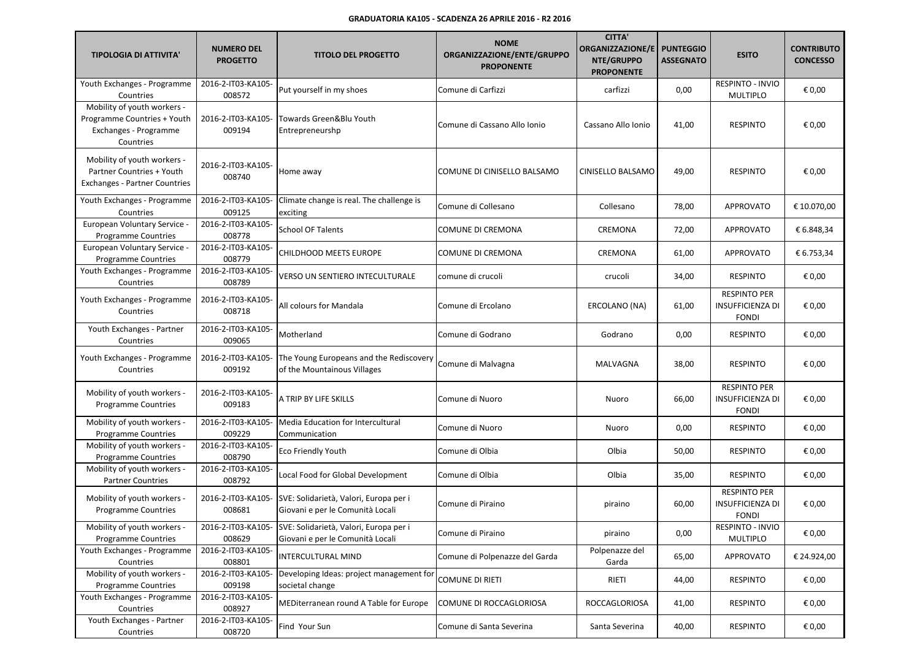| <b>TIPOLOGIA DI ATTIVITA'</b>                                                                    | <b>NUMERO DEL</b><br><b>PROGETTO</b> | <b>TITOLO DEL PROGETTO</b>                                                                    | <b>NOME</b><br>ORGANIZZAZIONE/ENTE/GRUPPO<br><b>PROPONENTE</b> | <b>CITTA'</b><br><b>ORGANIZZAZIONE/E</b><br>NTE/GRUPPO<br><b>PROPONENTE</b> | <b>PUNTEGGIO</b><br><b>ASSEGNATO</b> | <b>ESITO</b>                                                   | <b>CONTRIBUTO</b><br><b>CONCESSO</b> |
|--------------------------------------------------------------------------------------------------|--------------------------------------|-----------------------------------------------------------------------------------------------|----------------------------------------------------------------|-----------------------------------------------------------------------------|--------------------------------------|----------------------------------------------------------------|--------------------------------------|
| Youth Exchanges - Programme<br>Countries                                                         | 2016-2-IT03-KA105-<br>008572         | Put yourself in my shoes                                                                      | Comune di Carfizzi                                             | carfizzi                                                                    | 0,00                                 | <b>RESPINTO - INVIO</b><br><b>MULTIPLO</b>                     | € 0,00                               |
| Mobility of youth workers -<br>Programme Countries + Youth<br>Exchanges - Programme<br>Countries | 2016-2-IT03-KA105-<br>009194         | Towards Green&Blu Youth<br>Entrepreneurshp                                                    | Comune di Cassano Allo Ionio                                   | Cassano Allo Ionio                                                          | 41,00                                | <b>RESPINTO</b>                                                | € 0,00                               |
| Mobility of youth workers -<br>Partner Countries + Youth<br><b>Exchanges - Partner Countries</b> | 2016-2-IT03-KA105-<br>008740         | Home away                                                                                     | COMUNE DI CINISELLO BALSAMO                                    | CINISELLO BALSAMO                                                           | 49,00                                | <b>RESPINTO</b>                                                | € 0,00                               |
| Youth Exchanges - Programme<br>Countries                                                         | 2016-2-IT03-KA105-<br>009125         | Climate change is real. The challenge is<br>exciting                                          | Comune di Collesano                                            | Collesano                                                                   | 78,00                                | <b>APPROVATO</b>                                               | € 10.070,00                          |
| European Voluntary Service -<br>Programme Countries                                              | 2016-2-IT03-KA105-<br>008778         | <b>School OF Talents</b>                                                                      | COMUNE DI CREMONA                                              | CREMONA                                                                     | 72,00                                | APPROVATO                                                      | € 6.848,34                           |
| European Voluntary Service -<br><b>Programme Countries</b>                                       | 2016-2-IT03-KA105-<br>008779         | <b>CHILDHOOD MEETS EUROPE</b>                                                                 | <b>COMUNE DI CREMONA</b>                                       | CREMONA                                                                     | 61,00                                | <b>APPROVATO</b>                                               | € 6.753,34                           |
| Youth Exchanges - Programme<br>Countries                                                         | 2016-2-IT03-KA105-<br>008789         | VERSO UN SENTIERO INTECULTURALE                                                               | comune di crucoli                                              | crucoli                                                                     | 34,00                                | <b>RESPINTO</b>                                                | € 0,00                               |
| Youth Exchanges - Programme<br>Countries                                                         | 2016-2-IT03-KA105-<br>008718         | All colours for Mandala                                                                       | Comune di Ercolano                                             | ERCOLANO (NA)                                                               | 61,00                                | <b>RESPINTO PER</b><br><b>INSUFFICIENZA DI</b><br><b>FONDI</b> | € 0,00                               |
| Youth Exchanges - Partner<br>Countries                                                           | 2016-2-IT03-KA105-<br>009065         | Motherland                                                                                    | Comune di Godrano                                              | Godrano                                                                     | 0,00                                 | <b>RESPINTO</b>                                                | € 0,00                               |
| Youth Exchanges - Programme<br>Countries                                                         | 2016-2-IT03-KA105-<br>009192         | The Young Europeans and the Rediscovery<br>of the Mountainous Villages                        | Comune di Malvagna                                             | MALVAGNA                                                                    | 38,00                                | <b>RESPINTO</b>                                                | € 0,00                               |
| Mobility of youth workers -<br><b>Programme Countries</b>                                        | 2016-2-IT03-KA105-<br>009183         | A TRIP BY LIFE SKILLS                                                                         | Comune di Nuoro                                                | Nuoro                                                                       | 66,00                                | <b>RESPINTO PER</b><br><b>INSUFFICIENZA DI</b><br><b>FONDI</b> | € 0,00                               |
| Mobility of youth workers -<br><b>Programme Countries</b>                                        | 2016-2-IT03-KA105-<br>009229         | <b>Media Education for Intercultural</b><br>Communication                                     | Comune di Nuoro                                                | Nuoro                                                                       | 0,00                                 | <b>RESPINTO</b>                                                | € 0,00                               |
| Mobility of youth workers -<br><b>Programme Countries</b>                                        | 2016-2-IT03-KA105-<br>008790         | Eco Friendly Youth                                                                            | Comune di Olbia                                                | Olbia                                                                       | 50,00                                | <b>RESPINTO</b>                                                | € 0,00                               |
| Mobility of youth workers -<br><b>Partner Countries</b>                                          | 2016-2-IT03-KA105-<br>008792         | Local Food for Global Development                                                             | Comune di Olbia                                                | Olbia                                                                       | 35,00                                | <b>RESPINTO</b>                                                | € 0,00                               |
| Mobility of youth workers -<br><b>Programme Countries</b>                                        | 2016-2-IT03-KA105-<br>008681         | SVE: Solidarietà, Valori, Europa per i<br>Giovani e per le Comunità Locali                    | Comune di Piraino                                              | piraino                                                                     | 60,00                                | <b>RESPINTO PER</b><br><b>INSUFFICIENZA DI</b><br><b>FONDI</b> | € 0,00                               |
| Mobility of youth workers -<br><b>Programme Countries</b>                                        | 008629                               | 2016-2-IT03-KA105- SVE: Solidarietà, Valori, Europa per i<br>Giovani e per le Comunità Locali | Comune di Piraino                                              | piraino                                                                     | 0,00                                 | RESPINTO - INVIO<br>MULTIPLO                                   | € 0,00                               |
| Youth Exchanges - Programme<br>Countries                                                         | 2016-2-IT03-KA105-<br>008801         | INTERCULTURAL MIND                                                                            | Comune di Polpenazze del Garda                                 | Polpenazze del<br>Garda                                                     | 65,00                                | APPROVATO                                                      | € 24.924,00                          |
| Mobility of youth workers -<br><b>Programme Countries</b>                                        | 2016-2-IT03-KA105-<br>009198         | Developing Ideas: project management for<br>societal change                                   | <b>COMUNE DI RIETI</b>                                         | RIETI                                                                       | 44,00                                | <b>RESPINTO</b>                                                | € 0,00                               |
| Youth Exchanges - Programme<br>Countries                                                         | 2016-2-IT03-KA105-<br>008927         | MEDiterranean round A Table for Europe                                                        | COMUNE DI ROCCAGLORIOSA                                        | ROCCAGLORIOSA                                                               | 41,00                                | <b>RESPINTO</b>                                                | € 0,00                               |
| Youth Exchanges - Partner<br>Countries                                                           | 2016-2-IT03-KA105-<br>008720         | Find Your Sun                                                                                 | Comune di Santa Severina                                       | Santa Severina                                                              | 40,00                                | <b>RESPINTO</b>                                                | € 0,00                               |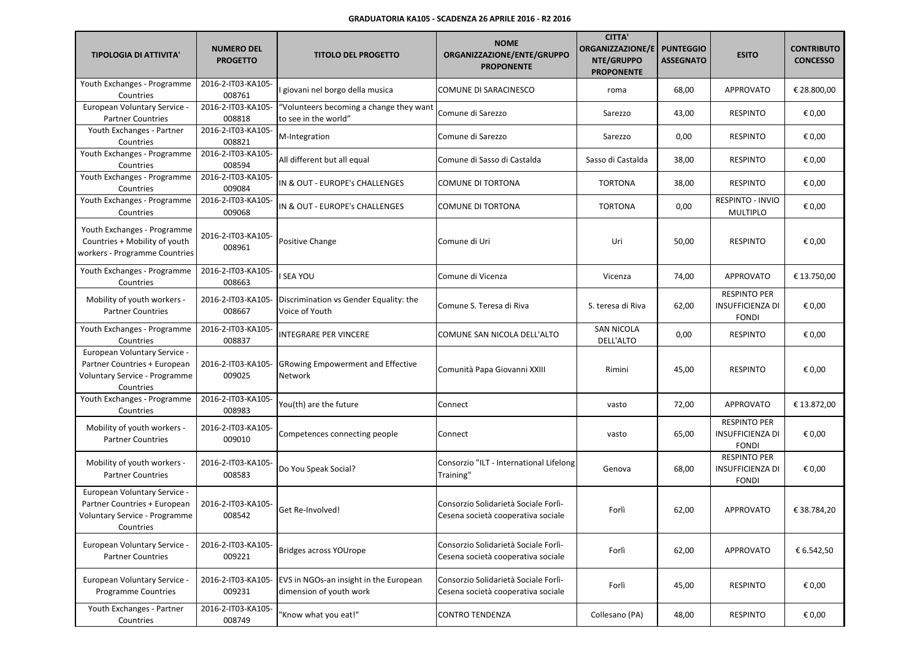| <b>TIPOLOGIA DI ATTIVITA'</b>                                                                              | <b>NUMERO DEL</b><br><b>PROGETTO</b> | <b>TITOLO DEL PROGETTO</b>                                        | <b>NOME</b><br>ORGANIZZAZIONE/ENTE/GRUPPO<br><b>PROPONENTE</b>             | <b>CITTA'</b><br><b>ORGANIZZAZIONE/E</b><br>NTE/GRUPPO<br><b>PROPONENTE</b> | <b>PUNTEGGIO</b><br><b>ASSEGNATO</b> | <b>ESITO</b>                                                   | <b>CONTRIBUTO</b><br><b>CONCESSO</b> |
|------------------------------------------------------------------------------------------------------------|--------------------------------------|-------------------------------------------------------------------|----------------------------------------------------------------------------|-----------------------------------------------------------------------------|--------------------------------------|----------------------------------------------------------------|--------------------------------------|
| Youth Exchanges - Programme<br>Countries                                                                   | 2016-2-IT03-KA105-<br>008761         | giovani nel borgo della musica                                    | COMUNE DI SARACINESCO                                                      | roma                                                                        | 68,00                                | APPROVATO                                                      | € 28.800,00                          |
| European Voluntary Service -<br><b>Partner Countries</b>                                                   | 2016-2-IT03-KA105-<br>008818         | "Volunteers becoming a change they want<br>to see in the world"   | Comune di Sarezzo                                                          | Sarezzo                                                                     | 43,00                                | <b>RESPINTO</b>                                                | € 0,00                               |
| Youth Exchanges - Partner<br>Countries                                                                     | 2016-2-IT03-KA105-<br>008821         | M-Integration                                                     | Comune di Sarezzo                                                          | Sarezzo                                                                     | 0,00                                 | <b>RESPINTO</b>                                                | € 0,00                               |
| Youth Exchanges - Programme<br>Countries                                                                   | 2016-2-IT03-KA105-<br>008594         | All different but all equal                                       | Comune di Sasso di Castalda                                                | Sasso di Castalda                                                           | 38,00                                | <b>RESPINTO</b>                                                | € 0,00                               |
| Youth Exchanges - Programme<br>Countries                                                                   | 2016-2-IT03-KA105-<br>009084         | IN & OUT - EUROPE's CHALLENGES                                    | COMUNE DI TORTONA                                                          | <b>TORTONA</b>                                                              | 38,00                                | <b>RESPINTO</b>                                                | € 0,00                               |
| Youth Exchanges - Programme<br>Countries                                                                   | 2016-2-IT03-KA105-<br>009068         | IN & OUT - EUROPE's CHALLENGES                                    | <b>COMUNE DI TORTONA</b>                                                   | <b>TORTONA</b>                                                              | 0,00                                 | RESPINTO - INVIO<br><b>MULTIPLO</b>                            | € 0,00                               |
| Youth Exchanges - Programme<br>Countries + Mobility of youth<br>workers - Programme Countries              | 2016-2-IT03-KA105-<br>008961         | Positive Change                                                   | Comune di Uri                                                              | Uri                                                                         | 50,00                                | <b>RESPINTO</b>                                                | € 0,00                               |
| Youth Exchanges - Programme<br>Countries                                                                   | 2016-2-IT03-KA105-<br>008663         | <b>SEA YOU</b>                                                    | Comune di Vicenza                                                          | Vicenza                                                                     | 74,00                                | <b>APPROVATO</b>                                               | € 13.750,00                          |
| Mobility of youth workers -<br><b>Partner Countries</b>                                                    | 2016-2-IT03-KA105-<br>008667         | Discrimination vs Gender Equality: the<br>Voice of Youth          | Comune S. Teresa di Riva                                                   | S. teresa di Riva                                                           | 62,00                                | <b>RESPINTO PER</b><br><b>INSUFFICIENZA DI</b><br><b>FONDI</b> | € 0,00                               |
| Youth Exchanges - Programme<br>Countries                                                                   | 2016-2-IT03-KA105-<br>008837         | INTEGRARE PER VINCERE                                             | COMUNE SAN NICOLA DELL'ALTO                                                | <b>SAN NICOLA</b><br>DELL'ALTO                                              | 0,00                                 | <b>RESPINTO</b>                                                | € 0,00                               |
| European Voluntary Service -<br>Partner Countries + European<br>Voluntary Service - Programme<br>Countries | 2016-2-IT03-KA105-<br>009025         | <b>GRowing Empowerment and Effective</b><br>Network               | Comunità Papa Giovanni XXIII                                               | Rimini                                                                      | 45,00                                | <b>RESPINTO</b>                                                | € 0,00                               |
| Youth Exchanges - Programme<br>Countries                                                                   | 2016-2-IT03-KA105-<br>008983         | You(th) are the future                                            | Connect                                                                    | vasto                                                                       | 72,00                                | <b>APPROVATO</b>                                               | € 13.872,00                          |
| Mobility of youth workers -<br><b>Partner Countries</b>                                                    | 2016-2-IT03-KA105-<br>009010         | Competences connecting people                                     | Connect                                                                    | vasto                                                                       | 65,00                                | <b>RESPINTO PER</b><br><b>INSUFFICIENZA DI</b><br><b>FONDI</b> | € 0,00                               |
| Mobility of youth workers -<br><b>Partner Countries</b>                                                    | 2016-2-IT03-KA105<br>008583          | Do You Speak Social?                                              | Consorzio "ILT - International Lifelong<br>Training"                       | Genova                                                                      | 68,00                                | <b>RESPINTO PER</b><br><b>INSUFFICIENZA DI</b><br><b>FONDI</b> | € 0,00                               |
| European Voluntary Service -<br>Partner Countries + European<br>Voluntary Service - Programme<br>Countries | 2016-2-IT03-KA105-<br>008542         | Get Re-Involved!                                                  | Consorzio Solidarietà Sociale Forlì-<br>Cesena società cooperativa sociale | Forlì                                                                       | 62,00                                | APPROVATO                                                      | € 38.784,20                          |
| European Voluntary Service -<br><b>Partner Countries</b>                                                   | 2016-2-IT03-KA105-<br>009221         | Bridges across YOUrope                                            | Consorzio Solidarietà Sociale Forlì-<br>Cesena società cooperativa sociale | Forlì                                                                       | 62,00                                | APPROVATO                                                      | € 6.542,50                           |
| European Voluntary Service -<br><b>Programme Countries</b>                                                 | 2016-2-IT03-KA105-<br>009231         | EVS in NGOs-an insight in the European<br>dimension of youth work | Consorzio Solidarietà Sociale Forlì-<br>Cesena società cooperativa sociale | Forlì                                                                       | 45,00                                | <b>RESPINTO</b>                                                | € 0,00                               |
| Youth Exchanges - Partner<br>Countries                                                                     | 2016-2-IT03-KA105-<br>008749         | "Know what you eat!"                                              | CONTRO TENDENZA                                                            | Collesano (PA)                                                              | 48,00                                | <b>RESPINTO</b>                                                | € 0,00                               |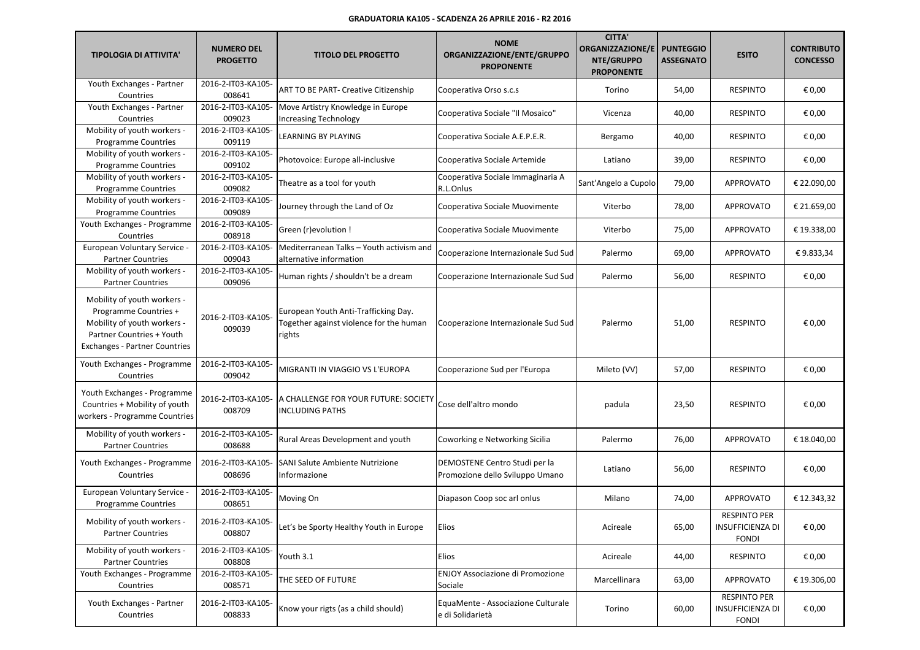| <b>TIPOLOGIA DI ATTIVITA'</b>                                                                                                                            | <b>NUMERO DEL</b><br><b>PROGETTO</b> | <b>TITOLO DEL PROGETTO</b>                                                                | <b>NOME</b><br>ORGANIZZAZIONE/ENTE/GRUPPO<br><b>PROPONENTE</b>   | <b>CITTA'</b><br>ORGANIZZAZIONE/E<br>NTE/GRUPPO<br><b>PROPONENTE</b> | <b>PUNTEGGIO</b><br><b>ASSEGNATO</b> | <b>ESITO</b>                                                   | <b>CONTRIBUTO</b><br><b>CONCESSO</b> |
|----------------------------------------------------------------------------------------------------------------------------------------------------------|--------------------------------------|-------------------------------------------------------------------------------------------|------------------------------------------------------------------|----------------------------------------------------------------------|--------------------------------------|----------------------------------------------------------------|--------------------------------------|
| Youth Exchanges - Partner<br>Countries                                                                                                                   | 2016-2-IT03-KA105-<br>008641         | ART TO BE PART- Creative Citizenship                                                      | Cooperativa Orso s.c.s                                           | Torino                                                               | 54,00                                | <b>RESPINTO</b>                                                | € 0,00                               |
| Youth Exchanges - Partner<br>Countries                                                                                                                   | 2016-2-IT03-KA105-<br>009023         | Move Artistry Knowledge in Europe<br><b>Increasing Technology</b>                         | Cooperativa Sociale "Il Mosaico"                                 | Vicenza                                                              | 40,00                                | <b>RESPINTO</b>                                                | € 0,00                               |
| Mobility of youth workers -<br><b>Programme Countries</b>                                                                                                | 2016-2-IT03-KA105-<br>009119         | LEARNING BY PLAYING                                                                       | Cooperativa Sociale A.E.P.E.R.                                   | Bergamo                                                              | 40,00                                | <b>RESPINTO</b>                                                | € 0,00                               |
| Mobility of youth workers -<br><b>Programme Countries</b>                                                                                                | 2016-2-IT03-KA105-<br>009102         | Photovoice: Europe all-inclusive                                                          | Cooperativa Sociale Artemide                                     | Latiano                                                              | 39,00                                | <b>RESPINTO</b>                                                | € 0,00                               |
| Mobility of youth workers -<br><b>Programme Countries</b>                                                                                                | 2016-2-IT03-KA105-<br>009082         | Theatre as a tool for youth                                                               | Cooperativa Sociale Immaginaria A<br>R.L.Onlus                   | Sant'Angelo a Cupolo                                                 | 79,00                                | <b>APPROVATO</b>                                               | € 22.090,00                          |
| Mobility of youth workers -<br><b>Programme Countries</b>                                                                                                | 2016-2-IT03-KA105-<br>009089         | Journey through the Land of Oz                                                            | Cooperativa Sociale Muovimente                                   | Viterbo                                                              | 78,00                                | <b>APPROVATO</b>                                               | € 21.659,00                          |
| Youth Exchanges - Programme<br>Countries                                                                                                                 | 2016-2-IT03-KA105-<br>008918         | Green (r) evolution !                                                                     | Cooperativa Sociale Muovimente                                   | Viterbo                                                              | 75,00                                | APPROVATO                                                      | € 19.338,00                          |
| European Voluntary Service -<br><b>Partner Countries</b>                                                                                                 | 2016-2-IT03-KA105-<br>009043         | Mediterranean Talks - Youth activism and<br>alternative information                       | Cooperazione Internazionale Sud Sud                              | Palermo                                                              | 69,00                                | <b>APPROVATO</b>                                               | €9.833,34                            |
| Mobility of youth workers -<br><b>Partner Countries</b>                                                                                                  | 2016-2-IT03-KA105-<br>009096         | Human rights / shouldn't be a dream                                                       | Cooperazione Internazionale Sud Sud                              | Palermo                                                              | 56,00                                | <b>RESPINTO</b>                                                | € 0,00                               |
| Mobility of youth workers -<br>Programme Countries +<br>Mobility of youth workers -<br>Partner Countries + Youth<br><b>Exchanges - Partner Countries</b> | 2016-2-IT03-KA105-<br>009039         | European Youth Anti-Trafficking Day.<br>Together against violence for the human<br>rights | Cooperazione Internazionale Sud Sud                              | Palermo                                                              | 51,00                                | <b>RESPINTO</b>                                                | € 0,00                               |
| Youth Exchanges - Programme<br>Countries                                                                                                                 | 2016-2-IT03-KA105-<br>009042         | MIGRANTI IN VIAGGIO VS L'EUROPA                                                           | Cooperazione Sud per l'Europa                                    | Mileto (VV)                                                          | 57,00                                | <b>RESPINTO</b>                                                | € 0,00                               |
| Youth Exchanges - Programme<br>Countries + Mobility of youth<br>workers - Programme Countries                                                            | 2016-2-IT03-KA105-<br>008709         | A CHALLENGE FOR YOUR FUTURE: SOCIETY<br><b>INCLUDING PATHS</b>                            | Cose dell'altro mondo                                            | padula                                                               | 23,50                                | <b>RESPINTO</b>                                                | € 0,00                               |
| Mobility of youth workers -<br><b>Partner Countries</b>                                                                                                  | 2016-2-IT03-KA105-<br>008688         | Rural Areas Development and youth                                                         | Coworking e Networking Sicilia                                   | Palermo                                                              | 76,00                                | <b>APPROVATO</b>                                               | € 18.040,00                          |
| Youth Exchanges - Programme<br>Countries                                                                                                                 | 2016-2-IT03-KA105-<br>008696         | <b>SANI Salute Ambiente Nutrizione</b><br>Informazione                                    | DEMOSTENE Centro Studi per la<br>Promozione dello Sviluppo Umano | Latiano                                                              | 56,00                                | <b>RESPINTO</b>                                                | € 0,00                               |
| European Voluntary Service -<br>Programme Countries                                                                                                      | 2016-2-IT03-KA105-<br>008651         | Moving On                                                                                 | Diapason Coop soc arl onlus                                      | Milano                                                               | 74,00                                | <b>APPROVATO</b>                                               | € 12.343,32                          |
| Mobility of youth workers -<br><b>Partner Countries</b>                                                                                                  | 2016-2-IT03-KA105-<br>008807         | Let's be Sporty Healthy Youth in Europe                                                   | <b>Elios</b>                                                     | Acireale                                                             | 65,00                                | <b>RESPINTO PER</b><br><b>INSUFFICIENZA DI</b><br><b>FONDI</b> | € 0,00                               |
| Mobility of youth workers -<br><b>Partner Countries</b>                                                                                                  | 2016-2-IT03-KA105-<br>008808         | Youth 3.1                                                                                 | Elios                                                            | Acireale                                                             | 44,00                                | <b>RESPINTO</b>                                                | € 0,00                               |
| Youth Exchanges - Programme<br>Countries                                                                                                                 | 2016-2-IT03-KA105-<br>008571         | THE SEED OF FUTURE                                                                        | <b>ENJOY Associazione di Promozione</b><br>Sociale               | Marcellinara                                                         | 63,00                                | APPROVATO                                                      | € 19.306,00                          |
| Youth Exchanges - Partner<br>Countries                                                                                                                   | 2016-2-IT03-KA105-<br>008833         | Know your rigts (as a child should)                                                       | EquaMente - Associazione Culturale<br>e di Solidarietà           | Torino                                                               | 60,00                                | <b>RESPINTO PER</b><br><b>INSUFFICIENZA DI</b><br><b>FONDI</b> | € 0,00                               |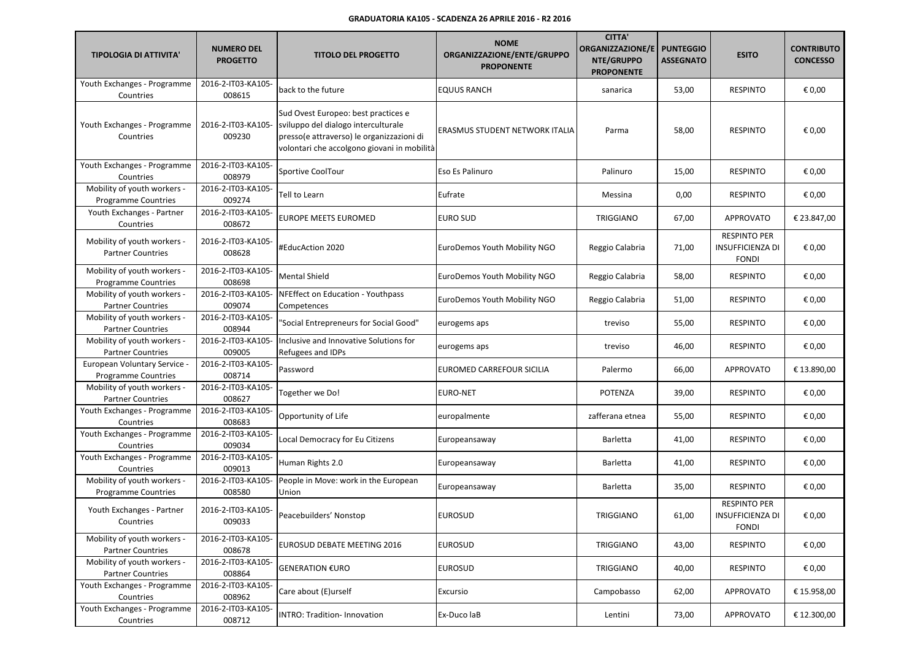| <b>TIPOLOGIA DI ATTIVITA'</b>                              | <b>NUMERO DEL</b><br><b>PROGETTO</b> | <b>TITOLO DEL PROGETTO</b>                                                                                                                                             | <b>NOME</b><br>ORGANIZZAZIONE/ENTE/GRUPPO<br><b>PROPONENTE</b> | <b>CITTA'</b><br><b>ORGANIZZAZIONE/E</b><br>NTE/GRUPPO<br><b>PROPONENTE</b> | <b>PUNTEGGIO</b><br><b>ASSEGNATO</b> | <b>ESITO</b>                                                   | <b>CONTRIBUTO</b><br><b>CONCESSO</b> |
|------------------------------------------------------------|--------------------------------------|------------------------------------------------------------------------------------------------------------------------------------------------------------------------|----------------------------------------------------------------|-----------------------------------------------------------------------------|--------------------------------------|----------------------------------------------------------------|--------------------------------------|
| Youth Exchanges - Programme<br>Countries                   | 2016-2-IT03-KA105-<br>008615         | back to the future                                                                                                                                                     | <b>EQUUS RANCH</b>                                             | sanarica                                                                    | 53,00                                | <b>RESPINTO</b>                                                | € 0,00                               |
| Youth Exchanges - Programme<br>Countries                   | 2016-2-IT03-KA105<br>009230          | Sud Ovest Europeo: best practices e<br>sviluppo del dialogo interculturale<br>presso(e attraverso) le organizzazioni di<br>volontari che accolgono giovani in mobilità | ERASMUS STUDENT NETWORK ITALIA                                 | Parma                                                                       | 58,00                                | <b>RESPINTO</b>                                                | € 0,00                               |
| Youth Exchanges - Programme<br>Countries                   | 2016-2-IT03-KA105-<br>008979         | Sportive CoolTour                                                                                                                                                      | Eso Es Palinuro                                                | Palinuro                                                                    | 15,00                                | <b>RESPINTO</b>                                                | € 0,00                               |
| Mobility of youth workers -<br><b>Programme Countries</b>  | 2016-2-IT03-KA105-<br>009274         | Tell to Learn                                                                                                                                                          | Eufrate                                                        | Messina                                                                     | 0,00                                 | <b>RESPINTO</b>                                                | € 0,00                               |
| Youth Exchanges - Partner<br>Countries                     | 2016-2-IT03-KA105-<br>008672         | <b>EUROPE MEETS EUROMED</b>                                                                                                                                            | EURO SUD                                                       | <b>TRIGGIANO</b>                                                            | 67,00                                | <b>APPROVATO</b>                                               | € 23.847,00                          |
| Mobility of youth workers -<br><b>Partner Countries</b>    | 2016-2-IT03-KA105-<br>008628         | #EducAction 2020                                                                                                                                                       | EuroDemos Youth Mobility NGO                                   | Reggio Calabria                                                             | 71,00                                | <b>RESPINTO PER</b><br><b>INSUFFICIENZA DI</b><br><b>FONDI</b> | € 0,00                               |
| Mobility of youth workers -<br><b>Programme Countries</b>  | 2016-2-IT03-KA105-<br>008698         | <b>Mental Shield</b>                                                                                                                                                   | EuroDemos Youth Mobility NGO                                   | Reggio Calabria                                                             | 58,00                                | <b>RESPINTO</b>                                                | € 0,00                               |
| Mobility of youth workers -<br><b>Partner Countries</b>    | 2016-2-IT03-KA105-<br>009074         | NFEffect on Education - Youthpass<br>Competences                                                                                                                       | EuroDemos Youth Mobility NGO                                   | Reggio Calabria                                                             | 51,00                                | <b>RESPINTO</b>                                                | € 0,00                               |
| Mobility of youth workers -<br><b>Partner Countries</b>    | 2016-2-IT03-KA105-<br>008944         | "Social Entrepreneurs for Social Good"                                                                                                                                 | eurogems aps                                                   | treviso                                                                     | 55,00                                | <b>RESPINTO</b>                                                | € 0,00                               |
| Mobility of youth workers -<br><b>Partner Countries</b>    | 2016-2-IT03-KA105-<br>009005         | Inclusive and Innovative Solutions for<br>Refugees and IDPs                                                                                                            | eurogems aps                                                   | treviso                                                                     | 46,00                                | <b>RESPINTO</b>                                                | € 0,00                               |
| European Voluntary Service -<br><b>Programme Countries</b> | 2016-2-IT03-KA105-<br>008714         | Password                                                                                                                                                               | EUROMED CARREFOUR SICILIA                                      | Palermo                                                                     | 66,00                                | <b>APPROVATO</b>                                               | € 13.890,00                          |
| Mobility of youth workers -<br><b>Partner Countries</b>    | 2016-2-IT03-KA105-<br>008627         | Together we Do!                                                                                                                                                        | EURO-NET                                                       | POTENZA                                                                     | 39,00                                | <b>RESPINTO</b>                                                | € 0,00                               |
| Youth Exchanges - Programme<br>Countries                   | 2016-2-IT03-KA105-<br>008683         | Opportunity of Life                                                                                                                                                    | europalmente                                                   | zafferana etnea                                                             | 55,00                                | <b>RESPINTO</b>                                                | € 0,00                               |
| Youth Exchanges - Programme<br>Countries                   | 2016-2-IT03-KA105-<br>009034         | Local Democracy for Eu Citizens                                                                                                                                        | Europeansaway                                                  | Barletta                                                                    | 41,00                                | <b>RESPINTO</b>                                                | € 0,00                               |
| Youth Exchanges - Programme<br>Countries                   | 2016-2-IT03-KA105-<br>009013         | Human Rights 2.0                                                                                                                                                       | Europeansaway                                                  | Barletta                                                                    | 41,00                                | <b>RESPINTO</b>                                                | € 0,00                               |
| Mobility of youth workers -<br><b>Programme Countries</b>  | 2016-2-IT03-KA105-<br>008580         | People in Move: work in the European<br>Union                                                                                                                          | Europeansaway                                                  | Barletta                                                                    | 35,00                                | <b>RESPINTO</b>                                                | € 0,00                               |
| Youth Exchanges - Partner<br>Countries                     | 2016-2-IT03-KA105-<br>009033         | Peacebuilders' Nonstop                                                                                                                                                 | <b>EUROSUD</b>                                                 | <b>TRIGGIANO</b>                                                            | 61,00                                | <b>RESPINTO PER</b><br><b>INSUFFICIENZA DI</b><br><b>FONDI</b> | € 0,00                               |
| Mobility of youth workers -<br><b>Partner Countries</b>    | 2016-2-IT03-KA105-<br>008678         | <b>EUROSUD DEBATE MEETING 2016</b>                                                                                                                                     | <b>EUROSUD</b>                                                 | <b>TRIGGIANO</b>                                                            | 43,00                                | <b>RESPINTO</b>                                                | € 0,00                               |
| Mobility of youth workers -<br><b>Partner Countries</b>    | 2016-2-IT03-KA105-<br>008864         | <b>GENERATION €URO</b>                                                                                                                                                 | <b>EUROSUD</b>                                                 | TRIGGIANO                                                                   | 40,00                                | <b>RESPINTO</b>                                                | € 0,00                               |
| Youth Exchanges - Programme<br>Countries                   | 2016-2-IT03-KA105-<br>008962         | Care about (E)urself                                                                                                                                                   | Excursio                                                       | Campobasso                                                                  | 62,00                                | APPROVATO                                                      | € 15.958,00                          |
| Youth Exchanges - Programme<br>Countries                   | 2016-2-IT03-KA105-<br>008712         | <b>INTRO: Tradition- Innovation</b>                                                                                                                                    | Ex-Duco laB                                                    | Lentini                                                                     | 73,00                                | APPROVATO                                                      | € 12.300,00                          |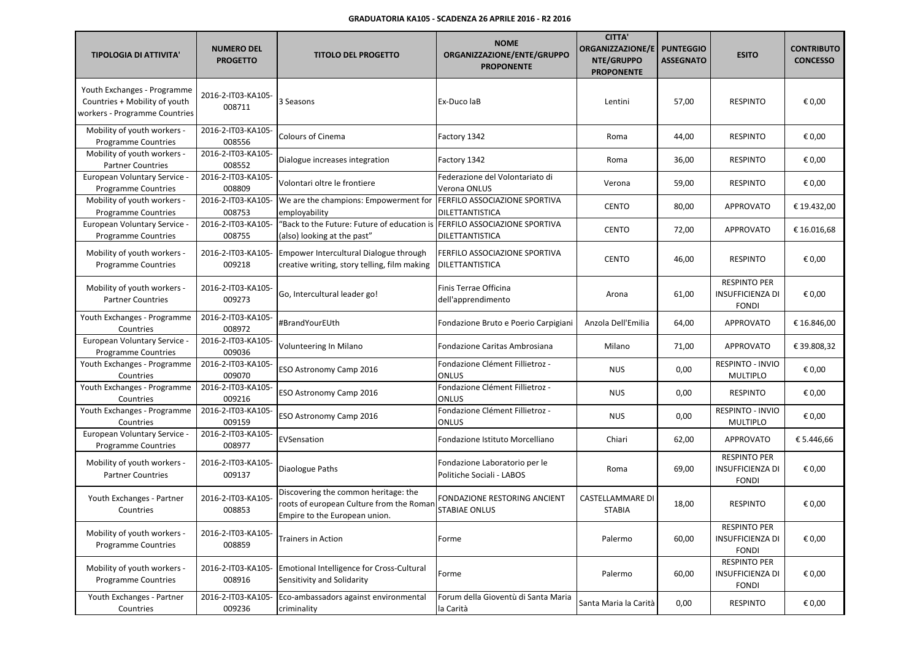| <b>TIPOLOGIA DI ATTIVITA'</b>                                                                 | <b>NUMERO DEL</b><br><b>PROGETTO</b> | <b>TITOLO DEL PROGETTO</b>                                                                                        | <b>NOME</b><br>ORGANIZZAZIONE/ENTE/GRUPPO<br><b>PROPONENTE</b> | <b>CITTA'</b><br><b>ORGANIZZAZIONE/E</b><br>NTE/GRUPPO<br><b>PROPONENTE</b> | <b>PUNTEGGIO</b><br><b>ASSEGNATO</b> | <b>ESITO</b>                                                   | <b>CONTRIBUTO</b><br><b>CONCESSO</b> |
|-----------------------------------------------------------------------------------------------|--------------------------------------|-------------------------------------------------------------------------------------------------------------------|----------------------------------------------------------------|-----------------------------------------------------------------------------|--------------------------------------|----------------------------------------------------------------|--------------------------------------|
| Youth Exchanges - Programme<br>Countries + Mobility of youth<br>workers - Programme Countries | 2016-2-IT03-KA105-<br>008711         | 3 Seasons                                                                                                         | Ex-Duco laB                                                    | Lentini                                                                     | 57,00                                | <b>RESPINTO</b>                                                | € 0,00                               |
| Mobility of youth workers -<br><b>Programme Countries</b>                                     | 2016-2-IT03-KA105-<br>008556         | Colours of Cinema                                                                                                 | Factory 1342                                                   | Roma                                                                        | 44,00                                | <b>RESPINTO</b>                                                | € 0,00                               |
| Mobility of youth workers -<br><b>Partner Countries</b>                                       | 2016-2-IT03-KA105-<br>008552         | Dialogue increases integration                                                                                    | Factory 1342                                                   | Roma                                                                        | 36,00                                | <b>RESPINTO</b>                                                | € 0,00                               |
| European Voluntary Service -<br><b>Programme Countries</b>                                    | 2016-2-IT03-KA105-<br>008809         | Volontari oltre le frontiere                                                                                      | Federazione del Volontariato di<br>Verona ONLUS                | Verona                                                                      | 59,00                                | <b>RESPINTO</b>                                                | € 0,00                               |
| Mobility of youth workers -<br><b>Programme Countries</b>                                     | 2016-2-IT03-KA105-<br>008753         | We are the champions: Empowerment for<br>employability                                                            | FERFILO ASSOCIAZIONE SPORTIVA<br>DILETTANTISTICA               | <b>CENTO</b>                                                                | 80,00                                | APPROVATO                                                      | € 19.432,00                          |
| European Voluntary Service -<br><b>Programme Countries</b>                                    | 2016-2-IT03-KA105-<br>008755         | "Back to the Future: Future of education is FERFILO ASSOCIAZIONE SPORTIVA<br>(also) looking at the past"          | DILETTANTISTICA                                                | <b>CENTO</b>                                                                | 72,00                                | <b>APPROVATO</b>                                               | €16.016,68                           |
| Mobility of youth workers -<br><b>Programme Countries</b>                                     | 2016-2-IT03-KA105-<br>009218         | Empower Intercultural Dialogue through<br>creative writing, story telling, film making                            | FERFILO ASSOCIAZIONE SPORTIVA<br><b>DILETTANTISTICA</b>        | <b>CENTO</b>                                                                | 46,00                                | <b>RESPINTO</b>                                                | € 0,00                               |
| Mobility of youth workers -<br><b>Partner Countries</b>                                       | 2016-2-IT03-KA105-<br>009273         | Go, Intercultural leader go!                                                                                      | Finis Terrae Officina<br>dell'apprendimento                    | Arona                                                                       | 61,00                                | <b>RESPINTO PER</b><br>INSUFFICIENZA DI<br><b>FONDI</b>        | € 0,00                               |
| Youth Exchanges - Programme<br>Countries                                                      | 2016-2-IT03-KA105-<br>008972         | #BrandYourEUth                                                                                                    | Fondazione Bruto e Poerio Carpigiani                           | Anzola Dell'Emilia                                                          | 64,00                                | <b>APPROVATO</b>                                               | € 16.846,00                          |
| European Voluntary Service -<br><b>Programme Countries</b>                                    | 2016-2-IT03-KA105-<br>009036         | Volunteering In Milano                                                                                            | Fondazione Caritas Ambrosiana                                  | Milano                                                                      | 71,00                                | <b>APPROVATO</b>                                               | € 39.808,32                          |
| Youth Exchanges - Programme<br>Countries                                                      | 2016-2-IT03-KA105-<br>009070         | ESO Astronomy Camp 2016                                                                                           | Fondazione Clément Fillietroz -<br><b>ONLUS</b>                | <b>NUS</b>                                                                  | 0,00                                 | <b>RESPINTO - INVIO</b><br><b>MULTIPLO</b>                     | € 0,00                               |
| Youth Exchanges - Programme<br>Countries                                                      | 2016-2-IT03-KA105-<br>009216         | ESO Astronomy Camp 2016                                                                                           | Fondazione Clément Fillietroz -<br><b>ONLUS</b>                | <b>NUS</b>                                                                  | 0,00                                 | <b>RESPINTO</b>                                                | € 0,00                               |
| Youth Exchanges - Programme<br>Countries                                                      | 2016-2-IT03-KA105-<br>009159         | ESO Astronomy Camp 2016                                                                                           | Fondazione Clément Fillietroz -<br>ONLUS                       | <b>NUS</b>                                                                  | 0,00                                 | <b>RESPINTO - INVIO</b><br><b>MULTIPLO</b>                     | € 0,00                               |
| European Voluntary Service -<br><b>Programme Countries</b>                                    | 2016-2-IT03-KA105-<br>008977         | EVSensation                                                                                                       | Fondazione Istituto Morcelliano                                | Chiari                                                                      | 62,00                                | <b>APPROVATO</b>                                               | € 5.446,66                           |
| Mobility of youth workers -<br><b>Partner Countries</b>                                       | 2016-2-IT03-KA105-<br>009137         | Diaologue Paths                                                                                                   | Fondazione Laboratorio per le<br>Politiche Sociali - LABOS     | Roma                                                                        | 69,00                                | <b>RESPINTO PER</b><br><b>INSUFFICIENZA DI</b><br><b>FONDI</b> | € 0,00                               |
| Youth Exchanges - Partner<br>Countries                                                        | 2016-2-IT03-KA105-<br>008853         | Discovering the common heritage: the<br>roots of european Culture from the Roman<br>Empire to the European union. | FONDAZIONE RESTORING ANCIENT<br>STABIAE ONLUS                  | CASTELLAMMARE DI<br><b>STABIA</b>                                           | 18,00                                | <b>RESPINTO</b>                                                | € 0,00                               |
| Mobility of youth workers -<br><b>Programme Countries</b>                                     | 2016-2-IT03-KA105-<br>008859         | <b>Trainers in Action</b>                                                                                         | Forme                                                          | Palermo                                                                     | 60,00                                | <b>RESPINTO PER</b><br>INSUFFICIENZA DI<br><b>FONDI</b>        | € 0,00                               |
| Mobility of youth workers -<br>Programme Countries                                            | 2016-2-IT03-KA105-<br>008916         | <b>Emotional Intelligence for Cross-Cultural</b><br>Sensitivity and Solidarity                                    | Forme                                                          | Palermo                                                                     | 60,00                                | <b>RESPINTO PER</b><br>INSUFFICIENZA DI<br><b>FONDI</b>        | € 0,00                               |
| Youth Exchanges - Partner<br>Countries                                                        | 2016-2-IT03-KA105-<br>009236         | Eco-ambassadors against environmental<br>criminality                                                              | Forum della Gioventù di Santa Maria<br>la Carità               | Santa Maria la Carità                                                       | 0,00                                 | <b>RESPINTO</b>                                                | € 0,00                               |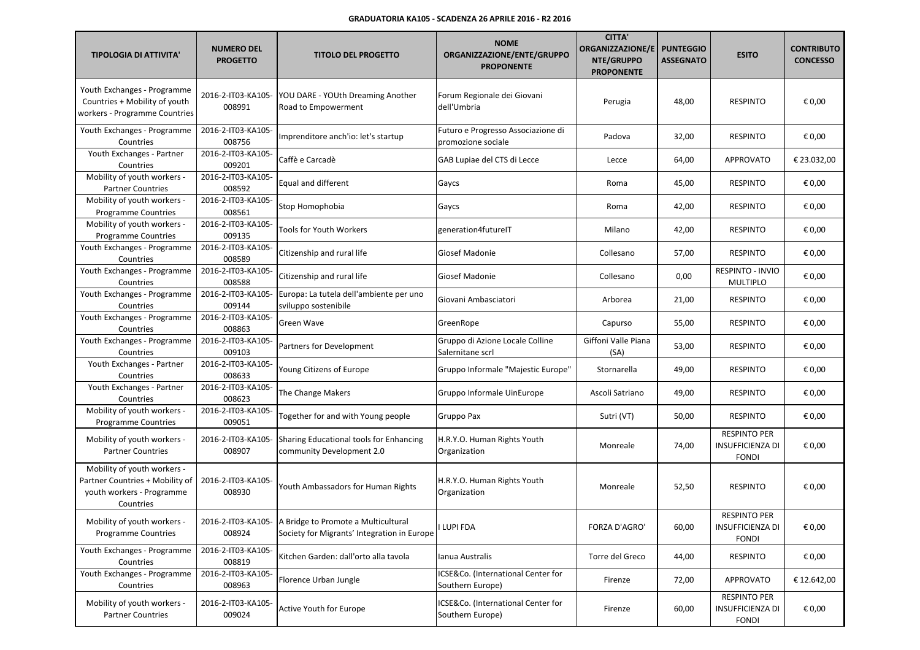| <b>TIPOLOGIA DI ATTIVITA'</b>                                                                            | <b>NUMERO DEL</b><br><b>PROGETTO</b> | <b>TITOLO DEL PROGETTO</b>                                                                            | <b>NOME</b><br>ORGANIZZAZIONE/ENTE/GRUPPO<br><b>PROPONENTE</b> | <b>CITTA'</b><br><b>ORGANIZZAZIONE/E</b><br>NTE/GRUPPO<br><b>PROPONENTE</b> | <b>PUNTEGGIO</b><br><b>ASSEGNATO</b> | <b>ESITO</b>                                                   | <b>CONTRIBUTO</b><br><b>CONCESSO</b> |
|----------------------------------------------------------------------------------------------------------|--------------------------------------|-------------------------------------------------------------------------------------------------------|----------------------------------------------------------------|-----------------------------------------------------------------------------|--------------------------------------|----------------------------------------------------------------|--------------------------------------|
| Youth Exchanges - Programme<br>Countries + Mobility of youth<br>workers - Programme Countries            | 2016-2-IT03-KA105-<br>008991         | YOU DARE - YOUth Dreaming Another<br>Road to Empowerment                                              | Forum Regionale dei Giovani<br>dell'Umbria                     | Perugia                                                                     | 48,00                                | <b>RESPINTO</b>                                                | € 0,00                               |
| Youth Exchanges - Programme<br>Countries                                                                 | 2016-2-IT03-KA105-<br>008756         | Imprenditore anch'io: let's startup                                                                   | Futuro e Progresso Associazione di<br>promozione sociale       | Padova                                                                      | 32,00                                | <b>RESPINTO</b>                                                | € 0,00                               |
| Youth Exchanges - Partner<br>Countries                                                                   | 2016-2-IT03-KA105-<br>009201         | Caffè e Carcadè                                                                                       | GAB Lupiae del CTS di Lecce                                    | Lecce                                                                       | 64,00                                | <b>APPROVATO</b>                                               | € 23.032,00                          |
| Mobility of youth workers -<br><b>Partner Countries</b>                                                  | 2016-2-IT03-KA105-<br>008592         | Equal and different                                                                                   | Gaycs                                                          | Roma                                                                        | 45,00                                | <b>RESPINTO</b>                                                | € 0,00                               |
| Mobility of youth workers -<br>Programme Countries                                                       | 2016-2-IT03-KA105-<br>008561         | Stop Homophobia                                                                                       | Gaycs                                                          | Roma                                                                        | 42,00                                | <b>RESPINTO</b>                                                | € 0,00                               |
| Mobility of youth workers -<br><b>Programme Countries</b>                                                | 2016-2-IT03-KA105-<br>009135         | Tools for Youth Workers                                                                               | generation4futureIT                                            | Milano                                                                      | 42,00                                | <b>RESPINTO</b>                                                | € 0,00                               |
| Youth Exchanges - Programme<br>Countries                                                                 | 2016-2-IT03-KA105-<br>008589         | Citizenship and rural life                                                                            | Giosef Madonie                                                 | Collesano                                                                   | 57,00                                | <b>RESPINTO</b>                                                | € 0,00                               |
| Youth Exchanges - Programme<br>Countries                                                                 | 2016-2-IT03-KA105-<br>008588         | Citizenship and rural life                                                                            | Giosef Madonie                                                 | Collesano                                                                   | 0,00                                 | <b>RESPINTO - INVIO</b><br><b>MULTIPLO</b>                     | € 0,00                               |
| Youth Exchanges - Programme<br>Countries                                                                 | 2016-2-IT03-KA105-<br>009144         | Europa: La tutela dell'ambiente per uno<br>sviluppo sostenibile                                       | Giovani Ambasciatori                                           | Arborea                                                                     | 21,00                                | <b>RESPINTO</b>                                                | € 0,00                               |
| Youth Exchanges - Programme<br>Countries                                                                 | 2016-2-IT03-KA105-<br>008863         | Green Wave                                                                                            | GreenRope                                                      | Capurso                                                                     | 55,00                                | <b>RESPINTO</b>                                                | € 0,00                               |
| Youth Exchanges - Programme<br>Countries                                                                 | 2016-2-IT03-KA105-<br>009103         | Partners for Development                                                                              | Gruppo di Azione Locale Colline<br>Salernitane scrl            | Giffoni Valle Piana<br>(SA)                                                 | 53,00                                | <b>RESPINTO</b>                                                | € 0,00                               |
| Youth Exchanges - Partner<br>Countries                                                                   | 2016-2-IT03-KA105-<br>008633         | Young Citizens of Europe                                                                              | Gruppo Informale "Majestic Europe"                             | Stornarella                                                                 | 49,00                                | <b>RESPINTO</b>                                                | € 0,00                               |
| Youth Exchanges - Partner<br>Countries                                                                   | 2016-2-IT03-KA105-<br>008623         | The Change Makers                                                                                     | Gruppo Informale UinEurope                                     | Ascoli Satriano                                                             | 49,00                                | <b>RESPINTO</b>                                                | € 0,00                               |
| Mobility of youth workers -<br><b>Programme Countries</b>                                                | 2016-2-IT03-KA105-<br>009051         | Together for and with Young people                                                                    | Gruppo Pax                                                     | Sutri (VT)                                                                  | 50,00                                | <b>RESPINTO</b>                                                | € 0,00                               |
| Mobility of youth workers -<br><b>Partner Countries</b>                                                  | 2016-2-IT03-KA105<br>008907          | Sharing Educational tools for Enhancing<br>community Development 2.0                                  | H.R.Y.O. Human Rights Youth<br>Organization                    | Monreale                                                                    | 74,00                                | <b>RESPINTO PER</b><br>INSUFFICIENZA DI<br><b>FONDI</b>        | € 0,00                               |
| Mobility of youth workers -<br>Partner Countries + Mobility of<br>youth workers - Programme<br>Countries | 2016-2-IT03-KA105-<br>008930         | Youth Ambassadors for Human Rights                                                                    | H.R.Y.O. Human Rights Youth<br>Organization                    | Monreale                                                                    | 52,50                                | <b>RESPINTO</b>                                                | € 0,00                               |
| Mobility of youth workers -<br><b>Programme Countries</b>                                                | 008924                               | 2016-2-IT03-KA105- A Bridge to Promote a Multicultural<br>Society for Migrants' Integration in Europe | I LUPI FDA                                                     | FORZA D'AGRO'                                                               | 60,00                                | <b>RESPINTO PER</b><br><b>INSUFFICIENZA DI</b><br><b>FONDI</b> | € 0,00                               |
| Youth Exchanges - Programme<br>Countries                                                                 | 2016-2-IT03-KA105-<br>008819         | Kitchen Garden: dall'orto alla tavola                                                                 | Ianua Australis                                                | Torre del Greco                                                             | 44,00                                | <b>RESPINTO</b>                                                | € 0,00                               |
| Youth Exchanges - Programme<br>Countries                                                                 | 2016-2-IT03-KA105-<br>008963         | Florence Urban Jungle                                                                                 | ICSE&Co. (International Center for<br>Southern Europe)         | Firenze                                                                     | 72,00                                | APPROVATO                                                      | € 12.642,00                          |
| Mobility of youth workers -<br><b>Partner Countries</b>                                                  | 2016-2-IT03-KA105-<br>009024         | Active Youth for Europe                                                                               | ICSE&Co. (International Center for<br>Southern Europe)         | Firenze                                                                     | 60,00                                | <b>RESPINTO PER</b><br><b>INSUFFICIENZA DI</b><br><b>FONDI</b> | € 0,00                               |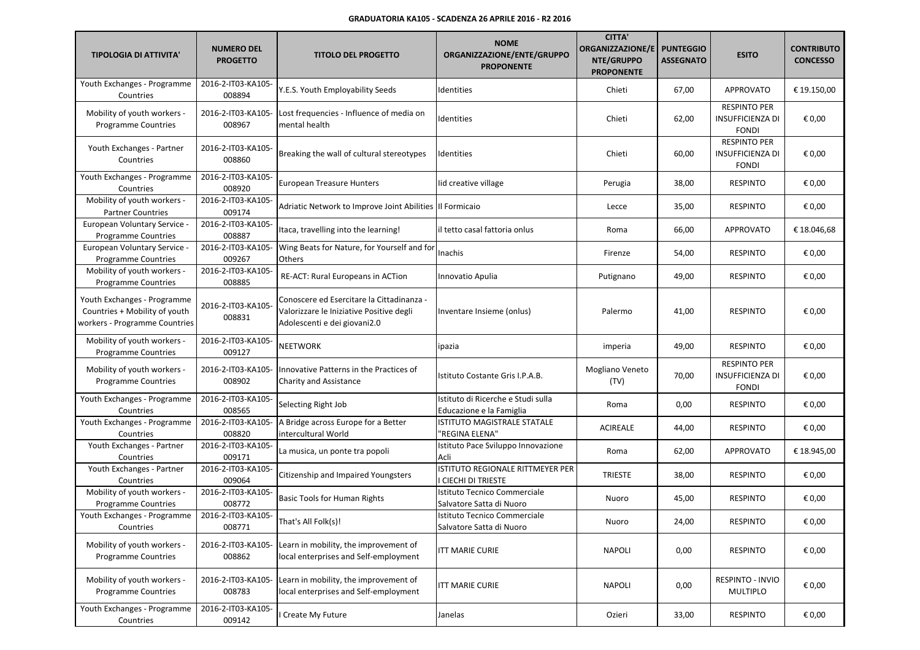| <b>TIPOLOGIA DI ATTIVITA'</b>                                                                 | <b>NUMERO DEL</b><br><b>PROGETTO</b> | <b>TITOLO DEL PROGETTO</b>                                                                                            | <b>NOME</b><br>ORGANIZZAZIONE/ENTE/GRUPPO<br><b>PROPONENTE</b> | <b>CITTA'</b><br><b>ORGANIZZAZIONE/E</b><br>NTE/GRUPPO<br><b>PROPONENTE</b> | <b>PUNTEGGIO</b><br><b>ASSEGNATO</b> | <b>ESITO</b>                                                   | <b>CONTRIBUTO</b><br><b>CONCESSO</b> |
|-----------------------------------------------------------------------------------------------|--------------------------------------|-----------------------------------------------------------------------------------------------------------------------|----------------------------------------------------------------|-----------------------------------------------------------------------------|--------------------------------------|----------------------------------------------------------------|--------------------------------------|
| Youth Exchanges - Programme<br>Countries                                                      | 2016-2-IT03-KA105-<br>008894         | Y.E.S. Youth Employability Seeds                                                                                      | Identities                                                     | Chieti                                                                      | 67,00                                | APPROVATO                                                      | € 19.150,00                          |
| Mobility of youth workers -<br><b>Programme Countries</b>                                     | 2016-2-IT03-KA105-<br>008967         | Lost frequencies - Influence of media on<br>mental health                                                             | Identities                                                     | Chieti                                                                      | 62,00                                | <b>RESPINTO PER</b><br><b>INSUFFICIENZA DI</b><br><b>FONDI</b> | € 0,00                               |
| Youth Exchanges - Partner<br>Countries                                                        | 2016-2-IT03-KA105-<br>008860         | Breaking the wall of cultural stereotypes                                                                             | Identities                                                     | Chieti                                                                      | 60,00                                | <b>RESPINTO PER</b><br><b>INSUFFICIENZA DI</b><br><b>FONDI</b> | € 0,00                               |
| Youth Exchanges - Programme<br>Countries                                                      | 2016-2-IT03-KA105-<br>008920         | <b>European Treasure Hunters</b>                                                                                      | lid creative village                                           | Perugia                                                                     | 38,00                                | <b>RESPINTO</b>                                                | € 0,00                               |
| Mobility of youth workers -<br><b>Partner Countries</b>                                       | 2016-2-IT03-KA105-<br>009174         | Adriatic Network to Improve Joint Abilities III Formicaio                                                             |                                                                | Lecce                                                                       | 35,00                                | <b>RESPINTO</b>                                                | € 0,00                               |
| European Voluntary Service -<br><b>Programme Countries</b>                                    | 2016-2-IT03-KA105-<br>008887         | Itaca, travelling into the learning!                                                                                  | il tetto casal fattoria onlus                                  | Roma                                                                        | 66,00                                | <b>APPROVATO</b>                                               | € 18.046,68                          |
| European Voluntary Service -<br><b>Programme Countries</b>                                    | 2016-2-IT03-KA105-<br>009267         | Wing Beats for Nature, for Yourself and for<br>Others                                                                 | Inachis                                                        | Firenze                                                                     | 54,00                                | <b>RESPINTO</b>                                                | € 0,00                               |
| Mobility of youth workers -<br>Programme Countries                                            | 2016-2-IT03-KA105-<br>008885         | RE-ACT: Rural Europeans in ACTion                                                                                     | Innovatio Apulia                                               | Putignano                                                                   | 49,00                                | <b>RESPINTO</b>                                                | € 0,00                               |
| Youth Exchanges - Programme<br>Countries + Mobility of youth<br>workers - Programme Countries | 2016-2-IT03-KA105<br>008831          | Conoscere ed Esercitare la Cittadinanza -<br>Valorizzare le Iniziative Positive degli<br>Adolescenti e dei giovani2.0 | Inventare Insieme (onlus)                                      | Palermo                                                                     | 41,00                                | <b>RESPINTO</b>                                                | € 0,00                               |
| Mobility of youth workers -<br>Programme Countries                                            | 2016-2-IT03-KA105-<br>009127         | NEETWORK                                                                                                              | ipazia                                                         | imperia                                                                     | 49,00                                | <b>RESPINTO</b>                                                | € 0,00                               |
| Mobility of youth workers -<br><b>Programme Countries</b>                                     | 2016-2-IT03-KA105-<br>008902         | Innovative Patterns in the Practices of<br><b>Charity and Assistance</b>                                              | Istituto Costante Gris I.P.A.B.                                | Mogliano Veneto<br>(TV)                                                     | 70,00                                | <b>RESPINTO PER</b><br><b>INSUFFICIENZA DI</b><br><b>FONDI</b> | € 0,00                               |
| Youth Exchanges - Programme<br>Countries                                                      | 2016-2-IT03-KA105-<br>008565         | Selecting Right Job                                                                                                   | Istituto di Ricerche e Studi sulla<br>Educazione e la Famiglia | Roma                                                                        | 0,00                                 | <b>RESPINTO</b>                                                | € 0,00                               |
| Youth Exchanges - Programme<br>Countries                                                      | 2016-2-IT03-KA105-<br>008820         | A Bridge across Europe for a Better<br>intercultural World                                                            | ISTITUTO MAGISTRALE STATALE<br>'REGINA ELENA"                  | <b>ACIREALE</b>                                                             | 44,00                                | <b>RESPINTO</b>                                                | € 0,00                               |
| Youth Exchanges - Partner<br>Countries                                                        | 2016-2-IT03-KA105-<br>009171         | La musica, un ponte tra popoli                                                                                        | Istituto Pace Sviluppo Innovazione<br>Acli                     | Roma                                                                        | 62,00                                | <b>APPROVATO</b>                                               | € 18.945,00                          |
| Youth Exchanges - Partner<br>Countries                                                        | 2016-2-IT03-KA105-<br>009064         | Citizenship and Impaired Youngsters                                                                                   | ISTITUTO REGIONALE RITTMEYER PER<br>I CIECHI DI TRIESTE        | <b>TRIESTE</b>                                                              | 38,00                                | <b>RESPINTO</b>                                                | € 0,00                               |
| Mobility of youth workers -<br><b>Programme Countries</b>                                     | 2016-2-IT03-KA105-<br>008772         | <b>Basic Tools for Human Rights</b>                                                                                   | Istituto Tecnico Commerciale<br>Salvatore Satta di Nuoro       | Nuoro                                                                       | 45,00                                | <b>RESPINTO</b>                                                | € 0,00                               |
| Youth Exchanges - Programme<br>Countries                                                      | 2016-2-IT03-KA105-<br>008771         | That's All Folk(s)!                                                                                                   | Istituto Tecnico Commerciale<br>Salvatore Satta di Nuoro       | Nuoro                                                                       | 24,00                                | <b>RESPINTO</b>                                                | $\epsilon$ 0,00                      |
| Mobility of youth workers -<br><b>Programme Countries</b>                                     | 2016-2-IT03-KA105-<br>008862         | Learn in mobility, the improvement of<br>local enterprises and Self-employment                                        | <b>ITT MARIE CURIE</b>                                         | <b>NAPOLI</b>                                                               | 0,00                                 | <b>RESPINTO</b>                                                | € 0,00                               |
| Mobility of youth workers -<br><b>Programme Countries</b>                                     | 2016-2-IT03-KA105-<br>008783         | Learn in mobility, the improvement of<br>local enterprises and Self-employment                                        | <b>ITT MARIE CURIE</b>                                         | <b>NAPOLI</b>                                                               | 0,00                                 | RESPINTO - INVIO<br><b>MULTIPLO</b>                            | € 0,00                               |
| Youth Exchanges - Programme<br>Countries                                                      | 2016-2-IT03-KA105-<br>009142         | Create My Future                                                                                                      | Janelas                                                        | Ozieri                                                                      | 33,00                                | <b>RESPINTO</b>                                                | € 0,00                               |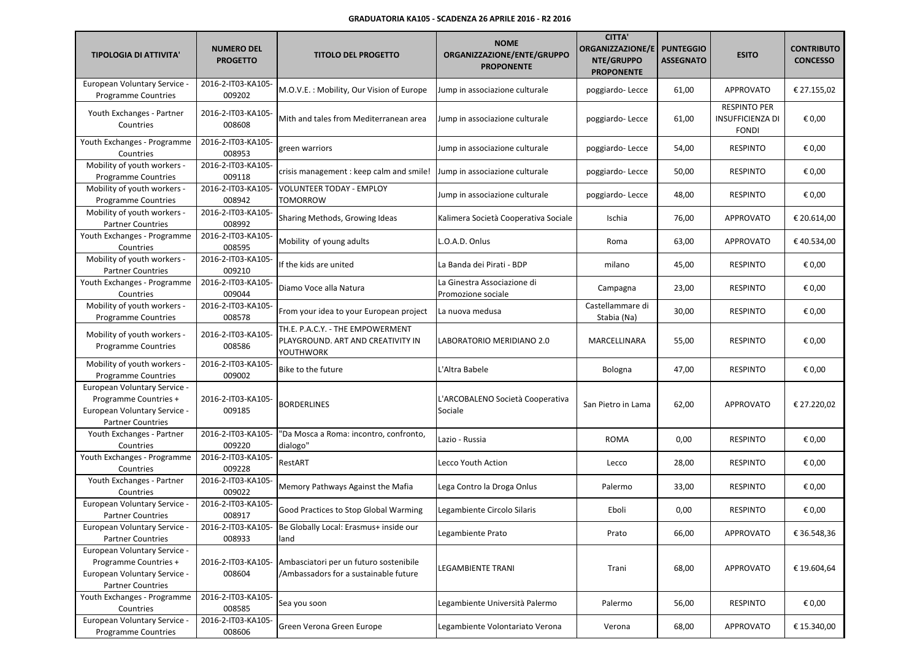| <b>TIPOLOGIA DI ATTIVITA'</b>                                                                                     | <b>NUMERO DEL</b><br><b>PROGETTO</b> | <b>TITOLO DEL PROGETTO</b>                                                         | <b>NOME</b><br>ORGANIZZAZIONE/ENTE/GRUPPO<br><b>PROPONENTE</b> | <b>CITTA'</b><br><b>ORGANIZZAZIONE/E</b><br>NTE/GRUPPO<br><b>PROPONENTE</b> | <b>PUNTEGGIO</b><br><b>ASSEGNATO</b> | <b>ESITO</b>                                                   | <b>CONTRIBUTO</b><br><b>CONCESSO</b> |
|-------------------------------------------------------------------------------------------------------------------|--------------------------------------|------------------------------------------------------------------------------------|----------------------------------------------------------------|-----------------------------------------------------------------------------|--------------------------------------|----------------------------------------------------------------|--------------------------------------|
| European Voluntary Service -<br><b>Programme Countries</b>                                                        | 2016-2-IT03-KA105-<br>009202         | M.O.V.E.: Mobility, Our Vision of Europe                                           | Jump in associazione culturale                                 | poggiardo-Lecce                                                             | 61,00                                | <b>APPROVATO</b>                                               | € 27.155,02                          |
| Youth Exchanges - Partner<br>Countries                                                                            | 2016-2-IT03-KA105-<br>008608         | Mith and tales from Mediterranean area                                             | Jump in associazione culturale                                 | poggiardo-Lecce                                                             | 61,00                                | <b>RESPINTO PER</b><br><b>INSUFFICIENZA DI</b><br><b>FONDI</b> | € 0,00                               |
| Youth Exchanges - Programme<br>Countries                                                                          | 2016-2-IT03-KA105-<br>008953         | green warriors                                                                     | Jump in associazione culturale                                 | poggiardo-Lecce                                                             | 54,00                                | <b>RESPINTO</b>                                                | € 0,00                               |
| Mobility of youth workers -<br><b>Programme Countries</b>                                                         | 2016-2-IT03-KA105-<br>009118         | crisis management : keep calm and smile!                                           | Jump in associazione culturale                                 | poggiardo-Lecce                                                             | 50,00                                | <b>RESPINTO</b>                                                | € 0,00                               |
| Mobility of youth workers -<br><b>Programme Countries</b>                                                         | 2016-2-IT03-KA105-<br>008942         | VOLUNTEER TODAY - EMPLOY<br>TOMORROW                                               | Jump in associazione culturale                                 | poggiardo-Lecce                                                             | 48,00                                | <b>RESPINTO</b>                                                | € 0,00                               |
| Mobility of youth workers -<br><b>Partner Countries</b>                                                           | 2016-2-IT03-KA105-<br>008992         | Sharing Methods, Growing Ideas                                                     | Kalimera Società Cooperativa Sociale                           | Ischia                                                                      | 76,00                                | <b>APPROVATO</b>                                               | € 20.614,00                          |
| Youth Exchanges - Programme<br>Countries                                                                          | 2016-2-IT03-KA105-<br>008595         | Mobility of young adults                                                           | L.O.A.D. Onlus                                                 | Roma                                                                        | 63,00                                | APPROVATO                                                      | €40.534,00                           |
| Mobility of youth workers -<br><b>Partner Countries</b>                                                           | 2016-2-IT03-KA105-<br>009210         | If the kids are united                                                             | La Banda dei Pirati - BDP                                      | milano                                                                      | 45,00                                | <b>RESPINTO</b>                                                | € 0,00                               |
| Youth Exchanges - Programme<br>Countries                                                                          | 2016-2-IT03-KA105-<br>009044         | Diamo Voce alla Natura                                                             | La Ginestra Associazione di<br>Promozione sociale              | Campagna                                                                    | 23,00                                | <b>RESPINTO</b>                                                | € 0,00                               |
| Mobility of youth workers -<br><b>Programme Countries</b>                                                         | 2016-2-IT03-KA105-<br>008578         | From your idea to your European project                                            | La nuova medusa                                                | Castellammare di<br>Stabia (Na)                                             | 30,00                                | <b>RESPINTO</b>                                                | € 0,00                               |
| Mobility of youth workers -<br><b>Programme Countries</b>                                                         | 2016-2-IT03-KA105-<br>008586         | TH.E. P.A.C.Y. - THE EMPOWERMENT<br>PLAYGROUND. ART AND CREATIVITY IN<br>YOUTHWORK | LABORATORIO MERIDIANO 2.0                                      | MARCELLINARA                                                                | 55,00                                | <b>RESPINTO</b>                                                | € 0,00                               |
| Mobility of youth workers -<br><b>Programme Countries</b>                                                         | 2016-2-IT03-KA105-<br>009002         | Bike to the future                                                                 | L'Altra Babele                                                 | Bologna                                                                     | 47,00                                | <b>RESPINTO</b>                                                | € 0,00                               |
| European Voluntary Service -<br>Programme Countries +<br>European Voluntary Service -<br><b>Partner Countries</b> | 2016-2-IT03-KA105-<br>009185         | <b>BORDERLINES</b>                                                                 | L'ARCOBALENO Società Cooperativa<br>Sociale                    | San Pietro in Lama                                                          | 62,00                                | <b>APPROVATO</b>                                               | € 27.220,02                          |
| Youth Exchanges - Partner<br>Countries                                                                            | 2016-2-IT03-KA105-<br>009220         | "Da Mosca a Roma: incontro, confronto,<br>dialogo"                                 | Lazio - Russia                                                 | <b>ROMA</b>                                                                 | 0,00                                 | <b>RESPINTO</b>                                                | € 0,00                               |
| Youth Exchanges - Programme<br>Countries                                                                          | 2016-2-IT03-KA105-<br>009228         | RestART                                                                            | Lecco Youth Action                                             | Lecco                                                                       | 28,00                                | <b>RESPINTO</b>                                                | € 0,00                               |
| Youth Exchanges - Partner<br>Countries                                                                            | 2016-2-IT03-KA105-<br>009022         | Memory Pathways Against the Mafia                                                  | Lega Contro la Droga Onlus                                     | Palermo                                                                     | 33,00                                | <b>RESPINTO</b>                                                | € 0,00                               |
| European Voluntary Service -<br><b>Partner Countries</b>                                                          | 2016-2-IT03-KA105-<br>008917         | Good Practices to Stop Global Warming                                              | Legambiente Circolo Silaris                                    | Eboli                                                                       | 0,00                                 | <b>RESPINTO</b>                                                | € 0,00                               |
| European Voluntary Service -<br><b>Partner Countries</b>                                                          | 008933                               | 2016-2-IT03-KA105- Be Globally Local: Erasmus+ inside our<br>land                  | Legambiente Prato                                              | Prato                                                                       | 66,00                                | APPROVATO                                                      | € 36.548,36                          |
| European Voluntary Service -<br>Programme Countries +<br>European Voluntary Service -<br><b>Partner Countries</b> | 2016-2-IT03-KA105-<br>008604         | Ambasciatori per un futuro sostenibile<br>/Ambassadors for a sustainable future    | LEGAMBIENTE TRANI                                              | Trani                                                                       | 68,00                                | APPROVATO                                                      | € 19.604,64                          |
| Youth Exchanges - Programme<br>Countries                                                                          | 2016-2-IT03-KA105-<br>008585         | Sea you soon                                                                       | Legambiente Università Palermo                                 | Palermo                                                                     | 56,00                                | <b>RESPINTO</b>                                                | € 0,00                               |
| European Voluntary Service -<br>Programme Countries                                                               | 2016-2-IT03-KA105-<br>008606         | Green Verona Green Europe                                                          | Legambiente Volontariato Verona                                | Verona                                                                      | 68,00                                | <b>APPROVATO</b>                                               | € 15.340,00                          |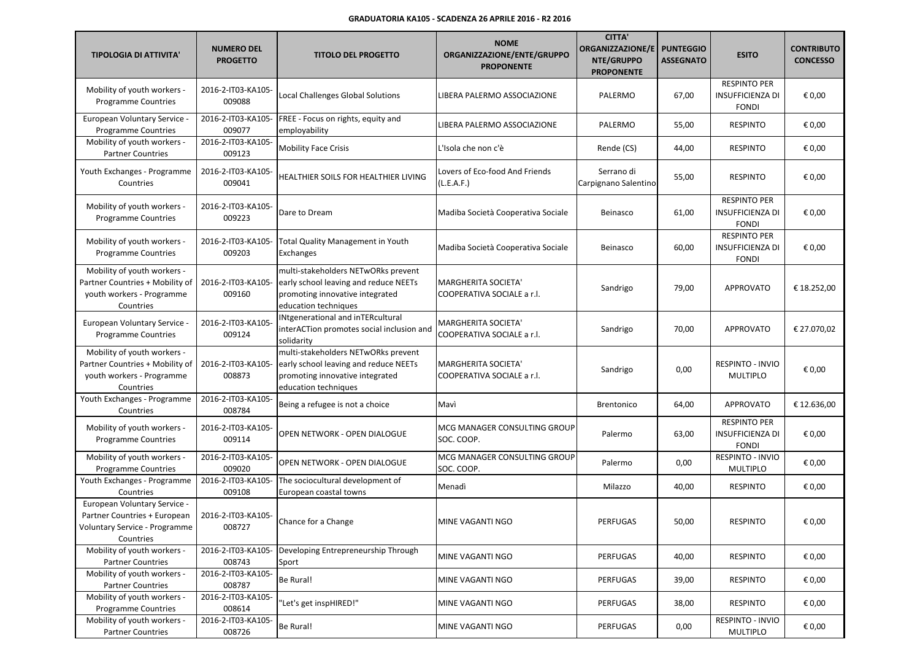| <b>TIPOLOGIA DI ATTIVITA'</b>                                                                              | <b>NUMERO DEL</b><br><b>PROGETTO</b> | <b>TITOLO DEL PROGETTO</b>                                                                                                              | <b>NOME</b><br>ORGANIZZAZIONE/ENTE/GRUPPO<br><b>PROPONENTE</b> | <b>CITTA'</b><br>ORGANIZZAZIONE/E<br>NTE/GRUPPO<br><b>PROPONENTE</b> | <b>PUNTEGGIO</b><br><b>ASSEGNATO</b> | <b>ESITO</b>                                                   | <b>CONTRIBUTO</b><br><b>CONCESSO</b> |
|------------------------------------------------------------------------------------------------------------|--------------------------------------|-----------------------------------------------------------------------------------------------------------------------------------------|----------------------------------------------------------------|----------------------------------------------------------------------|--------------------------------------|----------------------------------------------------------------|--------------------------------------|
| Mobility of youth workers -<br><b>Programme Countries</b>                                                  | 2016-2-IT03-KA105-<br>009088         | Local Challenges Global Solutions                                                                                                       | LIBERA PALERMO ASSOCIAZIONE                                    | PALERMO                                                              | 67,00                                | <b>RESPINTO PER</b><br><b>INSUFFICIENZA DI</b><br><b>FONDI</b> | € 0,00                               |
| European Voluntary Service -<br><b>Programme Countries</b>                                                 | 2016-2-IT03-KA105-<br>009077         | FREE - Focus on rights, equity and<br>employability                                                                                     | LIBERA PALERMO ASSOCIAZIONE                                    | PALERMO                                                              | 55,00                                | <b>RESPINTO</b>                                                | € 0,00                               |
| Mobility of youth workers -<br><b>Partner Countries</b>                                                    | 2016-2-IT03-KA105-<br>009123         | <b>Mobility Face Crisis</b>                                                                                                             | L'Isola che non c'è                                            | Rende (CS)                                                           | 44,00                                | <b>RESPINTO</b>                                                | € 0,00                               |
| Youth Exchanges - Programme<br>Countries                                                                   | 2016-2-IT03-KA105-<br>009041         | HEALTHIER SOILS FOR HEALTHIER LIVING                                                                                                    | Lovers of Eco-food And Friends<br>(L.E.A.F.)                   | Serrano di<br>Carpignano Salentino                                   | 55,00                                | <b>RESPINTO</b>                                                | € 0,00                               |
| Mobility of youth workers -<br><b>Programme Countries</b>                                                  | 2016-2-IT03-KA105-<br>009223         | Dare to Dream                                                                                                                           | Madiba Società Cooperativa Sociale                             | Beinasco                                                             | 61,00                                | <b>RESPINTO PER</b><br><b>INSUFFICIENZA DI</b><br><b>FONDI</b> | € 0,00                               |
| Mobility of youth workers -<br><b>Programme Countries</b>                                                  | 2016-2-IT03-KA105-<br>009203         | <b>Total Quality Management in Youth</b><br>Exchanges                                                                                   | Madiba Società Cooperativa Sociale                             | Beinasco                                                             | 60,00                                | <b>RESPINTO PER</b><br><b>INSUFFICIENZA DI</b><br><b>FONDI</b> | € 0,00                               |
| Mobility of youth workers -<br>Partner Countries + Mobility of<br>youth workers - Programme<br>Countries   | 2016-2-IT03-KA105-<br>009160         | multi-stakeholders NETwORks prevent<br>early school leaving and reduce NEETs<br>promoting innovative integrated<br>education techniques | <b>MARGHERITA SOCIETA'</b><br>COOPERATIVA SOCIALE a r.l.       | Sandrigo                                                             | 79,00                                | <b>APPROVATO</b>                                               | € 18.252,00                          |
| European Voluntary Service -<br><b>Programme Countries</b>                                                 | 2016-2-IT03-KA105<br>009124          | <b>INtgenerational and inTERcultural</b><br>interACTion promotes social inclusion and<br>solidarity                                     | <b>MARGHERITA SOCIETA'</b><br>COOPERATIVA SOCIALE a r.l.       | Sandrigo                                                             | 70,00                                | <b>APPROVATO</b>                                               | € 27.070,02                          |
| Mobility of youth workers -<br>Partner Countries + Mobility of<br>youth workers - Programme<br>Countries   | 2016-2-IT03-KA105-<br>008873         | multi-stakeholders NETwORks prevent<br>early school leaving and reduce NEETs<br>promoting innovative integrated<br>education techniques | <b>MARGHERITA SOCIETA'</b><br>COOPERATIVA SOCIALE a r.l.       | Sandrigo                                                             | 0,00                                 | <b>RESPINTO - INVIO</b><br><b>MULTIPLO</b>                     | € 0,00                               |
| Youth Exchanges - Programme<br>Countries                                                                   | 2016-2-IT03-KA105-<br>008784         | Being a refugee is not a choice                                                                                                         | Mavì                                                           | <b>Brentonico</b>                                                    | 64,00                                | APPROVATO                                                      | € 12.636,00                          |
| Mobility of youth workers -<br><b>Programme Countries</b>                                                  | 2016-2-IT03-KA105-<br>009114         | OPEN NETWORK - OPEN DIALOGUE                                                                                                            | MCG MANAGER CONSULTING GROUP<br>SOC. COOP.                     | Palermo                                                              | 63,00                                | <b>RESPINTO PER</b><br><b>INSUFFICIENZA DI</b><br><b>FONDI</b> | € 0,00                               |
| Mobility of youth workers -<br><b>Programme Countries</b>                                                  | 2016-2-IT03-KA105-<br>009020         | OPEN NETWORK - OPEN DIALOGUE                                                                                                            | MCG MANAGER CONSULTING GROUP<br>SOC. COOP.                     | Palermo                                                              | 0,00                                 | RESPINTO - INVIO<br><b>MULTIPLO</b>                            | € 0,00                               |
| Youth Exchanges - Programme<br>Countries                                                                   | 2016-2-IT03-KA105-<br>009108         | The sociocultural development of<br>European coastal towns                                                                              | Menadì                                                         | Milazzo                                                              | 40,00                                | <b>RESPINTO</b>                                                | € 0,00                               |
| European Voluntary Service -<br>Partner Countries + European<br>Voluntary Service - Programme<br>Countries | 2016-2-IT03-KA105-<br>008727         | Chance for a Change                                                                                                                     | MINE VAGANTI NGO                                               | PERFUGAS                                                             | 50,00                                | RESPINTO                                                       | $\epsilon$ 0,00                      |
| Mobility of youth workers -<br><b>Partner Countries</b>                                                    | 2016-2-IT03-KA105-<br>008743         | Developing Entrepreneurship Through<br>Sport                                                                                            | MINE VAGANTI NGO                                               | <b>PERFUGAS</b>                                                      | 40,00                                | <b>RESPINTO</b>                                                | € 0,00                               |
| Mobility of youth workers -<br><b>Partner Countries</b>                                                    | 2016-2-IT03-KA105-<br>008787         | Be Rural!                                                                                                                               | MINE VAGANTI NGO                                               | PERFUGAS                                                             | 39,00                                | <b>RESPINTO</b>                                                | € 0,00                               |
| Mobility of youth workers -<br><b>Programme Countries</b>                                                  | 2016-2-IT03-KA105-<br>008614         | 'Let's get inspHIRED!"                                                                                                                  | MINE VAGANTI NGO                                               | <b>PERFUGAS</b>                                                      | 38,00                                | <b>RESPINTO</b>                                                | € 0,00                               |
| Mobility of youth workers -<br><b>Partner Countries</b>                                                    | 2016-2-IT03-KA105-<br>008726         | Be Rural!                                                                                                                               | MINE VAGANTI NGO                                               | PERFUGAS                                                             | 0,00                                 | RESPINTO - INVIO<br>MULTIPLO                                   | € 0,00                               |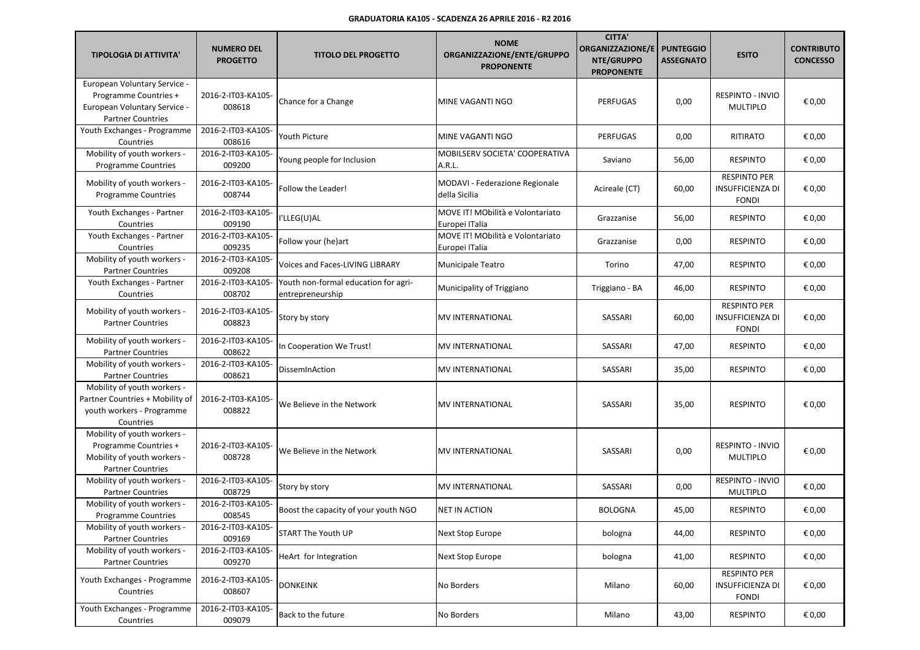| <b>TIPOLOGIA DI ATTIVITA'</b>                                                                                     | <b>NUMERO DEL</b><br><b>PROGETTO</b> | <b>TITOLO DEL PROGETTO</b>                               | <b>NOME</b><br>ORGANIZZAZIONE/ENTE/GRUPPO<br><b>PROPONENTE</b> | <b>CITTA'</b><br><b>ORGANIZZAZIONE/E</b><br>NTE/GRUPPO<br><b>PROPONENTE</b> | <b>PUNTEGGIO</b><br><b>ASSEGNATO</b> | <b>ESITO</b>                                                   | <b>CONTRIBUTO</b><br><b>CONCESSO</b> |
|-------------------------------------------------------------------------------------------------------------------|--------------------------------------|----------------------------------------------------------|----------------------------------------------------------------|-----------------------------------------------------------------------------|--------------------------------------|----------------------------------------------------------------|--------------------------------------|
| European Voluntary Service -<br>Programme Countries +<br>European Voluntary Service -<br><b>Partner Countries</b> | 2016-2-IT03-KA105-<br>008618         | Chance for a Change                                      | MINE VAGANTI NGO                                               | <b>PERFUGAS</b>                                                             | 0,00                                 | RESPINTO - INVIO<br><b>MULTIPLO</b>                            | € 0,00                               |
| Youth Exchanges - Programme<br>Countries                                                                          | 2016-2-IT03-KA105-<br>008616         | Youth Picture                                            | MINE VAGANTI NGO                                               | <b>PERFUGAS</b>                                                             | 0,00                                 | RITIRATO                                                       | € 0,00                               |
| Mobility of youth workers -<br><b>Programme Countries</b>                                                         | 2016-2-IT03-KA105-<br>009200         | Young people for Inclusion                               | MOBILSERV SOCIETA' COOPERATIVA<br>A.R.L.                       | Saviano                                                                     | 56,00                                | <b>RESPINTO</b>                                                | € 0,00                               |
| Mobility of youth workers -<br><b>Programme Countries</b>                                                         | 2016-2-IT03-KA105-<br>008744         | <b>Follow the Leader!</b>                                | MODAVI - Federazione Regionale<br>della Sicilia                | Acireale (CT)                                                               | 60,00                                | <b>RESPINTO PER</b><br><b>INSUFFICIENZA DI</b><br><b>FONDI</b> | € 0,00                               |
| Youth Exchanges - Partner<br>Countries                                                                            | 2016-2-IT03-KA105-<br>009190         | I'LLEG(U)AL                                              | MOVE IT! MObilità e Volontariato<br>Europei ITalia             | Grazzanise                                                                  | 56,00                                | <b>RESPINTO</b>                                                | € 0,00                               |
| Youth Exchanges - Partner<br>Countries                                                                            | 2016-2-IT03-KA105-<br>009235         | Follow your (he)art                                      | MOVE IT! MObilità e Volontariato<br>Europei ITalia             | Grazzanise                                                                  | 0,00                                 | <b>RESPINTO</b>                                                | € 0,00                               |
| Mobility of youth workers -<br><b>Partner Countries</b>                                                           | 2016-2-IT03-KA105-<br>009208         | Voices and Faces-LIVING LIBRARY                          | Municipale Teatro                                              | Torino                                                                      | 47,00                                | <b>RESPINTO</b>                                                | € 0,00                               |
| Youth Exchanges - Partner<br>Countries                                                                            | 2016-2-IT03-KA105-<br>008702         | Youth non-formal education for agri-<br>entrepreneurship | Municipality of Triggiano                                      | Triggiano - BA                                                              | 46,00                                | <b>RESPINTO</b>                                                | € 0,00                               |
| Mobility of youth workers -<br><b>Partner Countries</b>                                                           | 2016-2-IT03-KA105-<br>008823         | Story by story                                           | MV INTERNATIONAL                                               | SASSARI                                                                     | 60,00                                | <b>RESPINTO PER</b><br><b>INSUFFICIENZA DI</b><br><b>FONDI</b> | € 0,00                               |
| Mobility of youth workers -<br><b>Partner Countries</b>                                                           | 2016-2-IT03-KA105-<br>008622         | In Cooperation We Trust!                                 | MV INTERNATIONAL                                               | SASSARI                                                                     | 47,00                                | <b>RESPINTO</b>                                                | € 0,00                               |
| Mobility of youth workers -<br><b>Partner Countries</b>                                                           | 2016-2-IT03-KA105-<br>008621         | DissemInAction                                           | MV INTERNATIONAL                                               | SASSARI                                                                     | 35,00                                | <b>RESPINTO</b>                                                | € 0,00                               |
| Mobility of youth workers -<br>Partner Countries + Mobility of<br>youth workers - Programme<br>Countries          | 2016-2-IT03-KA105-<br>008822         | We Believe in the Network                                | MV INTERNATIONAL                                               | SASSARI                                                                     | 35,00                                | <b>RESPINTO</b>                                                | € 0,00                               |
| Mobility of youth workers -<br>Programme Countries +<br>Mobility of youth workers -<br><b>Partner Countries</b>   | 2016-2-IT03-KA105-<br>008728         | We Believe in the Network                                | MV INTERNATIONAL                                               | SASSARI                                                                     | 0,00                                 | RESPINTO - INVIO<br><b>MULTIPLO</b>                            | € 0,00                               |
| Mobility of youth workers -<br><b>Partner Countries</b>                                                           | 2016-2-IT03-KA105-<br>008729         | Story by story                                           | MV INTERNATIONAL                                               | SASSARI                                                                     | 0,00                                 | RESPINTO - INVIO<br><b>MULTIPLO</b>                            | € 0,00                               |
| Mobility of youth workers -<br><b>Programme Countries</b>                                                         | 2016-2-IT03-KA105-<br>008545         | Boost the capacity of your youth NGO                     | NET IN ACTION                                                  | <b>BOLOGNA</b>                                                              | 45,00                                | <b>RESPINTO</b>                                                | € 0,00                               |
| Mobility of youth workers -<br><b>Partner Countries</b>                                                           | 2016-2-IT03-KA105-<br>009169         | START The Youth UP                                       | Next Stop Europe                                               | bologna                                                                     | 44,00                                | <b>RESPINTO</b>                                                | € 0,00                               |
| Mobility of youth workers -<br><b>Partner Countries</b>                                                           | 2016-2-IT03-KA105-<br>009270         | HeArt for Integration                                    | Next Stop Europe                                               | bologna                                                                     | 41,00                                | <b>RESPINTO</b>                                                | € 0,00                               |
| Youth Exchanges - Programme<br>Countries                                                                          | 2016-2-IT03-KA105-<br>008607         | <b>DONKEINK</b>                                          | No Borders                                                     | Milano                                                                      | 60,00                                | <b>RESPINTO PER</b><br><b>INSUFFICIENZA DI</b><br><b>FONDI</b> | € 0,00                               |
| Youth Exchanges - Programme<br>Countries                                                                          | 2016-2-IT03-KA105-<br>009079         | Back to the future                                       | No Borders                                                     | Milano                                                                      | 43,00                                | <b>RESPINTO</b>                                                | € 0,00                               |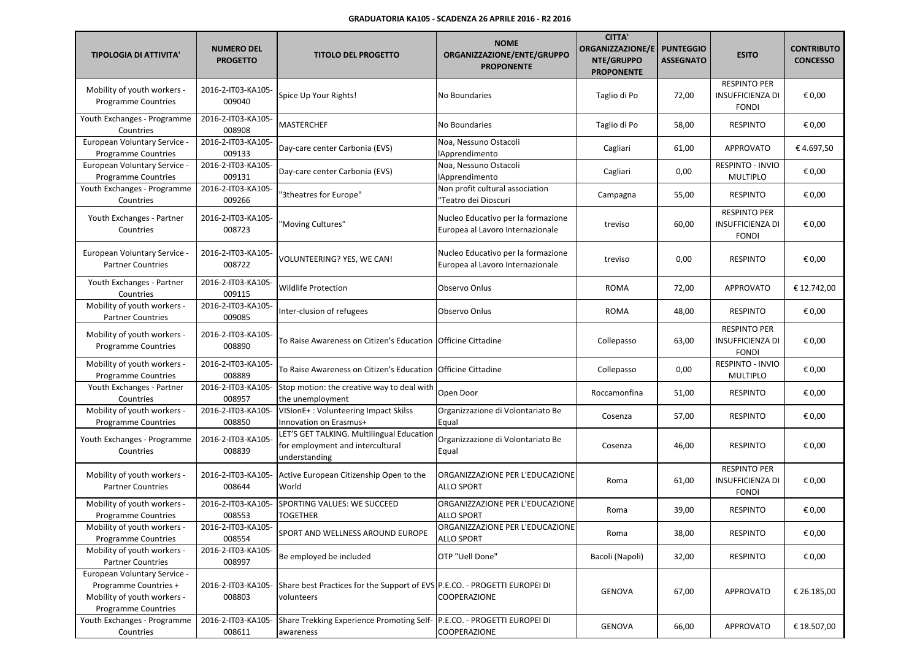| <b>TIPOLOGIA DI ATTIVITA'</b>                                                                                      | <b>NUMERO DEL</b><br><b>PROGETTO</b> | <b>TITOLO DEL PROGETTO</b>                                                                     | <b>NOME</b><br>ORGANIZZAZIONE/ENTE/GRUPPO<br><b>PROPONENTE</b>         | <b>CITTA'</b><br><b>ORGANIZZAZIONE/E</b><br>NTE/GRUPPO<br><b>PROPONENTE</b> | <b>PUNTEGGIO</b><br><b>ASSEGNATO</b> | <b>ESITO</b>                                                   | <b>CONTRIBUTO</b><br><b>CONCESSO</b> |
|--------------------------------------------------------------------------------------------------------------------|--------------------------------------|------------------------------------------------------------------------------------------------|------------------------------------------------------------------------|-----------------------------------------------------------------------------|--------------------------------------|----------------------------------------------------------------|--------------------------------------|
| Mobility of youth workers -<br><b>Programme Countries</b>                                                          | 2016-2-IT03-KA105-<br>009040         | Spice Up Your Rights!                                                                          | No Boundaries                                                          | Taglio di Po                                                                | 72,00                                | <b>RESPINTO PER</b><br><b>INSUFFICIENZA DI</b><br><b>FONDI</b> | € 0,00                               |
| Youth Exchanges - Programme<br>Countries                                                                           | 2016-2-IT03-KA105-<br>008908         | <b>MASTERCHEF</b>                                                                              | No Boundaries                                                          | Taglio di Po                                                                | 58,00                                | <b>RESPINTO</b>                                                | € 0,00                               |
| European Voluntary Service -<br><b>Programme Countries</b>                                                         | 2016-2-IT03-KA105-<br>009133         | Day-care center Carbonia (EVS)                                                                 | Noa, Nessuno Ostacoli<br><b>IApprendimento</b>                         | Cagliari                                                                    | 61,00                                | <b>APPROVATO</b>                                               | €4.697,50                            |
| European Voluntary Service -<br><b>Programme Countries</b>                                                         | 2016-2-IT03-KA105-<br>009131         | Day-care center Carbonia (EVS)                                                                 | Noa. Nessuno Ostacoli<br><b>IApprendimento</b>                         | Cagliari                                                                    | 0,00                                 | RESPINTO - INVIO<br><b>MULTIPLO</b>                            | € 0,00                               |
| Youth Exchanges - Programme<br>Countries                                                                           | 2016-2-IT03-KA105-<br>009266         | '3theatres for Europe"                                                                         | Non profit cultural association<br>'Teatro dei Dioscuri                | Campagna                                                                    | 55,00                                | <b>RESPINTO</b>                                                | € 0,00                               |
| Youth Exchanges - Partner<br>Countries                                                                             | 2016-2-IT03-KA105-<br>008723         | 'Moving Cultures"                                                                              | Nucleo Educativo per la formazione<br>Europea al Lavoro Internazionale | treviso                                                                     | 60,00                                | <b>RESPINTO PER</b><br><b>INSUFFICIENZA DI</b><br><b>FONDI</b> | € 0,00                               |
| European Voluntary Service -<br><b>Partner Countries</b>                                                           | 2016-2-IT03-KA105-<br>008722         | VOLUNTEERING? YES, WE CAN!                                                                     | Nucleo Educativo per la formazione<br>Europea al Lavoro Internazionale | treviso                                                                     | 0,00                                 | <b>RESPINTO</b>                                                | € 0,00                               |
| Youth Exchanges - Partner<br>Countries                                                                             | 2016-2-IT03-KA105-<br>009115         | <b>Wildlife Protection</b>                                                                     | Observo Onlus                                                          | <b>ROMA</b>                                                                 | 72,00                                | <b>APPROVATO</b>                                               | € 12.742,00                          |
| Mobility of youth workers -<br><b>Partner Countries</b>                                                            | 2016-2-IT03-KA105-<br>009085         | Inter-clusion of refugees                                                                      | Observo Onlus                                                          | <b>ROMA</b>                                                                 | 48,00                                | <b>RESPINTO</b>                                                | € 0,00                               |
| Mobility of youth workers -<br>Programme Countries                                                                 | 2016-2-IT03-KA105-<br>008890         | To Raise Awareness on Citizen's Education                                                      | Officine Cittadine                                                     | Collepasso                                                                  | 63,00                                | <b>RESPINTO PER</b><br><b>INSUFFICIENZA DI</b><br><b>FONDI</b> | € 0,00                               |
| Mobility of youth workers -<br>Programme Countries                                                                 | 2016-2-IT03-KA105-<br>008889         | To Raise Awareness on Citizen's Education                                                      | Officine Cittadine                                                     | Collepasso                                                                  | 0,00                                 | <b>RESPINTO - INVIO</b><br><b>MULTIPLO</b>                     | € 0,00                               |
| Youth Exchanges - Partner<br>Countries                                                                             | 2016-2-IT03-KA105-<br>008957         | Stop motion: the creative way to deal with<br>the unemployment                                 | Open Door                                                              | Roccamonfina                                                                | 51,00                                | <b>RESPINTO</b>                                                | € 0,00                               |
| Mobility of youth workers -<br><b>Programme Countries</b>                                                          | 2016-2-IT03-KA105-<br>008850         | VISIonE+: Volunteering Impact Skilss<br>Innovation on Erasmus+                                 | Organizzazione di Volontariato Be<br>Equal                             | Cosenza                                                                     | 57,00                                | <b>RESPINTO</b>                                                | € 0,00                               |
| Youth Exchanges - Programme<br>Countries                                                                           | 2016-2-IT03-KA105-<br>008839         | LET'S GET TALKING. Multilingual Education<br>for employment and intercultural<br>understanding | Organizzazione di Volontariato Be<br>Equal                             | Cosenza                                                                     | 46,00                                | <b>RESPINTO</b>                                                | € 0,00                               |
| Mobility of youth workers -<br><b>Partner Countries</b>                                                            | 2016-2-IT03-KA105-<br>008644         | Active European Citizenship Open to the<br>World                                               | ORGANIZZAZIONE PER L'EDUCAZIONE<br><b>ALLO SPORT</b>                   | Roma                                                                        | 61,00                                | <b>RESPINTO PER</b><br><b>INSUFFICIENZA DI</b><br><b>FONDI</b> | € 0,00                               |
| Mobility of youth workers -<br><b>Programme Countries</b>                                                          | 2016-2-IT03-KA105-<br>008553         | SPORTING VALUES: WE SUCCEED<br><b>TOGETHER</b>                                                 | ORGANIZZAZIONE PER L'EDUCAZIONE<br><b>ALLO SPORT</b>                   | Roma                                                                        | 39,00                                | <b>RESPINTO</b>                                                | € 0,00                               |
| Mobility of youth workers -<br><b>Programme Countries</b>                                                          | 2016-2-IT03-KA105-<br>008554         | SPORT AND WELLNESS AROUND EUROPE                                                               | ORGANIZZAZIONE PER L'EDUCAZIONE<br><b>ALLO SPORT</b>                   | Roma                                                                        | 38,00                                | <b>RESPINTO</b>                                                | € 0,00                               |
| Mobility of youth workers -<br><b>Partner Countries</b>                                                            | 2016-2-IT03-KA105-<br>008997         | Be employed be included                                                                        | OTP "Uell Done"                                                        | Bacoli (Napoli)                                                             | 32,00                                | <b>RESPINTO</b>                                                | € 0,00                               |
| European Voluntary Service -<br>Programme Countries +<br>Mobility of youth workers -<br><b>Programme Countries</b> | 2016-2-IT03-KA105-<br>008803         | Share best Practices for the Support of EVS P.E.CO. - PROGETTI EUROPEI DI<br>volunteers        | COOPERAZIONE                                                           | <b>GENOVA</b>                                                               | 67,00                                | APPROVATO                                                      | € 26.185,00                          |
| Youth Exchanges - Programme<br>Countries                                                                           | 2016-2-IT03-KA105-<br>008611         | Share Trekking Experience Promoting Self- P.E.CO. - PROGETTI EUROPEI DI<br>awareness           | COOPERAZIONE                                                           | GENOVA                                                                      | 66,00                                | APPROVATO                                                      | € 18.507,00                          |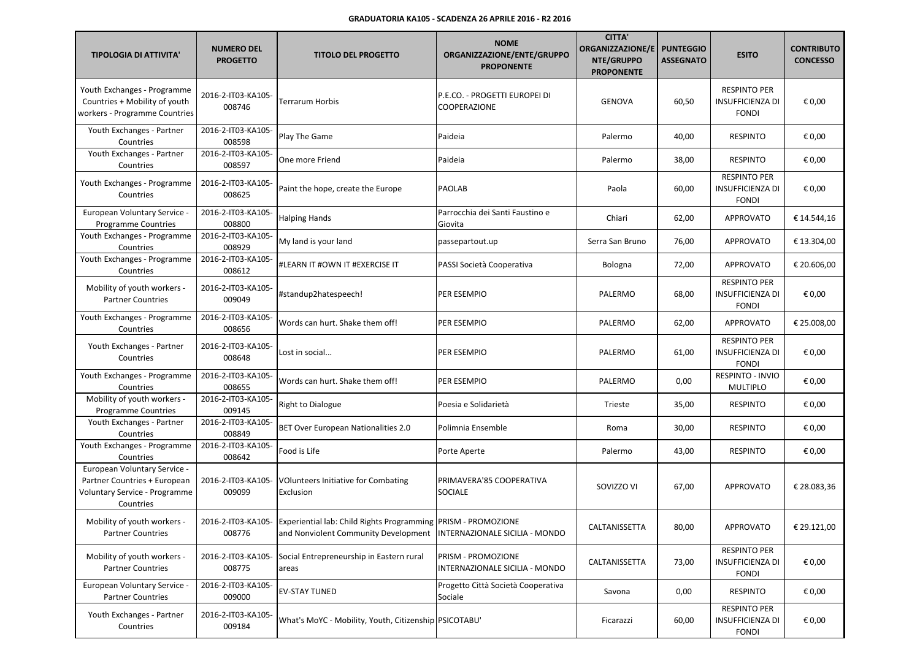| <b>TIPOLOGIA DI ATTIVITA'</b>                                                                              | <b>NUMERO DEL</b><br><b>PROGETTO</b> | <b>TITOLO DEL PROGETTO</b>                                                                                                                                | <b>NOME</b><br>ORGANIZZAZIONE/ENTE/GRUPPO<br><b>PROPONENTE</b> | <b>CITTA'</b><br><b>ORGANIZZAZIONE/E</b><br>NTE/GRUPPO<br><b>PROPONENTE</b> | <b>PUNTEGGIO</b><br><b>ASSEGNATO</b> | <b>ESITO</b>                                                   | <b>CONTRIBUTO</b><br><b>CONCESSO</b> |
|------------------------------------------------------------------------------------------------------------|--------------------------------------|-----------------------------------------------------------------------------------------------------------------------------------------------------------|----------------------------------------------------------------|-----------------------------------------------------------------------------|--------------------------------------|----------------------------------------------------------------|--------------------------------------|
| Youth Exchanges - Programme<br>Countries + Mobility of youth<br>workers - Programme Countries              | 2016-2-IT03-KA105-<br>008746         | Terrarum Horbis                                                                                                                                           | P.E.CO. - PROGETTI EUROPEI DI<br>COOPERAZIONE                  | <b>GENOVA</b>                                                               | 60,50                                | <b>RESPINTO PER</b><br><b>INSUFFICIENZA DI</b><br><b>FONDI</b> | € 0,00                               |
| Youth Exchanges - Partner<br>Countries                                                                     | 2016-2-IT03-KA105-<br>008598         | Play The Game                                                                                                                                             | Paideia                                                        | Palermo                                                                     | 40,00                                | <b>RESPINTO</b>                                                | € 0,00                               |
| Youth Exchanges - Partner<br>Countries                                                                     | 2016-2-IT03-KA105-<br>008597         | One more Friend                                                                                                                                           | Paideia                                                        | Palermo                                                                     | 38,00                                | <b>RESPINTO</b>                                                | € 0,00                               |
| Youth Exchanges - Programme<br>Countries                                                                   | 2016-2-IT03-KA105-<br>008625         | Paint the hope, create the Europe                                                                                                                         | <b>PAOLAB</b>                                                  | Paola                                                                       | 60,00                                | <b>RESPINTO PER</b><br><b>INSUFFICIENZA DI</b><br><b>FONDI</b> | € 0,00                               |
| European Voluntary Service -<br><b>Programme Countries</b>                                                 | 2016-2-IT03-KA105-<br>008800         | <b>Halping Hands</b>                                                                                                                                      | Parrocchia dei Santi Faustino e<br>Giovita                     | Chiari                                                                      | 62,00                                | <b>APPROVATO</b>                                               | € 14.544,16                          |
| Youth Exchanges - Programme<br>Countries                                                                   | 2016-2-IT03-KA105-<br>008929         | My land is your land                                                                                                                                      | passepartout.up                                                | Serra San Bruno                                                             | 76,00                                | <b>APPROVATO</b>                                               | € 13.304,00                          |
| Youth Exchanges - Programme<br>Countries                                                                   | 2016-2-IT03-KA105-<br>008612         | #LEARN IT #OWN IT #EXERCISE IT                                                                                                                            | PASSI Società Cooperativa                                      | Bologna                                                                     | 72,00                                | APPROVATO                                                      | € 20.606,00                          |
| Mobility of youth workers -<br><b>Partner Countries</b>                                                    | 2016-2-IT03-KA105-<br>009049         | #standup2hatespeech!                                                                                                                                      | PER ESEMPIO                                                    | PALERMO                                                                     | 68,00                                | <b>RESPINTO PER</b><br>INSUFFICIENZA DI<br><b>FONDI</b>        | € 0,00                               |
| Youth Exchanges - Programme<br>Countries                                                                   | 2016-2-IT03-KA105-<br>008656         | Words can hurt. Shake them off!                                                                                                                           | PER ESEMPIO                                                    | PALERMO                                                                     | 62,00                                | <b>APPROVATO</b>                                               | € 25.008,00                          |
| Youth Exchanges - Partner<br>Countries                                                                     | 2016-2-IT03-KA105-<br>008648         | Lost in social                                                                                                                                            | PER ESEMPIO                                                    | PALERMO                                                                     | 61,00                                | <b>RESPINTO PER</b><br><b>INSUFFICIENZA DI</b><br><b>FONDI</b> | € 0,00                               |
| Youth Exchanges - Programme<br>Countries                                                                   | 2016-2-IT03-KA105-<br>008655         | Words can hurt. Shake them off!                                                                                                                           | PER ESEMPIO                                                    | PALERMO                                                                     | 0,00                                 | RESPINTO - INVIO<br><b>MULTIPLO</b>                            | € 0,00                               |
| Mobility of youth workers -<br><b>Programme Countries</b>                                                  | 2016-2-IT03-KA105-<br>009145         | Right to Dialogue                                                                                                                                         | Poesia e Solidarietà                                           | Trieste                                                                     | 35,00                                | <b>RESPINTO</b>                                                | € 0,00                               |
| Youth Exchanges - Partner<br>Countries                                                                     | 2016-2-IT03-KA105-<br>008849         | BET Over European Nationalities 2.0                                                                                                                       | Polimnia Ensemble                                              | Roma                                                                        | 30,00                                | <b>RESPINTO</b>                                                | € 0,00                               |
| Youth Exchanges - Programme<br>Countries                                                                   | 2016-2-IT03-KA105-<br>008642         | Food is Life                                                                                                                                              | Porte Aperte                                                   | Palermo                                                                     | 43,00                                | <b>RESPINTO</b>                                                | € 0,00                               |
| European Voluntary Service -<br>Partner Countries + European<br>Voluntary Service - Programme<br>Countries | 2016-2-IT03-KA105-<br>009099         | <b>VOlunteers Initiative for Combating</b><br>Exclusion                                                                                                   | PRIMAVERA'85 COOPERATIVA<br><b>SOCIALE</b>                     | SOVIZZO VI                                                                  | 67,00                                | <b>APPROVATO</b>                                               | € 28.083,36                          |
| Mobility of youth workers -<br><b>Partner Countries</b>                                                    | 008776                               | 2016-2-IT03-KA105- Experiential lab: Child Rights Programming PRISM - PROMOZIONE<br>and Nonviolent Community Development   INTERNAZIONALE SICILIA - MONDO |                                                                | CALTANISSETTA                                                               | 80,00                                | APPROVATO                                                      | € 29.121,00                          |
| Mobility of youth workers -<br><b>Partner Countries</b>                                                    | 2016-2-IT03-KA105-<br>008775         | Social Entrepreneurship in Eastern rural<br>areas                                                                                                         | PRISM - PROMOZIONE<br>INTERNAZIONALE SICILIA - MONDO           | CALTANISSETTA                                                               | 73,00                                | <b>RESPINTO PER</b><br><b>INSUFFICIENZA DI</b><br><b>FONDI</b> | € 0,00                               |
| European Voluntary Service -<br><b>Partner Countries</b>                                                   | 2016-2-IT03-KA105-<br>009000         | <b>EV-STAY TUNED</b>                                                                                                                                      | Progetto Città Società Cooperativa<br>Sociale                  | Savona                                                                      | 0,00                                 | <b>RESPINTO</b>                                                | € 0,00                               |
| Youth Exchanges - Partner<br>Countries                                                                     | 2016-2-IT03-KA105-<br>009184         | What's MoYC - Mobility, Youth, Citizenship PSICOTABU'                                                                                                     |                                                                | Ficarazzi                                                                   | 60,00                                | <b>RESPINTO PER</b><br><b>INSUFFICIENZA DI</b><br><b>FONDI</b> | € 0,00                               |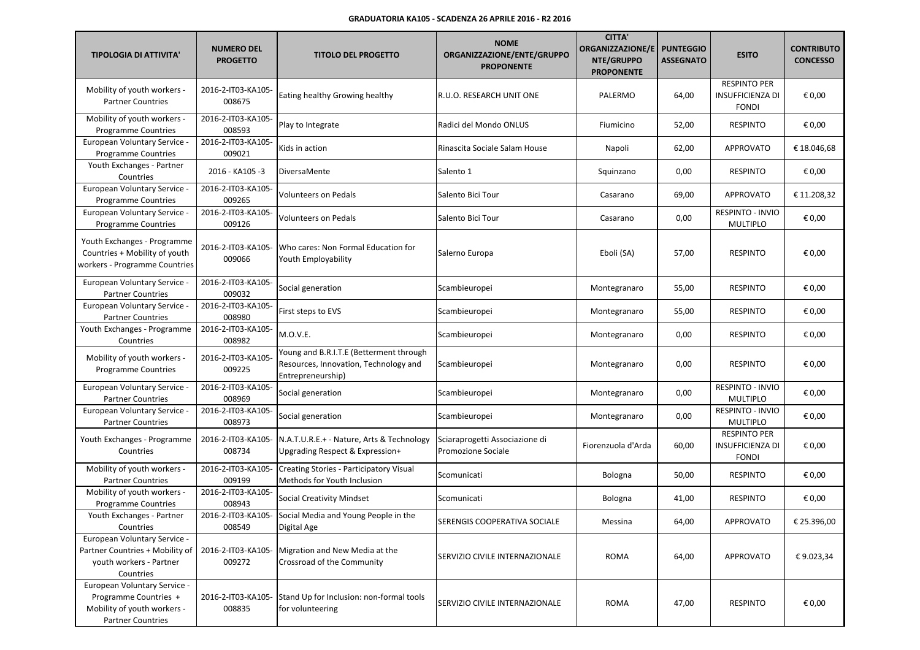| <b>TIPOLOGIA DI ATTIVITA'</b>                                                                                    | <b>NUMERO DEL</b><br><b>PROGETTO</b> | <b>TITOLO DEL PROGETTO</b>                                                                            | <b>NOME</b><br>ORGANIZZAZIONE/ENTE/GRUPPO<br><b>PROPONENTE</b> | <b>CITTA'</b><br><b>ORGANIZZAZIONE/E</b><br>NTE/GRUPPO<br><b>PROPONENTE</b> | <b>PUNTEGGIO</b><br><b>ASSEGNATO</b> | <b>ESITO</b>                                                   | <b>CONTRIBUTO</b><br><b>CONCESSO</b> |
|------------------------------------------------------------------------------------------------------------------|--------------------------------------|-------------------------------------------------------------------------------------------------------|----------------------------------------------------------------|-----------------------------------------------------------------------------|--------------------------------------|----------------------------------------------------------------|--------------------------------------|
| Mobility of youth workers -<br><b>Partner Countries</b>                                                          | 2016-2-IT03-KA105-<br>008675         | Eating healthy Growing healthy                                                                        | R.U.O. RESEARCH UNIT ONE                                       | PALERMO                                                                     | 64,00                                | <b>RESPINTO PER</b><br><b>INSUFFICIENZA DI</b><br><b>FONDI</b> | € 0,00                               |
| Mobility of youth workers -<br><b>Programme Countries</b>                                                        | 2016-2-IT03-KA105-<br>008593         | Play to Integrate                                                                                     | Radici del Mondo ONLUS                                         | Fiumicino                                                                   | 52,00                                | <b>RESPINTO</b>                                                | € 0,00                               |
| European Voluntary Service -<br><b>Programme Countries</b>                                                       | 2016-2-IT03-KA105-<br>009021         | Kids in action                                                                                        | Rinascita Sociale Salam House                                  | Napoli                                                                      | 62,00                                | <b>APPROVATO</b>                                               | €18.046,68                           |
| Youth Exchanges - Partner<br>Countries                                                                           | 2016 - KA105 -3                      | DiversaMente                                                                                          | Salento 1                                                      | Squinzano                                                                   | 0,00                                 | <b>RESPINTO</b>                                                | € 0,00                               |
| European Voluntary Service -<br><b>Programme Countries</b>                                                       | 2016-2-IT03-KA105-<br>009265         | Volunteers on Pedals                                                                                  | Salento Bici Tour                                              | Casarano                                                                    | 69,00                                | <b>APPROVATO</b>                                               | € 11.208,32                          |
| European Voluntary Service -<br><b>Programme Countries</b>                                                       | 2016-2-IT03-KA105-<br>009126         | <b>Volunteers on Pedals</b>                                                                           | Salento Bici Tour                                              | Casarano                                                                    | 0,00                                 | RESPINTO - INVIO<br><b>MULTIPLO</b>                            | € 0,00                               |
| Youth Exchanges - Programme<br>Countries + Mobility of youth<br>workers - Programme Countries                    | 2016-2-IT03-KA105-<br>009066         | Who cares: Non Formal Education for<br>Youth Employability                                            | Salerno Europa                                                 | Eboli (SA)                                                                  | 57,00                                | <b>RESPINTO</b>                                                | € 0,00                               |
| European Voluntary Service -<br><b>Partner Countries</b>                                                         | 2016-2-IT03-KA105-<br>009032         | Social generation                                                                                     | Scambieuropei                                                  | Montegranaro                                                                | 55,00                                | <b>RESPINTO</b>                                                | € 0,00                               |
| European Voluntary Service -<br><b>Partner Countries</b>                                                         | 2016-2-IT03-KA105-<br>008980         | First steps to EVS                                                                                    | Scambieuropei                                                  | Montegranaro                                                                | 55,00                                | <b>RESPINTO</b>                                                | € 0,00                               |
| Youth Exchanges - Programme<br>Countries                                                                         | 2016-2-IT03-KA105-<br>008982         | M.O.V.E.                                                                                              | Scambieuropei                                                  | Montegranaro                                                                | 0,00                                 | <b>RESPINTO</b>                                                | € 0,00                               |
| Mobility of youth workers -<br><b>Programme Countries</b>                                                        | 2016-2-IT03-KA105-<br>009225         | Young and B.R.I.T.E (Betterment through<br>Resources, Innovation, Technology and<br>Entrepreneurship) | Scambieuropei                                                  | Montegranaro                                                                | 0,00                                 | <b>RESPINTO</b>                                                | € 0,00                               |
| European Voluntary Service -<br><b>Partner Countries</b>                                                         | 2016-2-IT03-KA105-<br>008969         | Social generation                                                                                     | Scambieuropei                                                  | Montegranaro                                                                | 0,00                                 | RESPINTO - INVIO<br><b>MULTIPLO</b>                            | € 0,00                               |
| European Voluntary Service -<br><b>Partner Countries</b>                                                         | 2016-2-IT03-KA105-<br>008973         | Social generation                                                                                     | Scambieuropei                                                  | Montegranaro                                                                | 0,00                                 | <b>RESPINTO - INVIO</b><br><b>MULTIPLO</b>                     | € 0,00                               |
| Youth Exchanges - Programme<br>Countries                                                                         | 2016-2-IT03-KA105-<br>008734         | N.A.T.U.R.E.+ - Nature, Arts & Technology<br>Upgrading Respect & Expression+                          | Sciaraprogetti Associazione di<br>Promozione Sociale           | Fiorenzuola d'Arda                                                          | 60,00                                | <b>RESPINTO PER</b><br><b>INSUFFICIENZA DI</b><br><b>FONDI</b> | € 0,00                               |
| Mobility of youth workers -<br><b>Partner Countries</b>                                                          | 2016-2-IT03-KA105-<br>009199         | Creating Stories - Participatory Visual<br>Methods for Youth Inclusion                                | Scomunicati                                                    | Bologna                                                                     | 50,00                                | <b>RESPINTO</b>                                                | € 0,00                               |
| Mobility of youth workers -<br><b>Programme Countries</b>                                                        | 2016-2-IT03-KA105-<br>008943         | <b>Social Creativity Mindset</b>                                                                      | Scomunicati                                                    | Bologna                                                                     | 41,00                                | <b>RESPINTO</b>                                                | € 0,00                               |
| Youth Exchanges - Partner<br>Countries                                                                           | 2016-2-IT03-KA105-<br>008549         | Social Media and Young People in the<br>Digital Age                                                   | SERENGIS COOPERATIVA SOCIALE                                   | Messina                                                                     | 64,00                                | APPROVATO                                                      | € 25.396,00                          |
| European Voluntary Service -<br>Partner Countries + Mobility of<br>youth workers - Partner<br>Countries          | 2016-2-IT03-KA105-<br>009272         | Migration and New Media at the<br>Crossroad of the Community                                          | SERVIZIO CIVILE INTERNAZIONALE                                 | <b>ROMA</b>                                                                 | 64,00                                | APPROVATO                                                      | €9.023,34                            |
| European Voluntary Service -<br>Programme Countries +<br>Mobility of youth workers -<br><b>Partner Countries</b> | 2016-2-IT03-KA105-<br>008835         | Stand Up for Inclusion: non-formal tools<br>for volunteering                                          | SERVIZIO CIVILE INTERNAZIONALE                                 | <b>ROMA</b>                                                                 | 47,00                                | <b>RESPINTO</b>                                                | € 0,00                               |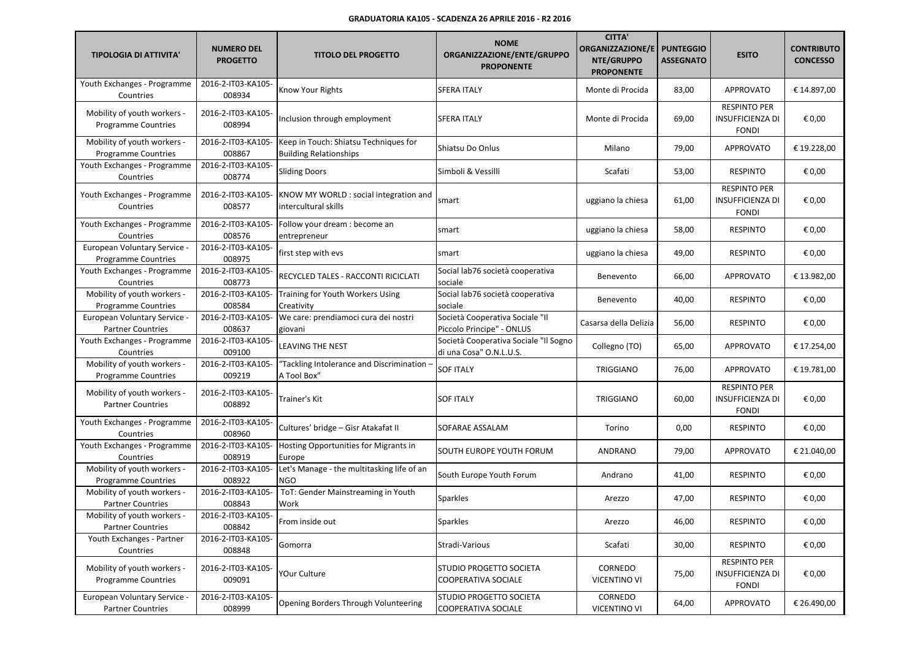| <b>TIPOLOGIA DI ATTIVITA'</b>                              | <b>NUMERO DEL</b><br><b>PROGETTO</b> | <b>TITOLO DEL PROGETTO</b>                                             | <b>NOME</b><br>ORGANIZZAZIONE/ENTE/GRUPPO<br><b>PROPONENTE</b>   | <b>CITTA'</b><br><b>ORGANIZZAZIONE/E</b><br>NTE/GRUPPO<br><b>PROPONENTE</b> | <b>PUNTEGGIO</b><br><b>ASSEGNATO</b> | <b>ESITO</b>                                                   | <b>CONTRIBUTO</b><br><b>CONCESSO</b> |
|------------------------------------------------------------|--------------------------------------|------------------------------------------------------------------------|------------------------------------------------------------------|-----------------------------------------------------------------------------|--------------------------------------|----------------------------------------------------------------|--------------------------------------|
| Youth Exchanges - Programme<br>Countries                   | 2016-2-IT03-KA105-<br>008934         | Know Your Rights                                                       | <b>SFERA ITALY</b>                                               | Monte di Procida                                                            | 83,00                                | <b>APPROVATO</b>                                               | € 14.897,00                          |
| Mobility of youth workers -<br><b>Programme Countries</b>  | 2016-2-IT03-KA105-<br>008994         | Inclusion through employment                                           | <b>SFERA ITALY</b>                                               | Monte di Procida                                                            | 69,00                                | <b>RESPINTO PER</b><br><b>INSUFFICIENZA DI</b><br><b>FONDI</b> | € 0,00                               |
| Mobility of youth workers -<br><b>Programme Countries</b>  | 2016-2-IT03-KA105-<br>008867         | Keep in Touch: Shiatsu Techniques for<br><b>Building Relationships</b> | Shiatsu Do Onlus                                                 | Milano                                                                      | 79,00                                | <b>APPROVATO</b>                                               | € 19.228,00                          |
| Youth Exchanges - Programme<br>Countries                   | 2016-2-IT03-KA105-<br>008774         | <b>Sliding Doors</b>                                                   | Simboli & Vessilli                                               | Scafati                                                                     | 53,00                                | <b>RESPINTO</b>                                                | € 0,00                               |
| Youth Exchanges - Programme<br>Countries                   | 2016-2-IT03-KA105-<br>008577         | KNOW MY WORLD : social integration and<br>intercultural skills         | smart                                                            | uggiano la chiesa                                                           | 61,00                                | <b>RESPINTO PER</b><br><b>INSUFFICIENZA DI</b><br><b>FONDI</b> | € 0,00                               |
| Youth Exchanges - Programme<br>Countries                   | 2016-2-IT03-KA105-<br>008576         | Follow your dream : become an<br>entrepreneur                          | smart                                                            | uggiano la chiesa                                                           | 58,00                                | <b>RESPINTO</b>                                                | € 0,00                               |
| European Voluntary Service -<br><b>Programme Countries</b> | 2016-2-IT03-KA105-<br>008975         | first step with evs                                                    | smart                                                            | uggiano la chiesa                                                           | 49,00                                | <b>RESPINTO</b>                                                | € 0,00                               |
| Youth Exchanges - Programme<br>Countries                   | 2016-2-IT03-KA105-<br>008773         | RECYCLED TALES - RACCONTI RICICLATI                                    | Social lab76 società cooperativa<br>sociale                      | Benevento                                                                   | 66,00                                | <b>APPROVATO</b>                                               | € 13.982,00                          |
| Mobility of youth workers -<br><b>Programme Countries</b>  | 2016-2-IT03-KA105-<br>008584         | Training for Youth Workers Using<br>Creativity                         | Social lab76 società cooperativa<br>sociale                      | Benevento                                                                   | 40,00                                | <b>RESPINTO</b>                                                | € 0,00                               |
| European Voluntary Service -<br><b>Partner Countries</b>   | 2016-2-IT03-KA105-<br>008637         | We care: prendiamoci cura dei nostri<br>giovani                        | Società Cooperativa Sociale "Il<br>Piccolo Principe" - ONLUS     | Casarsa della Delizia                                                       | 56,00                                | <b>RESPINTO</b>                                                | € 0,00                               |
| Youth Exchanges - Programme<br>Countries                   | 2016-2-IT03-KA105-<br>009100         | LEAVING THE NEST                                                       | Società Cooperativa Sociale "Il Sogno<br>di una Cosa" O.N.L.U.S. | Collegno (TO)                                                               | 65,00                                | APPROVATO                                                      | € 17.254,00                          |
| Mobility of youth workers -<br><b>Programme Countries</b>  | 2016-2-IT03-KA105-<br>009219         | "Tackling Intolerance and Discrimination -<br>A Tool Box"              | <b>SOF ITALY</b>                                                 | <b>TRIGGIANO</b>                                                            | 76,00                                | <b>APPROVATO</b>                                               | € 19.781,00                          |
| Mobility of youth workers -<br><b>Partner Countries</b>    | 2016-2-IT03-KA105-<br>008892         | Trainer's Kit                                                          | <b>SOF ITALY</b>                                                 | <b>TRIGGIANO</b>                                                            | 60,00                                | <b>RESPINTO PER</b><br><b>INSUFFICIENZA DI</b><br><b>FONDI</b> | € 0,00                               |
| Youth Exchanges - Programme<br>Countries                   | 2016-2-IT03-KA105-<br>008960         | Cultures' bridge - Gisr Atakafat II                                    | SOFARAE ASSALAM                                                  | Torino                                                                      | 0,00                                 | <b>RESPINTO</b>                                                | € 0,00                               |
| Youth Exchanges - Programme<br>Countries                   | 2016-2-IT03-KA105-<br>008919         | Hosting Opportunities for Migrants in<br>Europe                        | SOUTH EUROPE YOUTH FORUM                                         | ANDRANO                                                                     | 79,00                                | <b>APPROVATO</b>                                               | € 21.040,00                          |
| Mobility of youth workers -<br><b>Programme Countries</b>  | 2016-2-IT03-KA105-<br>008922         | Let's Manage - the multitasking life of an<br><b>NGO</b>               | South Europe Youth Forum                                         | Andrano                                                                     | 41,00                                | <b>RESPINTO</b>                                                | € 0,00                               |
| Mobility of youth workers -<br><b>Partner Countries</b>    | 2016-2-IT03-KA105-<br>008843         | ToT: Gender Mainstreaming in Youth<br>Work                             | <b>Sparkles</b>                                                  | Arezzo                                                                      | 47,00                                | <b>RESPINTO</b>                                                | € 0,00                               |
| Mobility of youth workers -<br><b>Partner Countries</b>    | 2016-2-IT03-KA105-<br>008842         | From inside out                                                        | Sparkles                                                         | Arezzo                                                                      | 46,00                                | RESPINTO                                                       | $\epsilon$ 0,00                      |
| Youth Exchanges - Partner<br>Countries                     | 2016-2-IT03-KA105-<br>008848         | Gomorra                                                                | Stradi-Various                                                   | Scafati                                                                     | 30,00                                | <b>RESPINTO</b>                                                | € 0,00                               |
| Mobility of youth workers -<br><b>Programme Countries</b>  | 2016-2-IT03-KA105-<br>009091         | YOur Culture                                                           | STUDIO PROGETTO SOCIETA<br>COOPERATIVA SOCIALE                   | CORNEDO<br><b>VICENTINO VI</b>                                              | 75,00                                | <b>RESPINTO PER</b><br><b>INSUFFICIENZA DI</b><br>FONDI        | € 0,00                               |
| European Voluntary Service -<br><b>Partner Countries</b>   | 2016-2-IT03-KA105-<br>008999         | Opening Borders Through Volunteering                                   | STUDIO PROGETTO SOCIETA<br>COOPERATIVA SOCIALE                   | CORNEDO<br><b>VICENTINO VI</b>                                              | 64,00                                | APPROVATO                                                      | € 26.490,00                          |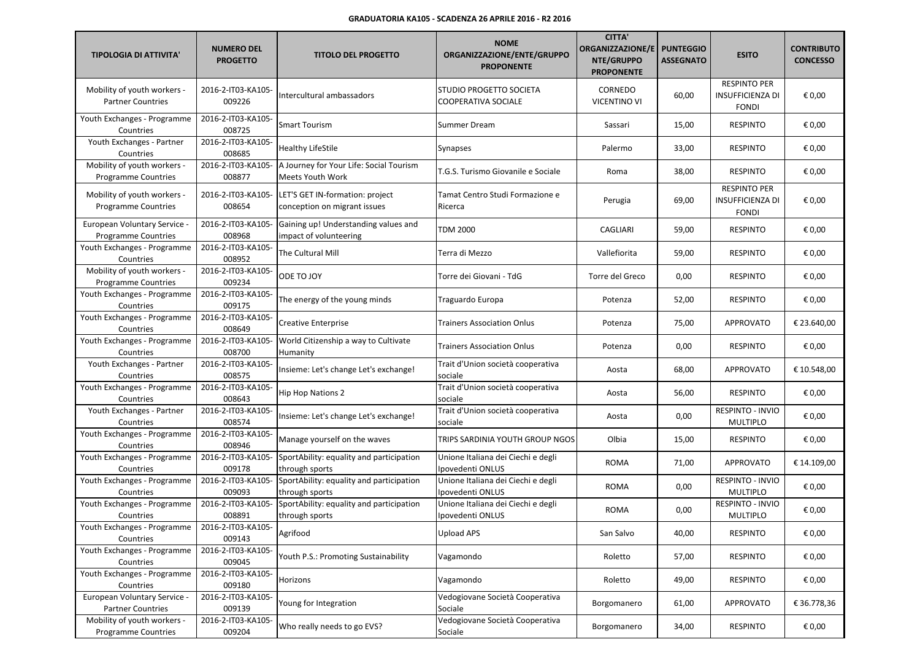| <b>TIPOLOGIA DI ATTIVITA'</b>                              | <b>NUMERO DEL</b><br><b>PROGETTO</b> | <b>TITOLO DEL PROGETTO</b>                                      | <b>NOME</b><br>ORGANIZZAZIONE/ENTE/GRUPPO<br><b>PROPONENTE</b> | <b>CITTA'</b><br><b>ORGANIZZAZIONE/E</b><br><b>NTE/GRUPPO</b><br><b>PROPONENTE</b> | <b>PUNTEGGIO</b><br><b>ASSEGNATO</b> | <b>ESITO</b>                                                   | <b>CONTRIBUTO</b><br><b>CONCESSO</b> |
|------------------------------------------------------------|--------------------------------------|-----------------------------------------------------------------|----------------------------------------------------------------|------------------------------------------------------------------------------------|--------------------------------------|----------------------------------------------------------------|--------------------------------------|
| Mobility of youth workers -<br><b>Partner Countries</b>    | 2016-2-IT03-KA105-<br>009226         | Intercultural ambassadors                                       | STUDIO PROGETTO SOCIETA<br>COOPERATIVA SOCIALE                 | CORNEDO<br><b>VICENTINO VI</b>                                                     | 60,00                                | <b>RESPINTO PER</b><br><b>INSUFFICIENZA DI</b><br><b>FONDI</b> | € 0,00                               |
| Youth Exchanges - Programme<br>Countries                   | 2016-2-IT03-KA105-<br>008725         | <b>Smart Tourism</b>                                            | Summer Dream                                                   | Sassari                                                                            | 15,00                                | <b>RESPINTO</b>                                                | € 0,00                               |
| Youth Exchanges - Partner<br>Countries                     | 2016-2-IT03-KA105-<br>008685         | <b>Healthy LifeStile</b>                                        | Synapses                                                       | Palermo                                                                            | 33,00                                | <b>RESPINTO</b>                                                | € 0,00                               |
| Mobility of youth workers -<br><b>Programme Countries</b>  | 2016-2-IT03-KA105-<br>008877         | A Journey for Your Life: Social Tourism<br>Meets Youth Work     | T.G.S. Turismo Giovanile e Sociale                             | Roma                                                                               | 38,00                                | <b>RESPINTO</b>                                                | € 0,00                               |
| Mobility of youth workers -<br><b>Programme Countries</b>  | 2016-2-IT03-KA105-<br>008654         | LET'S GET IN-formation: project<br>conception on migrant issues | Tamat Centro Studi Formazione e<br>Ricerca                     | Perugia                                                                            | 69,00                                | <b>RESPINTO PER</b><br><b>INSUFFICIENZA DI</b><br><b>FONDI</b> | € 0,00                               |
| European Voluntary Service -<br><b>Programme Countries</b> | 2016-2-IT03-KA105-<br>008968         | Gaining up! Understanding values and<br>impact of volunteering  | TDM 2000                                                       | CAGLIARI                                                                           | 59,00                                | <b>RESPINTO</b>                                                | € 0,00                               |
| Youth Exchanges - Programme<br>Countries                   | 2016-2-IT03-KA105-<br>008952         | The Cultural Mill                                               | Terra di Mezzo                                                 | Vallefiorita                                                                       | 59,00                                | <b>RESPINTO</b>                                                | € 0,00                               |
| Mobility of youth workers -<br><b>Programme Countries</b>  | 2016-2-IT03-KA105-<br>009234         | ODE TO JOY                                                      | Torre dei Giovani - TdG                                        | Torre del Greco                                                                    | 0,00                                 | <b>RESPINTO</b>                                                | € 0,00                               |
| Youth Exchanges - Programme<br>Countries                   | 2016-2-IT03-KA105-<br>009175         | The energy of the young minds                                   | Traguardo Europa                                               | Potenza                                                                            | 52,00                                | <b>RESPINTO</b>                                                | € 0,00                               |
| Youth Exchanges - Programme<br>Countries                   | 2016-2-IT03-KA105-<br>008649         | <b>Creative Enterprise</b>                                      | <b>Trainers Association Onlus</b>                              | Potenza                                                                            | 75,00                                | <b>APPROVATO</b>                                               | € 23.640.00                          |
| Youth Exchanges - Programme<br>Countries                   | 2016-2-IT03-KA105-<br>008700         | World Citizenship a way to Cultivate<br>Humanity                | Trainers Association Onlus                                     | Potenza                                                                            | 0,00                                 | <b>RESPINTO</b>                                                | € 0,00                               |
| Youth Exchanges - Partner<br>Countries                     | 2016-2-IT03-KA105-<br>008575         | Insieme: Let's change Let's exchange!                           | Trait d'Union società cooperativa<br>sociale                   | Aosta                                                                              | 68,00                                | <b>APPROVATO</b>                                               | € 10.548,00                          |
| Youth Exchanges - Programme<br>Countries                   | 2016-2-IT03-KA105-<br>008643         | <b>Hip Hop Nations 2</b>                                        | Trait d'Union società cooperativa<br>sociale                   | Aosta                                                                              | 56,00                                | <b>RESPINTO</b>                                                | € 0,00                               |
| Youth Exchanges - Partner<br>Countries                     | 2016-2-IT03-KA105-<br>008574         | Insieme: Let's change Let's exchange!                           | Trait d'Union società cooperativa<br>sociale                   | Aosta                                                                              | 0,00                                 | <b>RESPINTO - INVIO</b><br><b>MULTIPLO</b>                     | € 0,00                               |
| Youth Exchanges - Programme<br>Countries                   | 2016-2-IT03-KA105-<br>008946         | Manage yourself on the waves                                    | TRIPS SARDINIA YOUTH GROUP NGOS                                | Olbia                                                                              | 15,00                                | <b>RESPINTO</b>                                                | € 0,00                               |
| Youth Exchanges - Programme<br>Countries                   | 2016-2-IT03-KA105-<br>009178         | SportAbility: equality and participation<br>through sports      | Unione Italiana dei Ciechi e degli<br>Ipovedenti ONLUS         | ROMA                                                                               | 71,00                                | <b>APPROVATO</b>                                               | € 14.109,00                          |
| Youth Exchanges - Programme<br>Countries                   | 2016-2-IT03-KA105-<br>009093         | SportAbility: equality and participation<br>through sports      | Unione Italiana dei Ciechi e degli<br>Ipovedenti ONLUS         | <b>ROMA</b>                                                                        | 0,00                                 | RESPINTO - INVIO<br><b>MULTIPLO</b>                            | € 0,00                               |
| Youth Exchanges - Programme<br>Countries                   | 2016-2-IT03-KA105-<br>008891         | SportAbility: equality and participation<br>through sports      | Unione Italiana dei Ciechi e degli<br>Ipovedenti ONLUS         | <b>ROMA</b>                                                                        | 0,00                                 | <b>RESPINTO - INVIO</b><br><b>MULTIPLO</b>                     | € 0,00                               |
| Youth Exchanges - Programme<br>Countries                   | 2016-2-IT03-KA105-<br>009143         | Agrifood                                                        | Upload APS                                                     | San Salvo                                                                          | 40,00                                | <b>RESPINTO</b>                                                | € 0,00                               |
| Youth Exchanges - Programme<br>Countries                   | 2016-2-IT03-KA105-<br>009045         | Youth P.S.: Promoting Sustainability                            | Vagamondo                                                      | Roletto                                                                            | 57,00                                | <b>RESPINTO</b>                                                | € 0,00                               |
| Youth Exchanges - Programme<br>Countries                   | 2016-2-IT03-KA105-<br>009180         | Horizons                                                        | Vagamondo                                                      | Roletto                                                                            | 49,00                                | <b>RESPINTO</b>                                                | € 0,00                               |
| European Voluntary Service -<br><b>Partner Countries</b>   | 2016-2-IT03-KA105-<br>009139         | Young for Integration                                           | Vedogiovane Società Cooperativa<br>Sociale                     | Borgomanero                                                                        | 61,00                                | APPROVATO                                                      | € 36.778,36                          |
| Mobility of youth workers -<br><b>Programme Countries</b>  | 2016-2-IT03-KA105-<br>009204         | Who really needs to go EVS?                                     | Vedogiovane Società Cooperativa<br>Sociale                     | Borgomanero                                                                        | 34,00                                | <b>RESPINTO</b>                                                | € 0,00                               |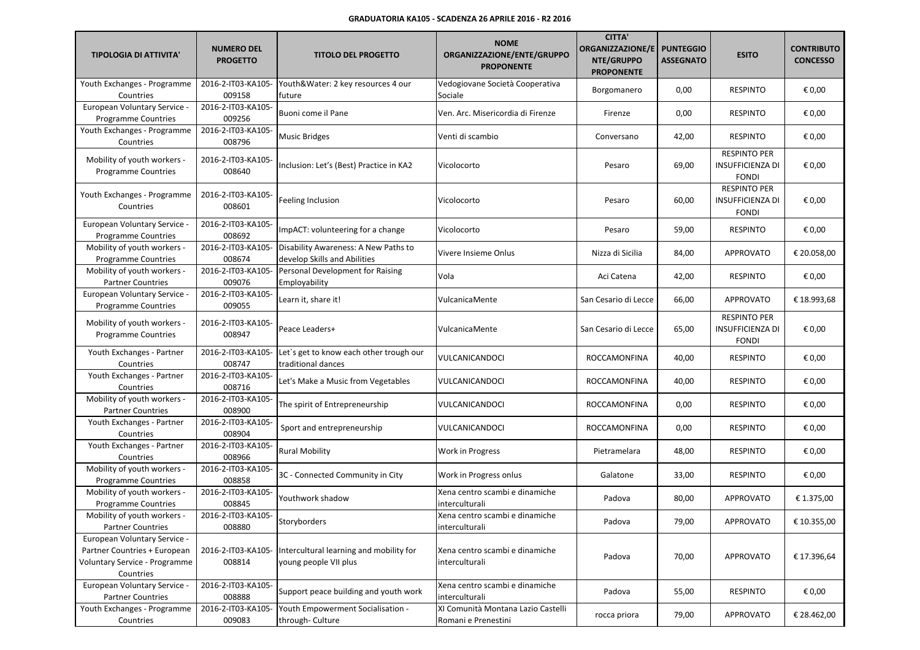| <b>TIPOLOGIA DI ATTIVITA'</b>                                                                              | <b>NUMERO DEL</b><br><b>PROGETTO</b> | <b>TITOLO DEL PROGETTO</b>                                           | <b>NOME</b><br>ORGANIZZAZIONE/ENTE/GRUPPO<br><b>PROPONENTE</b> | <b>CITTA'</b><br><b>ORGANIZZAZIONE/E</b><br>NTE/GRUPPO<br><b>PROPONENTE</b> | <b>PUNTEGGIO</b><br><b>ASSEGNATO</b> | <b>ESITO</b>                                                   | <b>CONTRIBUTO</b><br><b>CONCESSO</b> |
|------------------------------------------------------------------------------------------------------------|--------------------------------------|----------------------------------------------------------------------|----------------------------------------------------------------|-----------------------------------------------------------------------------|--------------------------------------|----------------------------------------------------------------|--------------------------------------|
| Youth Exchanges - Programme<br>Countries                                                                   | 2016-2-IT03-KA105-<br>009158         | Youth&Water: 2 key resources 4 our<br>future                         | Vedogiovane Società Cooperativa<br>Sociale                     | Borgomanero                                                                 | 0,00                                 | <b>RESPINTO</b>                                                | € 0,00                               |
| European Voluntary Service -<br><b>Programme Countries</b>                                                 | 2016-2-IT03-KA105-<br>009256         | Buoni come il Pane                                                   | Ven. Arc. Misericordia di Firenze                              | Firenze                                                                     | 0,00                                 | <b>RESPINTO</b>                                                | € 0,00                               |
| Youth Exchanges - Programme<br>Countries                                                                   | 2016-2-IT03-KA105-<br>008796         | <b>Music Bridges</b>                                                 | Venti di scambio                                               | Conversano                                                                  | 42,00                                | <b>RESPINTO</b>                                                | € 0,00                               |
| Mobility of youth workers -<br><b>Programme Countries</b>                                                  | 2016-2-IT03-KA105-<br>008640         | Inclusion: Let's (Best) Practice in KA2                              | Vicolocorto                                                    | Pesaro                                                                      | 69,00                                | <b>RESPINTO PER</b><br><b>INSUFFICIENZA DI</b><br><b>FONDI</b> | € 0,00                               |
| Youth Exchanges - Programme<br>Countries                                                                   | 2016-2-IT03-KA105-<br>008601         | Feeling Inclusion                                                    | Vicolocorto                                                    | Pesaro                                                                      | 60,00                                | <b>RESPINTO PER</b><br><b>INSUFFICIENZA DI</b><br><b>FONDI</b> | € 0,00                               |
| <b>European Voluntary Service -</b><br><b>Programme Countries</b>                                          | 2016-2-IT03-KA105-<br>008692         | ImpACT: volunteering for a change                                    | Vicolocorto                                                    | Pesaro                                                                      | 59,00                                | <b>RESPINTO</b>                                                | € 0,00                               |
| Mobility of youth workers -<br>Programme Countries                                                         | 2016-2-IT03-KA105-<br>008674         | Disability Awareness: A New Paths to<br>develop Skills and Abilities | Vivere Insieme Onlus                                           | Nizza di Sicilia                                                            | 84,00                                | <b>APPROVATO</b>                                               | € 20.058,00                          |
| Mobility of youth workers -<br><b>Partner Countries</b>                                                    | 2016-2-IT03-KA105-<br>009076         | Personal Development for Raising<br>Employability                    | Vola                                                           | Aci Catena                                                                  | 42,00                                | <b>RESPINTO</b>                                                | € 0,00                               |
| European Voluntary Service -<br><b>Programme Countries</b>                                                 | 2016-2-IT03-KA105-<br>009055         | Learn it, share it!                                                  | VulcanicaMente                                                 | San Cesario di Lecce                                                        | 66,00                                | <b>APPROVATO</b>                                               | € 18.993,68                          |
| Mobility of youth workers -<br><b>Programme Countries</b>                                                  | 2016-2-IT03-KA105-<br>008947         | Peace Leaders+                                                       | VulcanicaMente                                                 | San Cesario di Lecce                                                        | 65,00                                | <b>RESPINTO PER</b><br><b>INSUFFICIENZA DI</b><br><b>FONDI</b> | € 0,00                               |
| Youth Exchanges - Partner<br>Countries                                                                     | 2016-2-IT03-KA105-<br>008747         | Let's get to know each other trough our<br>traditional dances        | VULCANICANDOCI                                                 | ROCCAMONFINA                                                                | 40,00                                | <b>RESPINTO</b>                                                | € 0,00                               |
| Youth Exchanges - Partner<br>Countries                                                                     | 2016-2-IT03-KA105-<br>008716         | Let's Make a Music from Vegetables                                   | VULCANICANDOCI                                                 | ROCCAMONFINA                                                                | 40,00                                | <b>RESPINTO</b>                                                | € 0,00                               |
| Mobility of youth workers -<br><b>Partner Countries</b>                                                    | 2016-2-IT03-KA105-<br>008900         | The spirit of Entrepreneurship                                       | VULCANICANDOCI                                                 | ROCCAMONFINA                                                                | 0,00                                 | <b>RESPINTO</b>                                                | € 0,00                               |
| Youth Exchanges - Partner<br>Countries                                                                     | 2016-2-IT03-KA105-<br>008904         | Sport and entrepreneurship                                           | VULCANICANDOCI                                                 | ROCCAMONFINA                                                                | 0,00                                 | <b>RESPINTO</b>                                                | € 0,00                               |
| Youth Exchanges - Partner<br>Countries                                                                     | 2016-2-IT03-KA105-<br>008966         | <b>Rural Mobility</b>                                                | Work in Progress                                               | Pietramelara                                                                | 48,00                                | <b>RESPINTO</b>                                                | € 0,00                               |
| Mobility of youth workers -<br><b>Programme Countries</b>                                                  | 2016-2-IT03-KA105-<br>008858         | 3C - Connected Community in City                                     | Work in Progress onlus                                         | Galatone                                                                    | 33,00                                | <b>RESPINTO</b>                                                | € 0,00                               |
| Mobility of youth workers -<br><b>Programme Countries</b>                                                  | 2016-2-IT03-KA105-<br>008845         | Youthwork shadow                                                     | Xena centro scambi e dinamiche<br>interculturali               | Padova                                                                      | 80,00                                | <b>APPROVATO</b>                                               | € 1.375,00                           |
| Mobility of youth workers -<br><b>Partner Countries</b>                                                    | 2016-2-IT03-KA105-<br>008880         | Storyborders                                                         | Xena centro scambi e dinamiche<br>interculturali               | Padova                                                                      | 79,00                                | APPROVATO                                                      | € 10.355,00                          |
| European Voluntary Service -<br>Partner Countries + European<br>Voluntary Service - Programme<br>Countries | 2016-2-IT03-KA105-<br>008814         | Intercultural learning and mobility for<br>young people VII plus     | Xena centro scambi e dinamiche<br>interculturali               | Padova                                                                      | 70,00                                | APPROVATO                                                      | € 17.396,64                          |
| European Voluntary Service -<br><b>Partner Countries</b>                                                   | 2016-2-IT03-KA105-<br>008888         | Support peace building and youth work                                | Xena centro scambi e dinamiche<br>interculturali               | Padova                                                                      | 55,00                                | <b>RESPINTO</b>                                                | € 0,00                               |
| Youth Exchanges - Programme<br>Countries                                                                   | 2016-2-IT03-KA105-<br>009083         | Youth Empowerment Socialisation -<br>through- Culture                | XI Comunità Montana Lazio Castelli<br>Romani e Prenestini      | rocca priora                                                                | 79,00                                | APPROVATO                                                      | € 28.462,00                          |